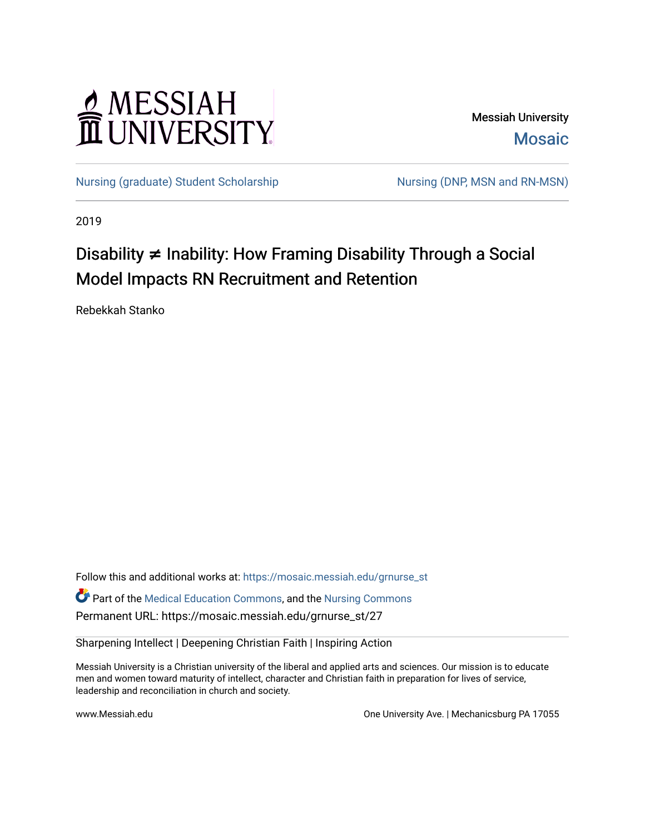# MESSIAH

Messiah University [Mosaic](https://mosaic.messiah.edu/) 

[Nursing \(graduate\) Student Scholarship](https://mosaic.messiah.edu/grnurse_st) Nursing (DNP, MSN and RN-MSN)

2019

# Disability **≠** Inability: How Framing Disability Through a Social Model Impacts RN Recruitment and Retention

Rebekkah Stanko

Follow this and additional works at: [https://mosaic.messiah.edu/grnurse\\_st](https://mosaic.messiah.edu/grnurse_st?utm_source=mosaic.messiah.edu%2Fgrnurse_st%2F27&utm_medium=PDF&utm_campaign=PDFCoverPages)

Part of the [Medical Education Commons,](http://network.bepress.com/hgg/discipline/1125?utm_source=mosaic.messiah.edu%2Fgrnurse_st%2F27&utm_medium=PDF&utm_campaign=PDFCoverPages) and the [Nursing Commons](http://network.bepress.com/hgg/discipline/718?utm_source=mosaic.messiah.edu%2Fgrnurse_st%2F27&utm_medium=PDF&utm_campaign=PDFCoverPages) Permanent URL: https://mosaic.messiah.edu/grnurse\_st/27

Sharpening Intellect | Deepening Christian Faith | Inspiring Action

Messiah University is a Christian university of the liberal and applied arts and sciences. Our mission is to educate men and women toward maturity of intellect, character and Christian faith in preparation for lives of service, leadership and reconciliation in church and society.

www.Messiah.edu **One University Ave. | Mechanicsburg PA 17055**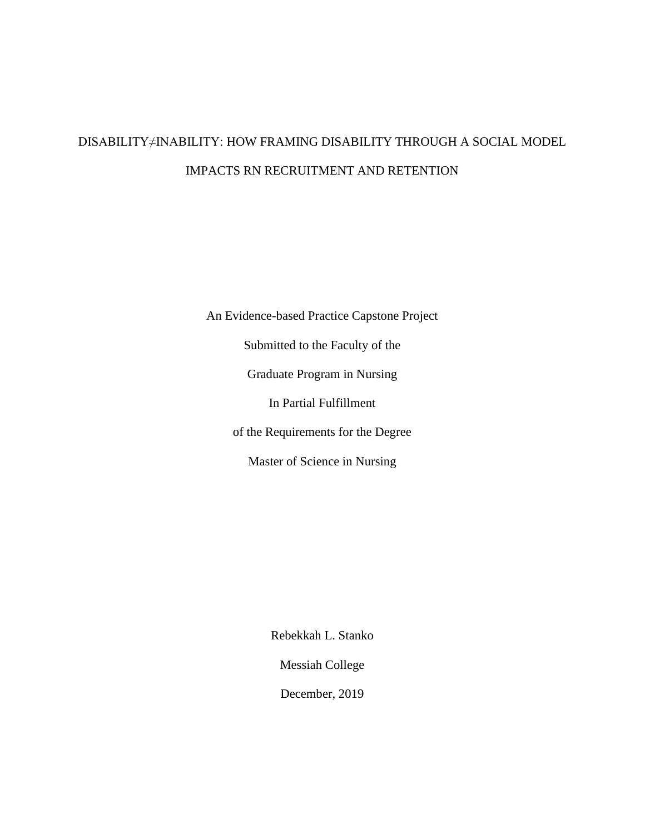# DISABILITY≠INABILITY: HOW FRAMING DISABILITY THROUGH A SOCIAL MODEL IMPACTS RN RECRUITMENT AND RETENTION

An Evidence-based Practice Capstone Project Submitted to the Faculty of the Graduate Program in Nursing In Partial Fulfillment of the Requirements for the Degree Master of Science in Nursing

Rebekkah L. Stanko

Messiah College

December, 2019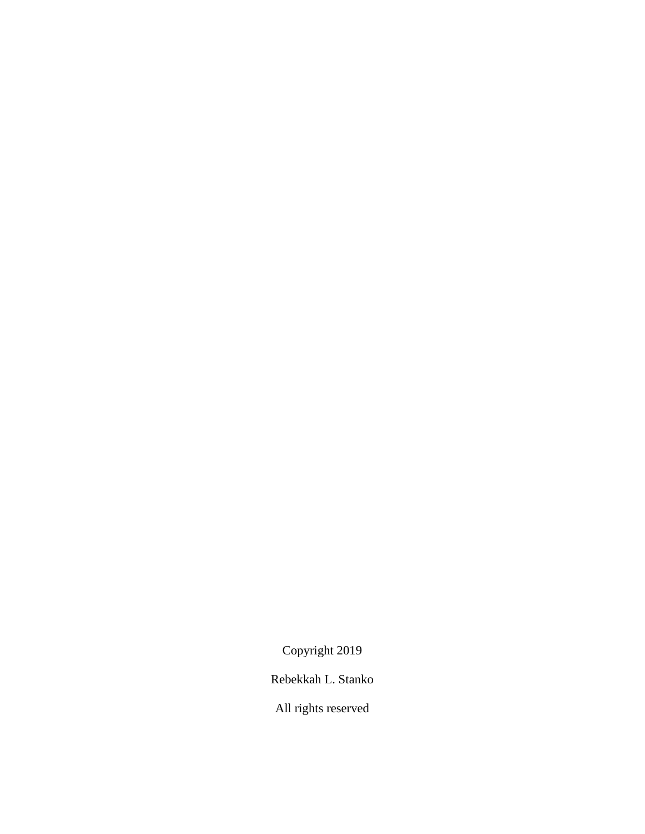Copyright 2019

Rebekkah L. Stanko

All rights reserved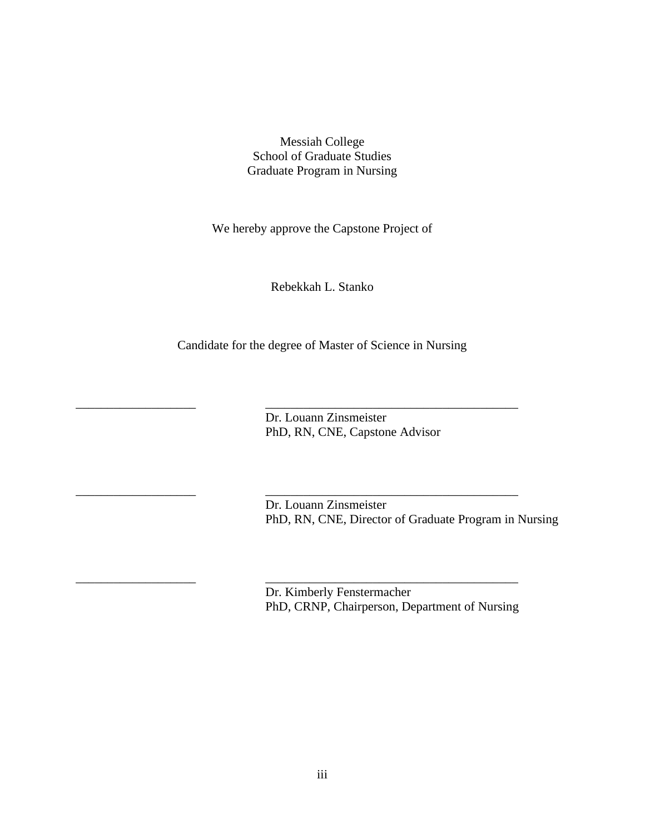Messiah College School of Graduate Studies Graduate Program in Nursing

We hereby approve the Capstone Project of

Rebekkah L. Stanko

Candidate for the degree of Master of Science in Nursing

\_\_\_\_\_\_\_\_\_\_\_\_\_\_\_\_\_\_\_ \_\_\_\_\_\_\_\_\_\_\_\_\_\_\_\_\_\_\_\_\_\_\_\_\_\_\_\_\_\_\_\_\_\_\_\_\_\_\_\_

\_\_\_\_\_\_\_\_\_\_\_\_\_\_\_\_\_\_\_ \_\_\_\_\_\_\_\_\_\_\_\_\_\_\_\_\_\_\_\_\_\_\_\_\_\_\_\_\_\_\_\_\_\_\_\_\_\_\_\_

\_\_\_\_\_\_\_\_\_\_\_\_\_\_\_\_\_\_\_ \_\_\_\_\_\_\_\_\_\_\_\_\_\_\_\_\_\_\_\_\_\_\_\_\_\_\_\_\_\_\_\_\_\_\_\_\_\_\_\_

 Dr. Louann Zinsmeister PhD, RN, CNE, Capstone Advisor

Dr. Louann Zinsmeister PhD, RN, CNE, Director of Graduate Program in Nursing

Dr. Kimberly Fenstermacher PhD, CRNP, Chairperson, Department of Nursing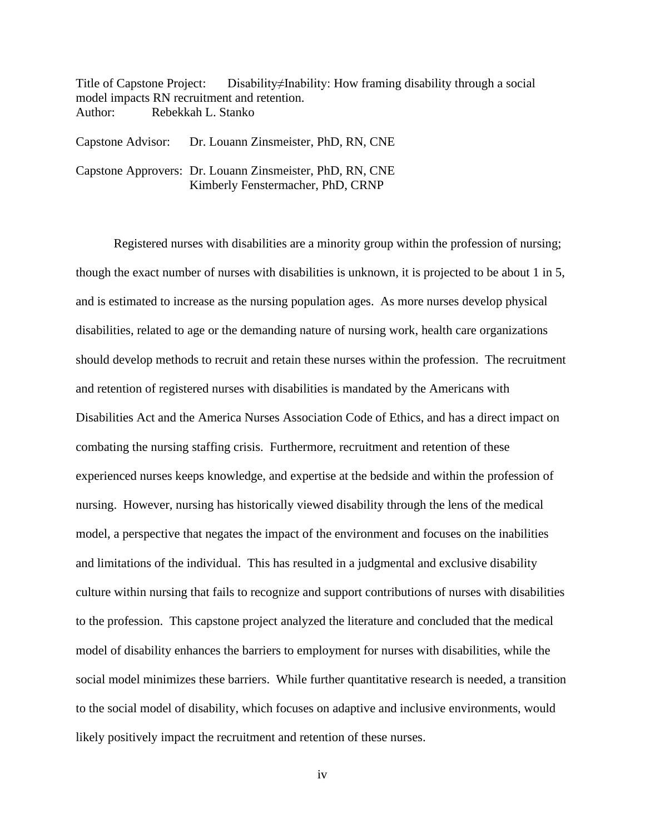Title of Capstone Project: Disability≠Inability: How framing disability through a social model impacts RN recruitment and retention. Author: Rebekkah L. Stanko

| Capstone Advisor: | Dr. Louann Zinsmeister, PhD, RN, CNE                                                          |
|-------------------|-----------------------------------------------------------------------------------------------|
|                   | Capstone Approvers: Dr. Louann Zinsmeister, PhD, RN, CNE<br>Kimberly Fenstermacher, PhD, CRNP |

Registered nurses with disabilities are a minority group within the profession of nursing; though the exact number of nurses with disabilities is unknown, it is projected to be about 1 in 5, and is estimated to increase as the nursing population ages. As more nurses develop physical disabilities, related to age or the demanding nature of nursing work, health care organizations should develop methods to recruit and retain these nurses within the profession. The recruitment and retention of registered nurses with disabilities is mandated by the Americans with Disabilities Act and the America Nurses Association Code of Ethics, and has a direct impact on combating the nursing staffing crisis. Furthermore, recruitment and retention of these experienced nurses keeps knowledge, and expertise at the bedside and within the profession of nursing. However, nursing has historically viewed disability through the lens of the medical model, a perspective that negates the impact of the environment and focuses on the inabilities and limitations of the individual. This has resulted in a judgmental and exclusive disability culture within nursing that fails to recognize and support contributions of nurses with disabilities to the profession. This capstone project analyzed the literature and concluded that the medical model of disability enhances the barriers to employment for nurses with disabilities, while the social model minimizes these barriers. While further quantitative research is needed, a transition to the social model of disability, which focuses on adaptive and inclusive environments, would likely positively impact the recruitment and retention of these nurses.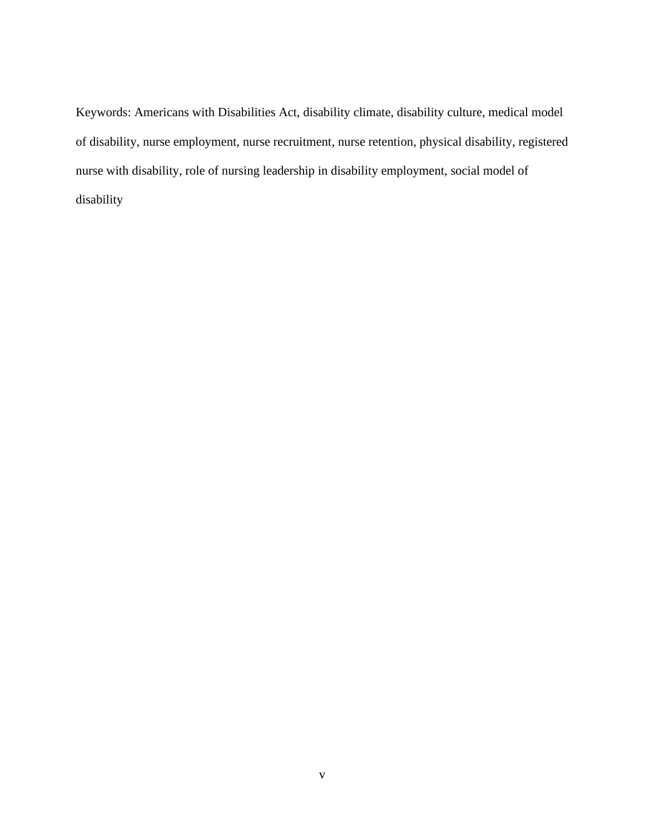Keywords: Americans with Disabilities Act, disability climate, disability culture, medical model of disability, nurse employment, nurse recruitment, nurse retention, physical disability, registered nurse with disability, role of nursing leadership in disability employment, social model of disability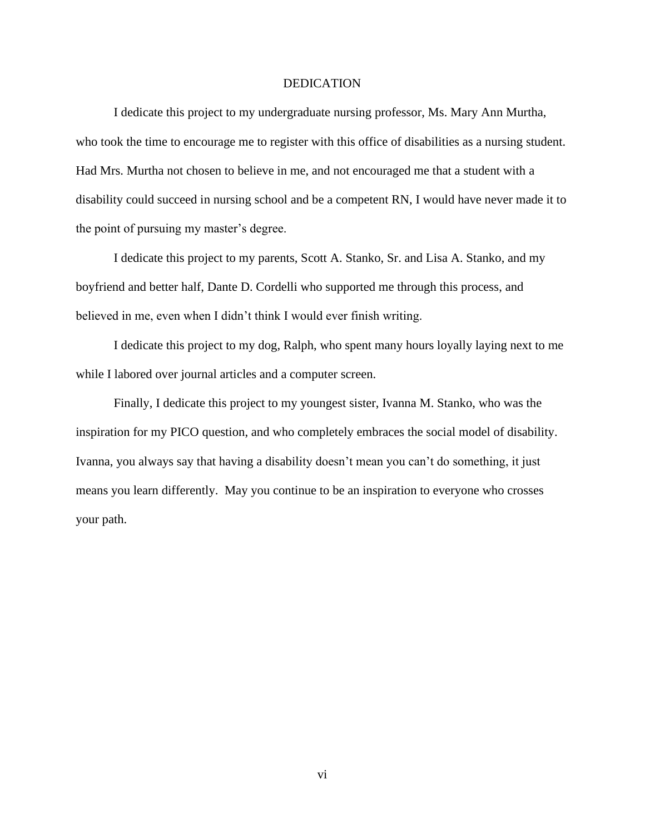#### DEDICATION

I dedicate this project to my undergraduate nursing professor, Ms. Mary Ann Murtha, who took the time to encourage me to register with this office of disabilities as a nursing student. Had Mrs. Murtha not chosen to believe in me, and not encouraged me that a student with a disability could succeed in nursing school and be a competent RN, I would have never made it to the point of pursuing my master's degree.

I dedicate this project to my parents, Scott A. Stanko, Sr. and Lisa A. Stanko, and my boyfriend and better half, Dante D. Cordelli who supported me through this process, and believed in me, even when I didn't think I would ever finish writing.

I dedicate this project to my dog, Ralph, who spent many hours loyally laying next to me while I labored over journal articles and a computer screen.

Finally, I dedicate this project to my youngest sister, Ivanna M. Stanko, who was the inspiration for my PICO question, and who completely embraces the social model of disability. Ivanna, you always say that having a disability doesn't mean you can't do something, it just means you learn differently. May you continue to be an inspiration to everyone who crosses your path.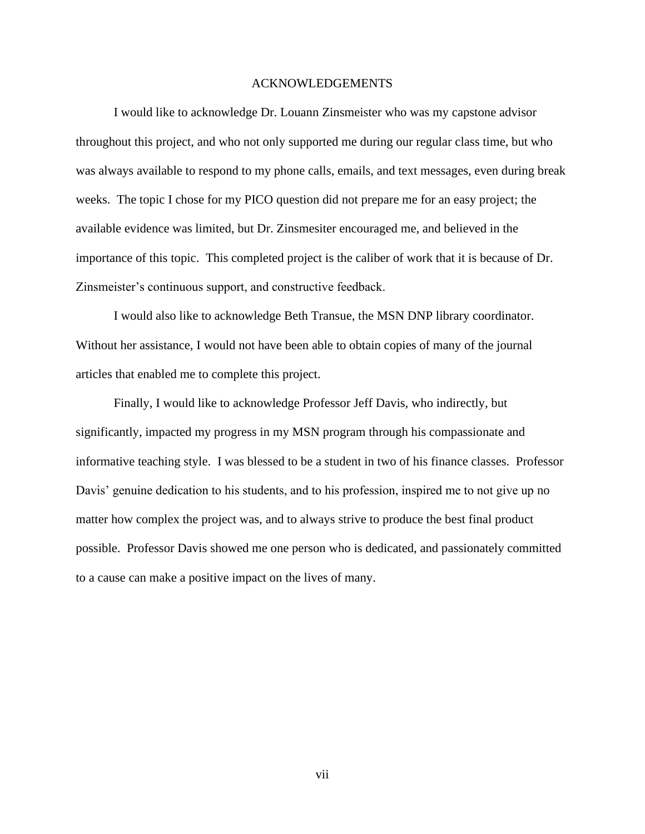#### ACKNOWLEDGEMENTS

I would like to acknowledge Dr. Louann Zinsmeister who was my capstone advisor throughout this project, and who not only supported me during our regular class time, but who was always available to respond to my phone calls, emails, and text messages, even during break weeks. The topic I chose for my PICO question did not prepare me for an easy project; the available evidence was limited, but Dr. Zinsmesiter encouraged me, and believed in the importance of this topic. This completed project is the caliber of work that it is because of Dr. Zinsmeister's continuous support, and constructive feedback.

I would also like to acknowledge Beth Transue, the MSN DNP library coordinator. Without her assistance, I would not have been able to obtain copies of many of the journal articles that enabled me to complete this project.

Finally, I would like to acknowledge Professor Jeff Davis, who indirectly, but significantly, impacted my progress in my MSN program through his compassionate and informative teaching style. I was blessed to be a student in two of his finance classes. Professor Davis' genuine dedication to his students, and to his profession, inspired me to not give up no matter how complex the project was, and to always strive to produce the best final product possible. Professor Davis showed me one person who is dedicated, and passionately committed to a cause can make a positive impact on the lives of many.

vii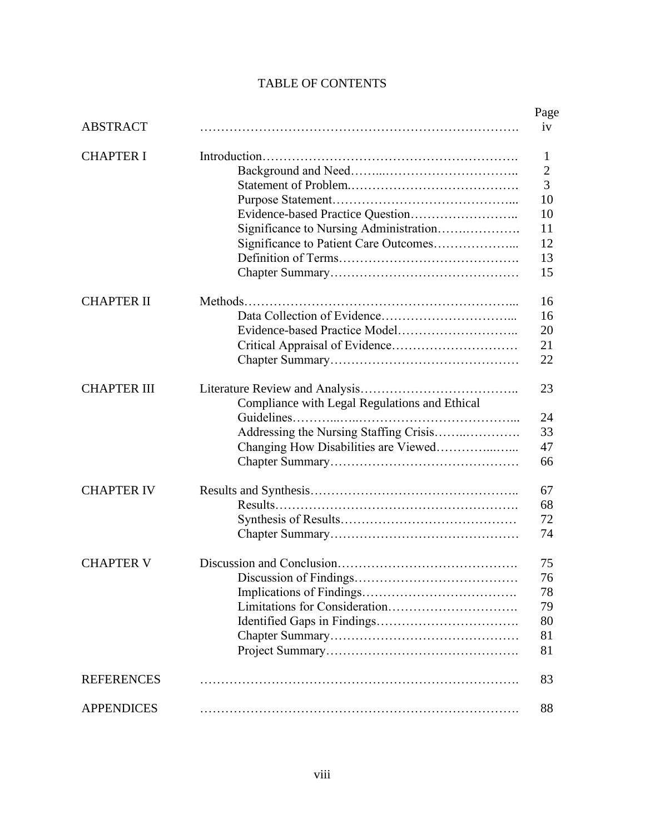## TABLE OF CONTENTS

|                    |                                               | Page         |
|--------------------|-----------------------------------------------|--------------|
| <b>ABSTRACT</b>    |                                               | iv           |
| <b>CHAPTER I</b>   |                                               | 1            |
|                    |                                               | $\mathbf{2}$ |
|                    |                                               | 3            |
|                    |                                               | 10           |
|                    |                                               | 10           |
|                    | Significance to Nursing Administration        | 11           |
|                    | Significance to Patient Care Outcomes         | 12           |
|                    |                                               | 13           |
|                    |                                               | 15           |
| <b>CHAPTER II</b>  |                                               | 16           |
|                    |                                               | 16           |
|                    |                                               | 20           |
|                    |                                               | 21           |
|                    |                                               | 22           |
| <b>CHAPTER III</b> |                                               | 23           |
|                    | Compliance with Legal Regulations and Ethical |              |
|                    |                                               | 24           |
|                    | Addressing the Nursing Staffing Crisis        | 33           |
|                    | Changing How Disabilities are Viewed          | 47           |
|                    |                                               | 66           |
| <b>CHAPTER IV</b>  |                                               | 67           |
|                    |                                               | 68           |
|                    |                                               | 72           |
|                    |                                               | 74           |
| <b>CHAPTER V</b>   |                                               | 75           |
|                    |                                               | 76           |
|                    |                                               | 78           |
|                    |                                               | 79           |
|                    |                                               | 80           |
|                    |                                               | 81           |
|                    |                                               | 81           |
| <b>REFERENCES</b>  |                                               | 83           |
| <b>APPENDICES</b>  |                                               | 88           |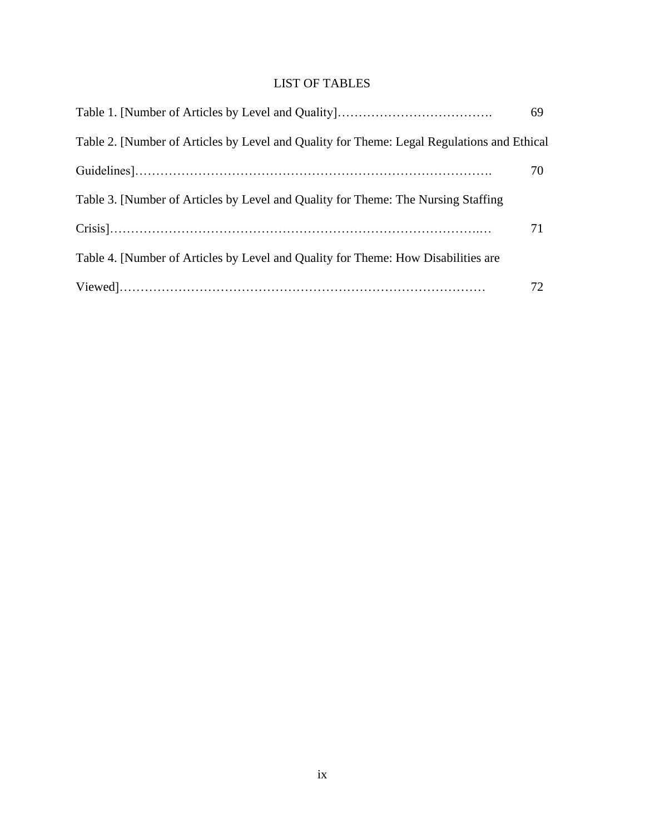# LIST OF TABLES

|                                                                                            | 69 |
|--------------------------------------------------------------------------------------------|----|
| Table 2. [Number of Articles by Level and Quality for Theme: Legal Regulations and Ethical |    |
|                                                                                            | 70 |
| Table 3. [Number of Articles by Level and Quality for Theme: The Nursing Staffing          |    |
|                                                                                            | 71 |
| Table 4. [Number of Articles by Level and Quality for Theme: How Disabilities are          |    |
|                                                                                            | 72 |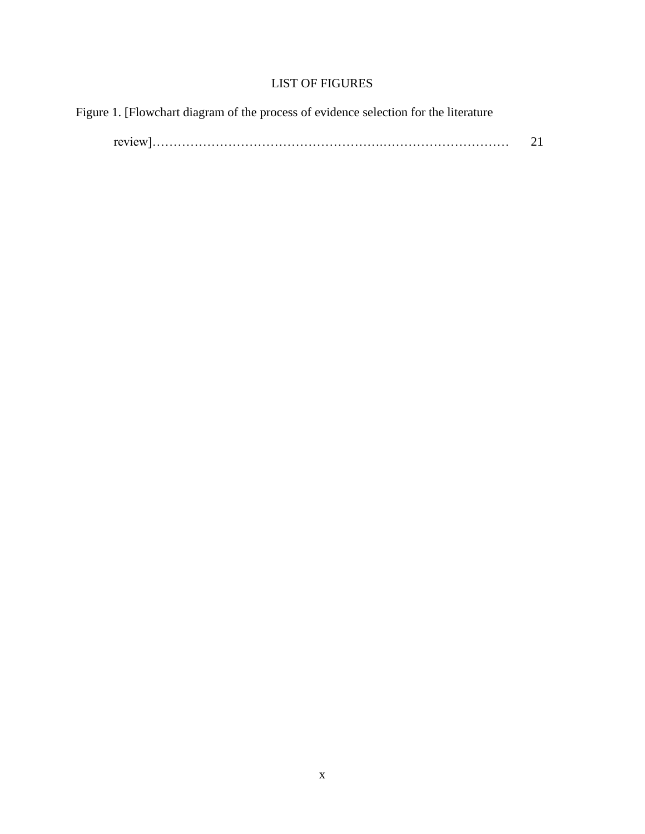## LIST OF FIGURES

| Figure 1. [Flowchart diagram of the process of evidence selection for the literature |    |
|--------------------------------------------------------------------------------------|----|
|                                                                                      | 21 |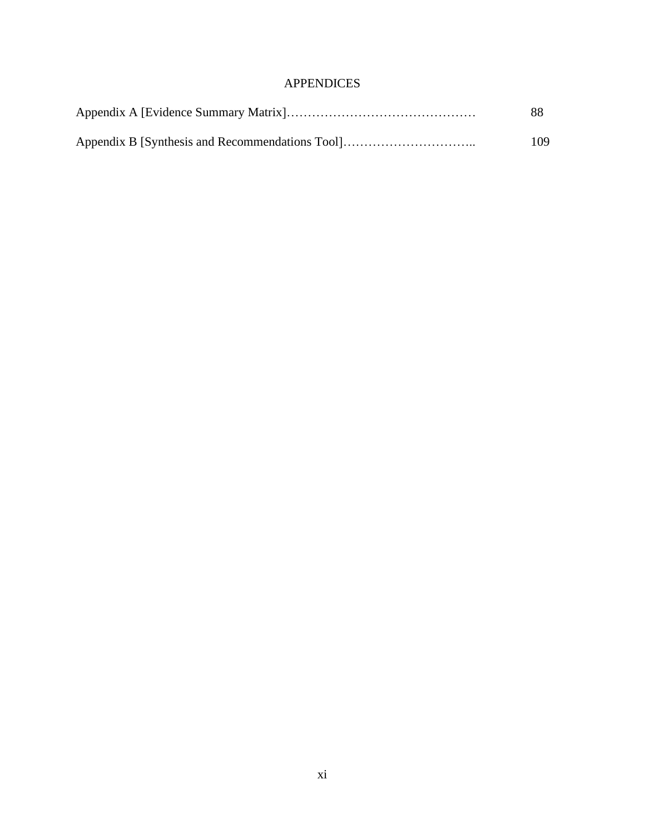## APPENDICES

| 88  |
|-----|
| 109 |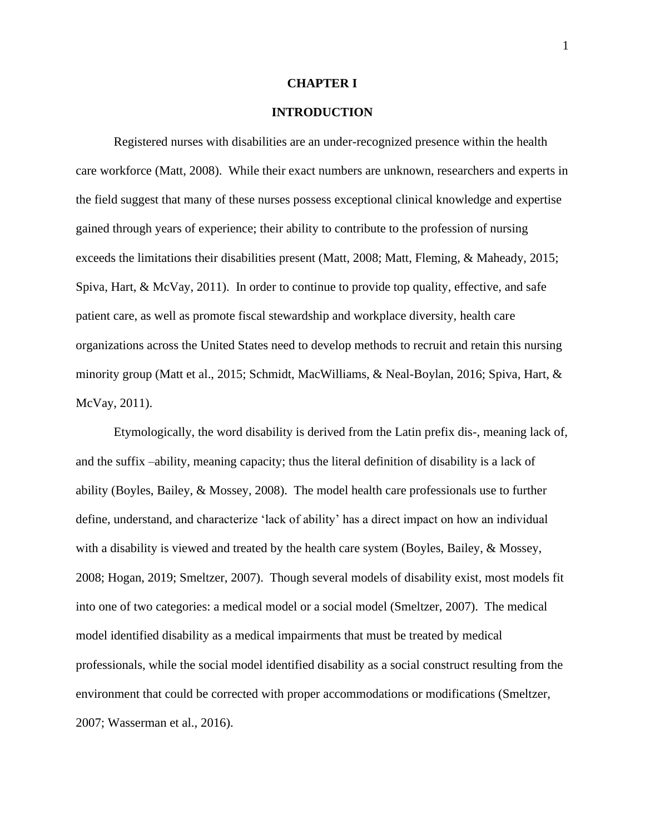#### **CHAPTER I**

#### **INTRODUCTION**

Registered nurses with disabilities are an under-recognized presence within the health care workforce (Matt, 2008). While their exact numbers are unknown, researchers and experts in the field suggest that many of these nurses possess exceptional clinical knowledge and expertise gained through years of experience; their ability to contribute to the profession of nursing exceeds the limitations their disabilities present (Matt, 2008; Matt, Fleming, & Maheady, 2015; Spiva, Hart, & McVay, 2011). In order to continue to provide top quality, effective, and safe patient care, as well as promote fiscal stewardship and workplace diversity, health care organizations across the United States need to develop methods to recruit and retain this nursing minority group (Matt et al., 2015; Schmidt, MacWilliams, & Neal-Boylan, 2016; Spiva, Hart, & McVay, 2011).

Etymologically, the word disability is derived from the Latin prefix dis-, meaning lack of, and the suffix –ability, meaning capacity; thus the literal definition of disability is a lack of ability (Boyles, Bailey, & Mossey, 2008). The model health care professionals use to further define, understand, and characterize 'lack of ability' has a direct impact on how an individual with a disability is viewed and treated by the health care system (Boyles, Bailey, & Mossey, 2008; Hogan, 2019; Smeltzer, 2007). Though several models of disability exist, most models fit into one of two categories: a medical model or a social model (Smeltzer, 2007). The medical model identified disability as a medical impairments that must be treated by medical professionals, while the social model identified disability as a social construct resulting from the environment that could be corrected with proper accommodations or modifications (Smeltzer, 2007; Wasserman et al., 2016).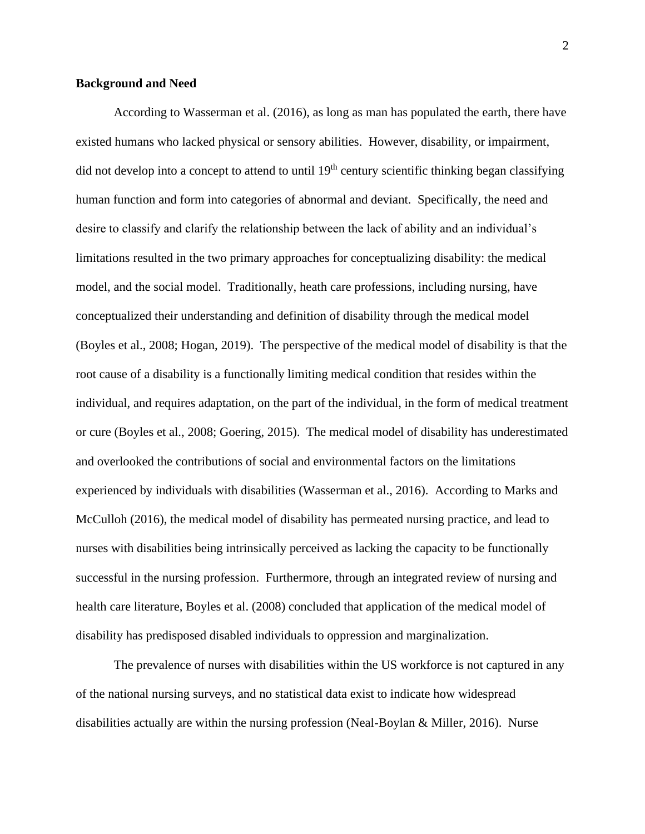#### **Background and Need**

According to Wasserman et al. (2016), as long as man has populated the earth, there have existed humans who lacked physical or sensory abilities. However, disability, or impairment, did not develop into a concept to attend to until 19<sup>th</sup> century scientific thinking began classifying human function and form into categories of abnormal and deviant. Specifically, the need and desire to classify and clarify the relationship between the lack of ability and an individual's limitations resulted in the two primary approaches for conceptualizing disability: the medical model, and the social model. Traditionally, heath care professions, including nursing, have conceptualized their understanding and definition of disability through the medical model (Boyles et al., 2008; Hogan, 2019). The perspective of the medical model of disability is that the root cause of a disability is a functionally limiting medical condition that resides within the individual, and requires adaptation, on the part of the individual, in the form of medical treatment or cure (Boyles et al., 2008; Goering, 2015). The medical model of disability has underestimated and overlooked the contributions of social and environmental factors on the limitations experienced by individuals with disabilities (Wasserman et al., 2016). According to Marks and McCulloh (2016), the medical model of disability has permeated nursing practice, and lead to nurses with disabilities being intrinsically perceived as lacking the capacity to be functionally successful in the nursing profession. Furthermore, through an integrated review of nursing and health care literature, Boyles et al. (2008) concluded that application of the medical model of disability has predisposed disabled individuals to oppression and marginalization.

The prevalence of nurses with disabilities within the US workforce is not captured in any of the national nursing surveys, and no statistical data exist to indicate how widespread disabilities actually are within the nursing profession (Neal-Boylan & Miller, 2016). Nurse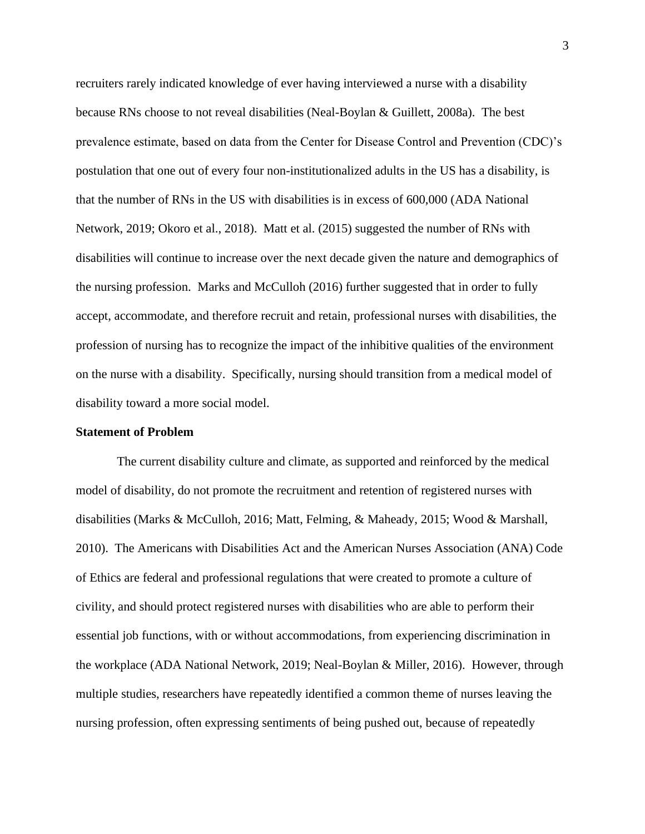recruiters rarely indicated knowledge of ever having interviewed a nurse with a disability because RNs choose to not reveal disabilities (Neal-Boylan & Guillett, 2008a). The best prevalence estimate, based on data from the Center for Disease Control and Prevention (CDC)'s postulation that one out of every four non-institutionalized adults in the US has a disability, is that the number of RNs in the US with disabilities is in excess of 600,000 (ADA National Network, 2019; Okoro et al., 2018). Matt et al. (2015) suggested the number of RNs with disabilities will continue to increase over the next decade given the nature and demographics of the nursing profession. Marks and McCulloh (2016) further suggested that in order to fully accept, accommodate, and therefore recruit and retain, professional nurses with disabilities, the profession of nursing has to recognize the impact of the inhibitive qualities of the environment on the nurse with a disability. Specifically, nursing should transition from a medical model of disability toward a more social model.

#### **Statement of Problem**

The current disability culture and climate, as supported and reinforced by the medical model of disability, do not promote the recruitment and retention of registered nurses with disabilities (Marks & McCulloh, 2016; Matt, Felming, & Maheady, 2015; Wood & Marshall, 2010). The Americans with Disabilities Act and the American Nurses Association (ANA) Code of Ethics are federal and professional regulations that were created to promote a culture of civility, and should protect registered nurses with disabilities who are able to perform their essential job functions, with or without accommodations, from experiencing discrimination in the workplace (ADA National Network, 2019; Neal-Boylan & Miller, 2016). However, through multiple studies, researchers have repeatedly identified a common theme of nurses leaving the nursing profession, often expressing sentiments of being pushed out, because of repeatedly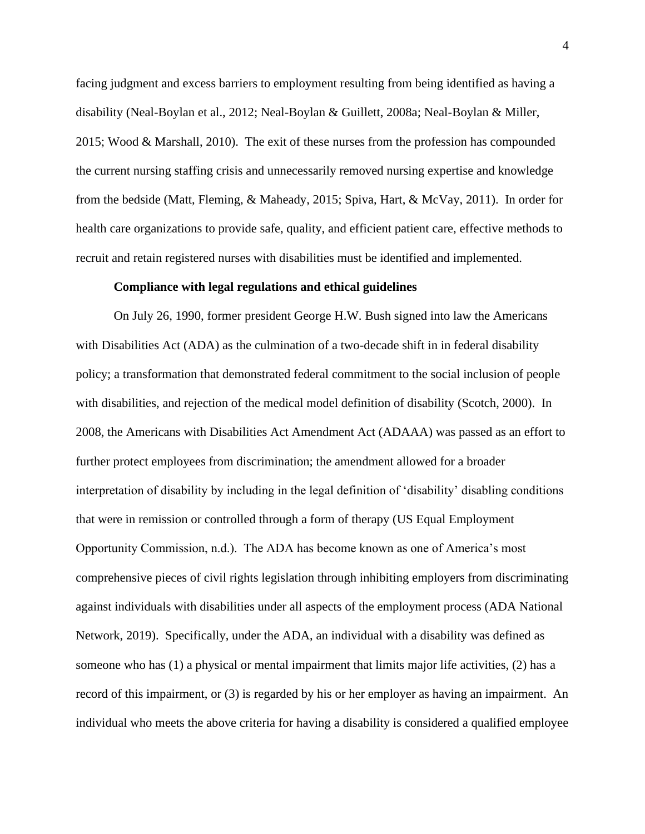facing judgment and excess barriers to employment resulting from being identified as having a disability (Neal-Boylan et al., 2012; Neal-Boylan & Guillett, 2008a; Neal-Boylan & Miller, 2015; Wood & Marshall, 2010). The exit of these nurses from the profession has compounded the current nursing staffing crisis and unnecessarily removed nursing expertise and knowledge from the bedside (Matt, Fleming, & Maheady, 2015; Spiva, Hart, & McVay, 2011). In order for health care organizations to provide safe, quality, and efficient patient care, effective methods to recruit and retain registered nurses with disabilities must be identified and implemented.

#### **Compliance with legal regulations and ethical guidelines**

On July 26, 1990, former president George H.W. Bush signed into law the Americans with Disabilities Act (ADA) as the culmination of a two-decade shift in in federal disability policy; a transformation that demonstrated federal commitment to the social inclusion of people with disabilities, and rejection of the medical model definition of disability (Scotch, 2000). In 2008, the Americans with Disabilities Act Amendment Act (ADAAA) was passed as an effort to further protect employees from discrimination; the amendment allowed for a broader interpretation of disability by including in the legal definition of 'disability' disabling conditions that were in remission or controlled through a form of therapy (US Equal Employment Opportunity Commission, n.d.). The ADA has become known as one of America's most comprehensive pieces of civil rights legislation through inhibiting employers from discriminating against individuals with disabilities under all aspects of the employment process (ADA National Network, 2019). Specifically, under the ADA, an individual with a disability was defined as someone who has (1) a physical or mental impairment that limits major life activities, (2) has a record of this impairment, or (3) is regarded by his or her employer as having an impairment. An individual who meets the above criteria for having a disability is considered a qualified employee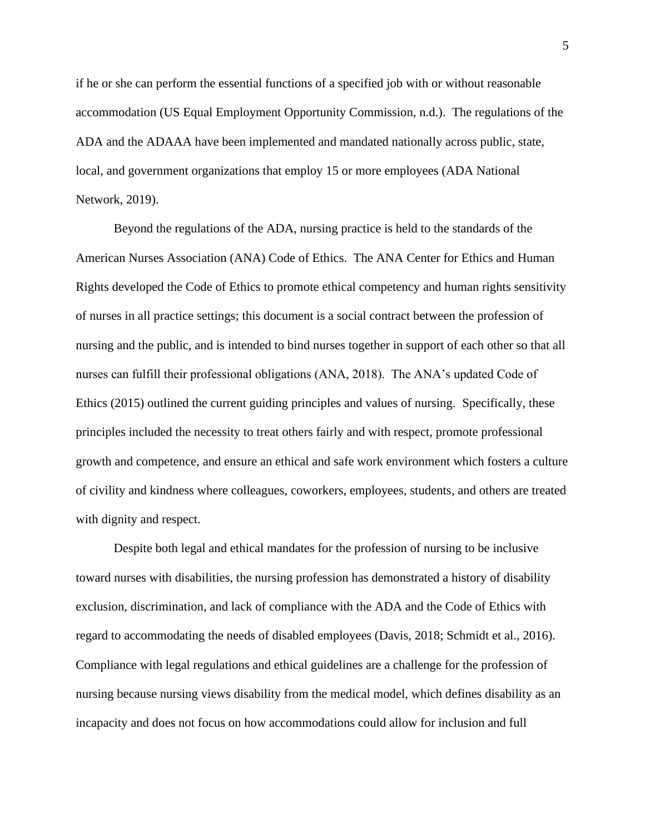if he or she can perform the essential functions of a specified job with or without reasonable accommodation (US Equal Employment Opportunity Commission, n.d.). The regulations of the ADA and the ADAAA have been implemented and mandated nationally across public, state, local, and government organizations that employ 15 or more employees (ADA National Network, 2019).

Beyond the regulations of the ADA, nursing practice is held to the standards of the American Nurses Association (ANA) Code of Ethics. The ANA Center for Ethics and Human Rights developed the Code of Ethics to promote ethical competency and human rights sensitivity of nurses in all practice settings; this document is a social contract between the profession of nursing and the public, and is intended to bind nurses together in support of each other so that all nurses can fulfill their professional obligations (ANA, 2018). The ANA's updated Code of Ethics (2015) outlined the current guiding principles and values of nursing. Specifically, these principles included the necessity to treat others fairly and with respect, promote professional growth and competence, and ensure an ethical and safe work environment which fosters a culture of civility and kindness where colleagues, coworkers, employees, students, and others are treated with dignity and respect.

Despite both legal and ethical mandates for the profession of nursing to be inclusive toward nurses with disabilities, the nursing profession has demonstrated a history of disability exclusion, discrimination, and lack of compliance with the ADA and the Code of Ethics with regard to accommodating the needs of disabled employees (Davis, 2018; Schmidt et al., 2016). Compliance with legal regulations and ethical guidelines are a challenge for the profession of nursing because nursing views disability from the medical model, which defines disability as an incapacity and does not focus on how accommodations could allow for inclusion and full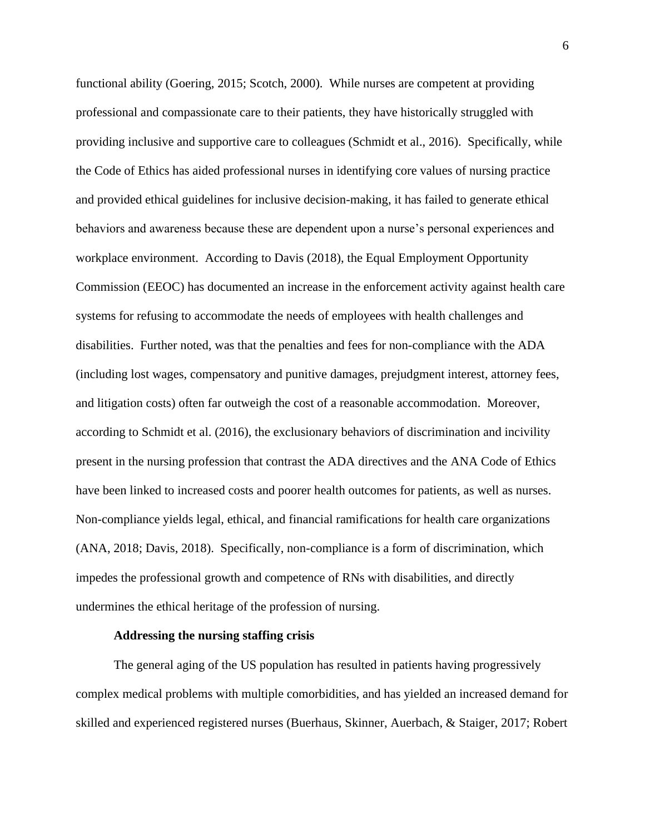functional ability (Goering, 2015; Scotch, 2000). While nurses are competent at providing professional and compassionate care to their patients, they have historically struggled with providing inclusive and supportive care to colleagues (Schmidt et al., 2016). Specifically, while the Code of Ethics has aided professional nurses in identifying core values of nursing practice and provided ethical guidelines for inclusive decision-making, it has failed to generate ethical behaviors and awareness because these are dependent upon a nurse's personal experiences and workplace environment. According to Davis (2018), the Equal Employment Opportunity Commission (EEOC) has documented an increase in the enforcement activity against health care systems for refusing to accommodate the needs of employees with health challenges and disabilities. Further noted, was that the penalties and fees for non-compliance with the ADA (including lost wages, compensatory and punitive damages, prejudgment interest, attorney fees, and litigation costs) often far outweigh the cost of a reasonable accommodation. Moreover, according to Schmidt et al. (2016), the exclusionary behaviors of discrimination and incivility present in the nursing profession that contrast the ADA directives and the ANA Code of Ethics have been linked to increased costs and poorer health outcomes for patients, as well as nurses. Non-compliance yields legal, ethical, and financial ramifications for health care organizations (ANA, 2018; Davis, 2018). Specifically, non-compliance is a form of discrimination, which impedes the professional growth and competence of RNs with disabilities, and directly undermines the ethical heritage of the profession of nursing.

#### **Addressing the nursing staffing crisis**

The general aging of the US population has resulted in patients having progressively complex medical problems with multiple comorbidities, and has yielded an increased demand for skilled and experienced registered nurses (Buerhaus, Skinner, Auerbach, & Staiger, 2017; Robert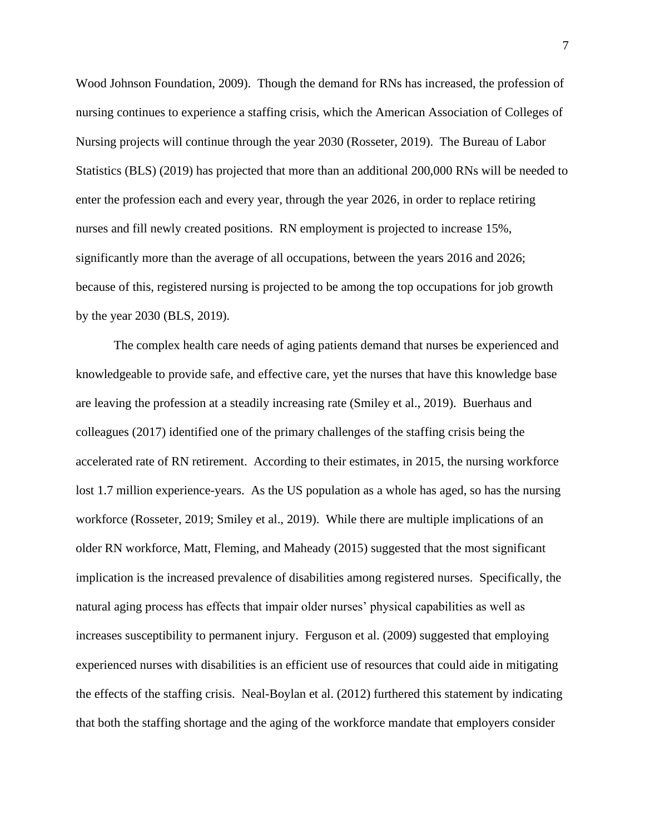Wood Johnson Foundation, 2009). Though the demand for RNs has increased, the profession of nursing continues to experience a staffing crisis, which the American Association of Colleges of Nursing projects will continue through the year 2030 (Rosseter, 2019). The Bureau of Labor Statistics (BLS) (2019) has projected that more than an additional 200,000 RNs will be needed to enter the profession each and every year, through the year 2026, in order to replace retiring nurses and fill newly created positions. RN employment is projected to increase 15%, significantly more than the average of all occupations, between the years 2016 and 2026; because of this, registered nursing is projected to be among the top occupations for job growth by the year 2030 (BLS, 2019).

The complex health care needs of aging patients demand that nurses be experienced and knowledgeable to provide safe, and effective care, yet the nurses that have this knowledge base are leaving the profession at a steadily increasing rate (Smiley et al., 2019). Buerhaus and colleagues (2017) identified one of the primary challenges of the staffing crisis being the accelerated rate of RN retirement. According to their estimates, in 2015, the nursing workforce lost 1.7 million experience-years. As the US population as a whole has aged, so has the nursing workforce (Rosseter, 2019; Smiley et al., 2019). While there are multiple implications of an older RN workforce, Matt, Fleming, and Maheady (2015) suggested that the most significant implication is the increased prevalence of disabilities among registered nurses. Specifically, the natural aging process has effects that impair older nurses' physical capabilities as well as increases susceptibility to permanent injury. Ferguson et al. (2009) suggested that employing experienced nurses with disabilities is an efficient use of resources that could aide in mitigating the effects of the staffing crisis. Neal-Boylan et al. (2012) furthered this statement by indicating that both the staffing shortage and the aging of the workforce mandate that employers consider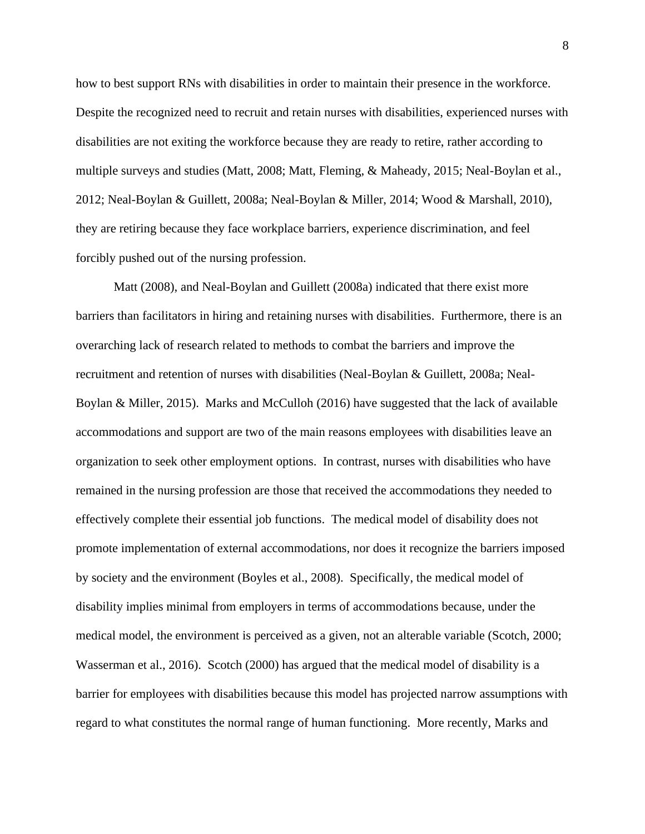how to best support RNs with disabilities in order to maintain their presence in the workforce. Despite the recognized need to recruit and retain nurses with disabilities, experienced nurses with disabilities are not exiting the workforce because they are ready to retire, rather according to multiple surveys and studies (Matt, 2008; Matt, Fleming, & Maheady, 2015; Neal-Boylan et al., 2012; Neal-Boylan & Guillett, 2008a; Neal-Boylan & Miller, 2014; Wood & Marshall, 2010), they are retiring because they face workplace barriers, experience discrimination, and feel forcibly pushed out of the nursing profession.

Matt (2008), and Neal-Boylan and Guillett (2008a) indicated that there exist more barriers than facilitators in hiring and retaining nurses with disabilities. Furthermore, there is an overarching lack of research related to methods to combat the barriers and improve the recruitment and retention of nurses with disabilities (Neal-Boylan & Guillett, 2008a; Neal-Boylan & Miller, 2015). Marks and McCulloh (2016) have suggested that the lack of available accommodations and support are two of the main reasons employees with disabilities leave an organization to seek other employment options. In contrast, nurses with disabilities who have remained in the nursing profession are those that received the accommodations they needed to effectively complete their essential job functions. The medical model of disability does not promote implementation of external accommodations, nor does it recognize the barriers imposed by society and the environment (Boyles et al., 2008). Specifically, the medical model of disability implies minimal from employers in terms of accommodations because, under the medical model, the environment is perceived as a given, not an alterable variable (Scotch, 2000; Wasserman et al., 2016). Scotch (2000) has argued that the medical model of disability is a barrier for employees with disabilities because this model has projected narrow assumptions with regard to what constitutes the normal range of human functioning. More recently, Marks and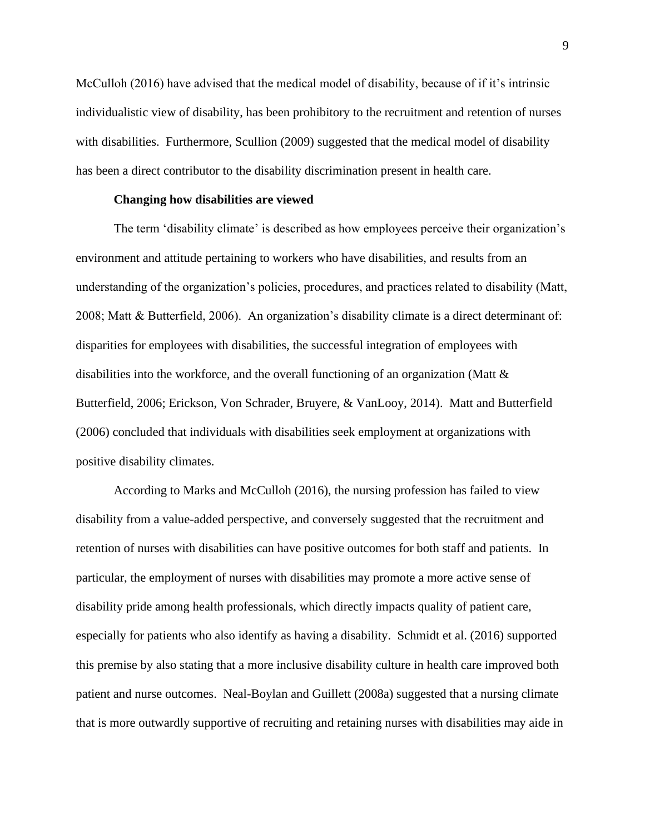McCulloh (2016) have advised that the medical model of disability, because of if it's intrinsic individualistic view of disability, has been prohibitory to the recruitment and retention of nurses with disabilities. Furthermore, Scullion (2009) suggested that the medical model of disability has been a direct contributor to the disability discrimination present in health care.

#### **Changing how disabilities are viewed**

The term 'disability climate' is described as how employees perceive their organization's environment and attitude pertaining to workers who have disabilities, and results from an understanding of the organization's policies, procedures, and practices related to disability (Matt, 2008; Matt & Butterfield, 2006). An organization's disability climate is a direct determinant of: disparities for employees with disabilities, the successful integration of employees with disabilities into the workforce, and the overall functioning of an organization (Matt  $\&$ Butterfield, 2006; Erickson, Von Schrader, Bruyere, & VanLooy, 2014). Matt and Butterfield (2006) concluded that individuals with disabilities seek employment at organizations with positive disability climates.

According to Marks and McCulloh (2016), the nursing profession has failed to view disability from a value-added perspective, and conversely suggested that the recruitment and retention of nurses with disabilities can have positive outcomes for both staff and patients. In particular, the employment of nurses with disabilities may promote a more active sense of disability pride among health professionals, which directly impacts quality of patient care, especially for patients who also identify as having a disability. Schmidt et al. (2016) supported this premise by also stating that a more inclusive disability culture in health care improved both patient and nurse outcomes. Neal-Boylan and Guillett (2008a) suggested that a nursing climate that is more outwardly supportive of recruiting and retaining nurses with disabilities may aide in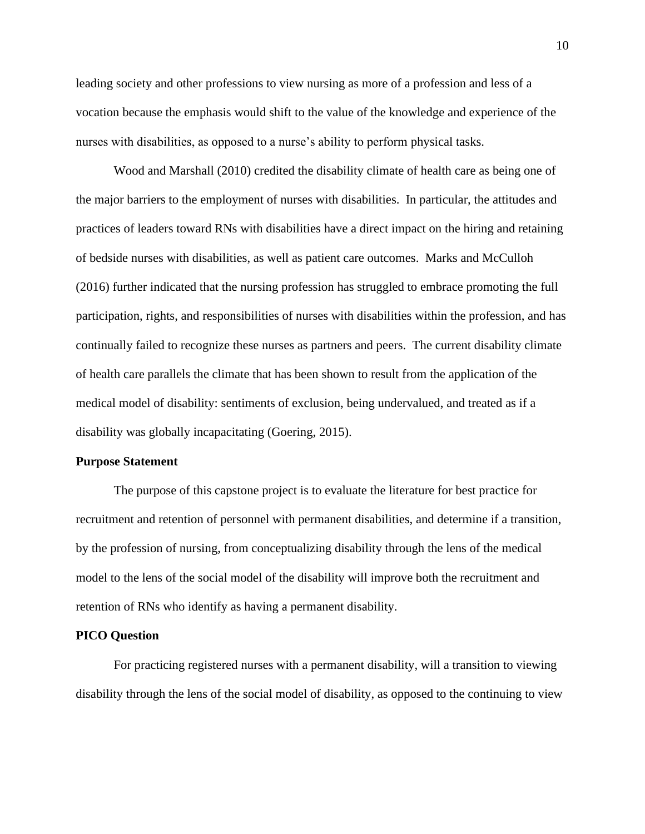leading society and other professions to view nursing as more of a profession and less of a vocation because the emphasis would shift to the value of the knowledge and experience of the nurses with disabilities, as opposed to a nurse's ability to perform physical tasks.

Wood and Marshall (2010) credited the disability climate of health care as being one of the major barriers to the employment of nurses with disabilities. In particular, the attitudes and practices of leaders toward RNs with disabilities have a direct impact on the hiring and retaining of bedside nurses with disabilities, as well as patient care outcomes. Marks and McCulloh (2016) further indicated that the nursing profession has struggled to embrace promoting the full participation, rights, and responsibilities of nurses with disabilities within the profession, and has continually failed to recognize these nurses as partners and peers. The current disability climate of health care parallels the climate that has been shown to result from the application of the medical model of disability: sentiments of exclusion, being undervalued, and treated as if a disability was globally incapacitating (Goering, 2015).

#### **Purpose Statement**

The purpose of this capstone project is to evaluate the literature for best practice for recruitment and retention of personnel with permanent disabilities, and determine if a transition, by the profession of nursing, from conceptualizing disability through the lens of the medical model to the lens of the social model of the disability will improve both the recruitment and retention of RNs who identify as having a permanent disability.

#### **PICO Question**

For practicing registered nurses with a permanent disability, will a transition to viewing disability through the lens of the social model of disability, as opposed to the continuing to view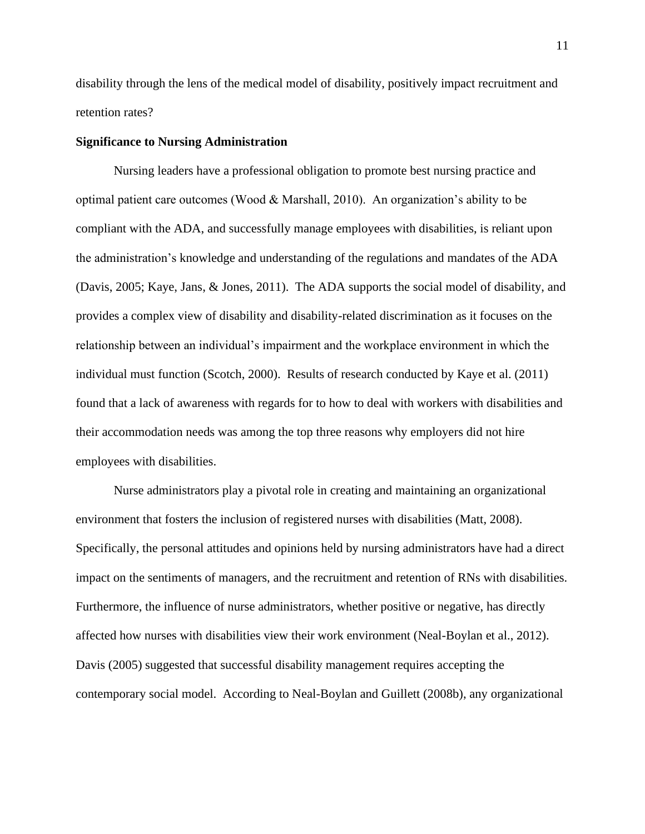disability through the lens of the medical model of disability, positively impact recruitment and retention rates?

#### **Significance to Nursing Administration**

Nursing leaders have a professional obligation to promote best nursing practice and optimal patient care outcomes (Wood & Marshall, 2010). An organization's ability to be compliant with the ADA, and successfully manage employees with disabilities, is reliant upon the administration's knowledge and understanding of the regulations and mandates of the ADA (Davis, 2005; Kaye, Jans, & Jones, 2011). The ADA supports the social model of disability, and provides a complex view of disability and disability-related discrimination as it focuses on the relationship between an individual's impairment and the workplace environment in which the individual must function (Scotch, 2000). Results of research conducted by Kaye et al. (2011) found that a lack of awareness with regards for to how to deal with workers with disabilities and their accommodation needs was among the top three reasons why employers did not hire employees with disabilities.

Nurse administrators play a pivotal role in creating and maintaining an organizational environment that fosters the inclusion of registered nurses with disabilities (Matt, 2008). Specifically, the personal attitudes and opinions held by nursing administrators have had a direct impact on the sentiments of managers, and the recruitment and retention of RNs with disabilities. Furthermore, the influence of nurse administrators, whether positive or negative, has directly affected how nurses with disabilities view their work environment (Neal-Boylan et al., 2012). Davis (2005) suggested that successful disability management requires accepting the contemporary social model. According to Neal-Boylan and Guillett (2008b), any organizational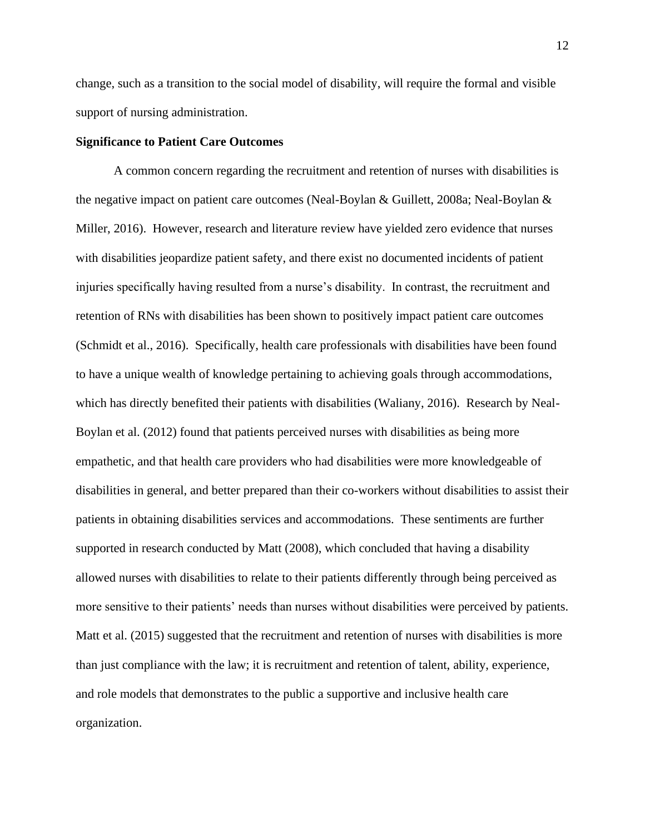change, such as a transition to the social model of disability, will require the formal and visible support of nursing administration.

#### **Significance to Patient Care Outcomes**

A common concern regarding the recruitment and retention of nurses with disabilities is the negative impact on patient care outcomes (Neal-Boylan & Guillett, 2008a; Neal-Boylan & Miller, 2016). However, research and literature review have yielded zero evidence that nurses with disabilities jeopardize patient safety, and there exist no documented incidents of patient injuries specifically having resulted from a nurse's disability. In contrast, the recruitment and retention of RNs with disabilities has been shown to positively impact patient care outcomes (Schmidt et al., 2016). Specifically, health care professionals with disabilities have been found to have a unique wealth of knowledge pertaining to achieving goals through accommodations, which has directly benefited their patients with disabilities (Waliany, 2016). Research by Neal-Boylan et al. (2012) found that patients perceived nurses with disabilities as being more empathetic, and that health care providers who had disabilities were more knowledgeable of disabilities in general, and better prepared than their co-workers without disabilities to assist their patients in obtaining disabilities services and accommodations. These sentiments are further supported in research conducted by Matt (2008), which concluded that having a disability allowed nurses with disabilities to relate to their patients differently through being perceived as more sensitive to their patients' needs than nurses without disabilities were perceived by patients. Matt et al. (2015) suggested that the recruitment and retention of nurses with disabilities is more than just compliance with the law; it is recruitment and retention of talent, ability, experience, and role models that demonstrates to the public a supportive and inclusive health care organization.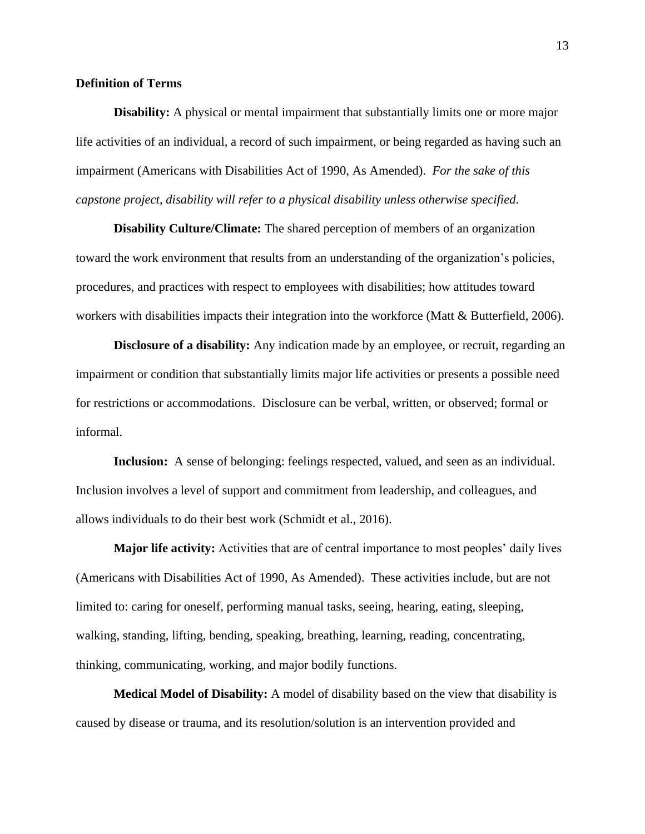#### **Definition of Terms**

**Disability:** A physical or mental impairment that substantially limits one or more major life activities of an individual, a record of such impairment, or being regarded as having such an impairment (Americans with Disabilities Act of 1990, As Amended). *For the sake of this capstone project, disability will refer to a physical disability unless otherwise specified.*

**Disability Culture/Climate:** The shared perception of members of an organization toward the work environment that results from an understanding of the organization's policies, procedures, and practices with respect to employees with disabilities; how attitudes toward workers with disabilities impacts their integration into the workforce (Matt & Butterfield, 2006).

**Disclosure of a disability:** Any indication made by an employee, or recruit, regarding an impairment or condition that substantially limits major life activities or presents a possible need for restrictions or accommodations. Disclosure can be verbal, written, or observed; formal or informal.

**Inclusion:** A sense of belonging: feelings respected, valued, and seen as an individual. Inclusion involves a level of support and commitment from leadership, and colleagues, and allows individuals to do their best work (Schmidt et al., 2016).

**Major life activity:** Activities that are of central importance to most peoples' daily lives (Americans with Disabilities Act of 1990, As Amended). These activities include, but are not limited to: caring for oneself, performing manual tasks, seeing, hearing, eating, sleeping, walking, standing, lifting, bending, speaking, breathing, learning, reading, concentrating, thinking, communicating, working, and major bodily functions.

**Medical Model of Disability:** A model of disability based on the view that disability is caused by disease or trauma, and its resolution/solution is an intervention provided and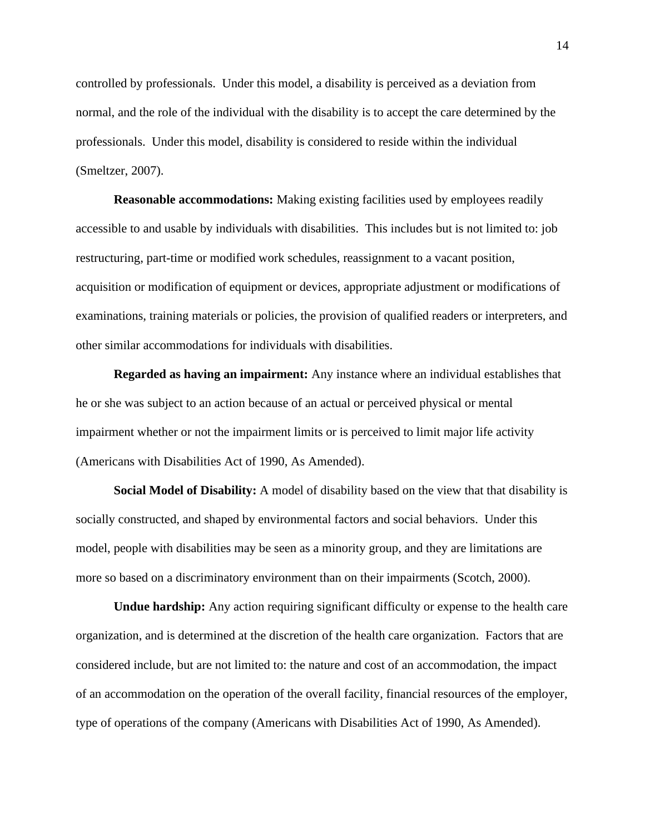controlled by professionals. Under this model, a disability is perceived as a deviation from normal, and the role of the individual with the disability is to accept the care determined by the professionals. Under this model, disability is considered to reside within the individual (Smeltzer, 2007).

**Reasonable accommodations:** Making existing facilities used by employees readily accessible to and usable by individuals with disabilities. This includes but is not limited to: job restructuring, part-time or modified work schedules, reassignment to a vacant position, acquisition or modification of equipment or devices, appropriate adjustment or modifications of examinations, training materials or policies, the provision of qualified readers or interpreters, and other similar accommodations for individuals with disabilities.

**Regarded as having an impairment:** Any instance where an individual establishes that he or she was subject to an action because of an actual or perceived physical or mental impairment whether or not the impairment limits or is perceived to limit major life activity (Americans with Disabilities Act of 1990, As Amended).

**Social Model of Disability:** A model of disability based on the view that that disability is socially constructed, and shaped by environmental factors and social behaviors. Under this model, people with disabilities may be seen as a minority group, and they are limitations are more so based on a discriminatory environment than on their impairments (Scotch, 2000).

**Undue hardship:** Any action requiring significant difficulty or expense to the health care organization, and is determined at the discretion of the health care organization. Factors that are considered include, but are not limited to: the nature and cost of an accommodation, the impact of an accommodation on the operation of the overall facility, financial resources of the employer, type of operations of the company (Americans with Disabilities Act of 1990, As Amended).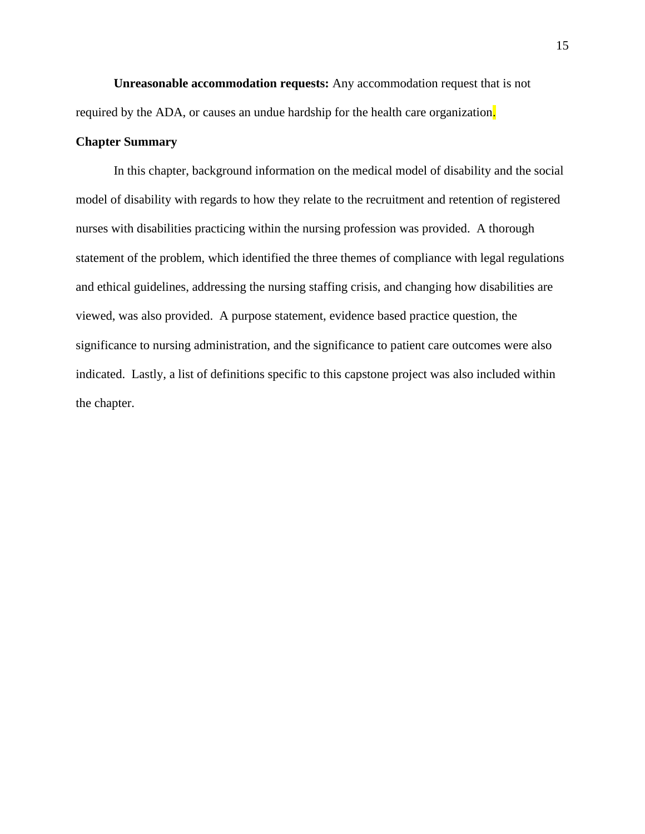**Unreasonable accommodation requests:** Any accommodation request that is not required by the ADA, or causes an undue hardship for the health care organization.

#### **Chapter Summary**

In this chapter, background information on the medical model of disability and the social model of disability with regards to how they relate to the recruitment and retention of registered nurses with disabilities practicing within the nursing profession was provided. A thorough statement of the problem, which identified the three themes of compliance with legal regulations and ethical guidelines, addressing the nursing staffing crisis, and changing how disabilities are viewed, was also provided. A purpose statement, evidence based practice question, the significance to nursing administration, and the significance to patient care outcomes were also indicated. Lastly, a list of definitions specific to this capstone project was also included within the chapter.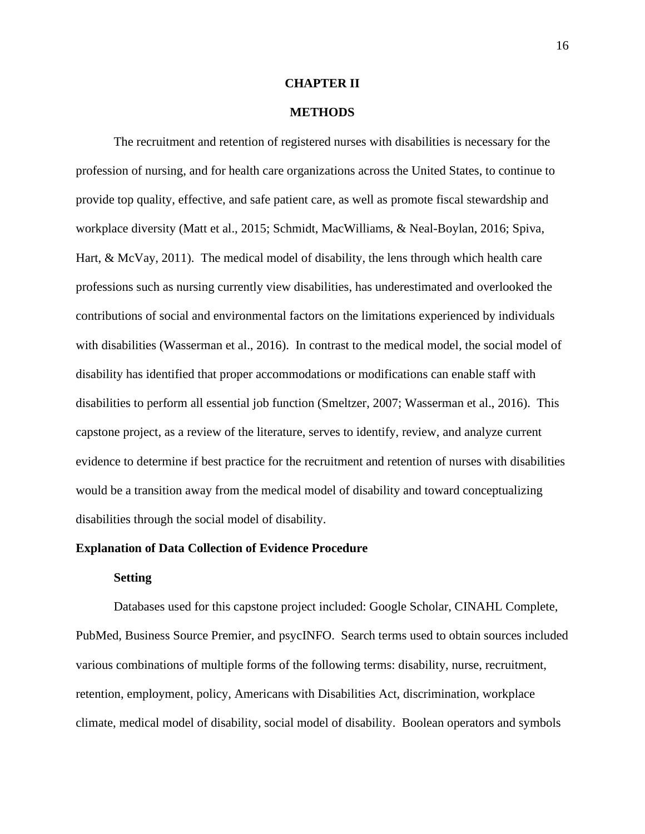#### **CHAPTER II**

#### **METHODS**

The recruitment and retention of registered nurses with disabilities is necessary for the profession of nursing, and for health care organizations across the United States, to continue to provide top quality, effective, and safe patient care, as well as promote fiscal stewardship and workplace diversity (Matt et al., 2015; Schmidt, MacWilliams, & Neal-Boylan, 2016; Spiva, Hart, & McVay, 2011). The medical model of disability, the lens through which health care professions such as nursing currently view disabilities, has underestimated and overlooked the contributions of social and environmental factors on the limitations experienced by individuals with disabilities (Wasserman et al., 2016). In contrast to the medical model, the social model of disability has identified that proper accommodations or modifications can enable staff with disabilities to perform all essential job function (Smeltzer, 2007; Wasserman et al., 2016). This capstone project, as a review of the literature, serves to identify, review, and analyze current evidence to determine if best practice for the recruitment and retention of nurses with disabilities would be a transition away from the medical model of disability and toward conceptualizing disabilities through the social model of disability.

#### **Explanation of Data Collection of Evidence Procedure**

#### **Setting**

Databases used for this capstone project included: Google Scholar, CINAHL Complete, PubMed, Business Source Premier, and psycINFO. Search terms used to obtain sources included various combinations of multiple forms of the following terms: disability, nurse, recruitment, retention, employment, policy, Americans with Disabilities Act, discrimination, workplace climate, medical model of disability, social model of disability. Boolean operators and symbols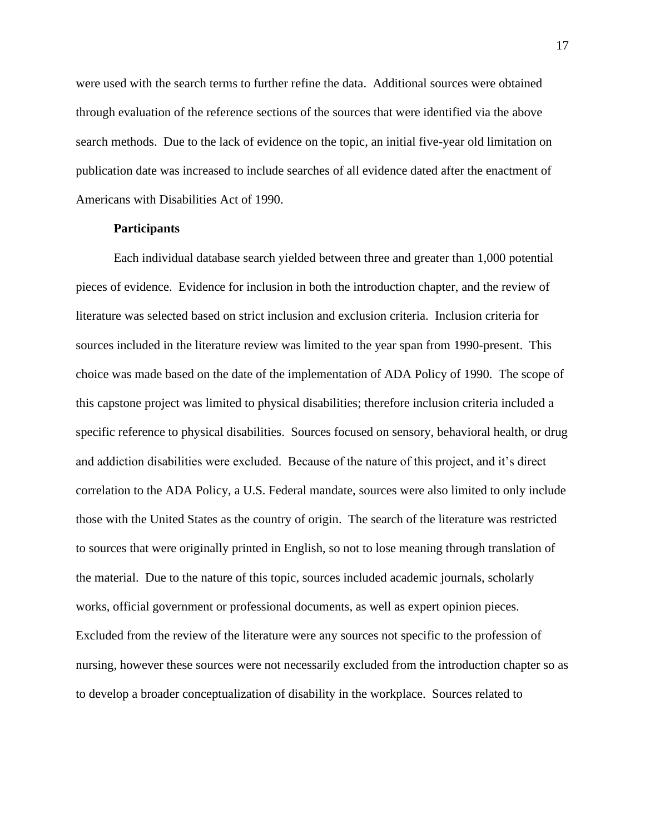were used with the search terms to further refine the data. Additional sources were obtained through evaluation of the reference sections of the sources that were identified via the above search methods. Due to the lack of evidence on the topic, an initial five-year old limitation on publication date was increased to include searches of all evidence dated after the enactment of Americans with Disabilities Act of 1990.

#### **Participants**

Each individual database search yielded between three and greater than 1,000 potential pieces of evidence. Evidence for inclusion in both the introduction chapter, and the review of literature was selected based on strict inclusion and exclusion criteria. Inclusion criteria for sources included in the literature review was limited to the year span from 1990-present. This choice was made based on the date of the implementation of ADA Policy of 1990. The scope of this capstone project was limited to physical disabilities; therefore inclusion criteria included a specific reference to physical disabilities. Sources focused on sensory, behavioral health, or drug and addiction disabilities were excluded. Because of the nature of this project, and it's direct correlation to the ADA Policy, a U.S. Federal mandate, sources were also limited to only include those with the United States as the country of origin. The search of the literature was restricted to sources that were originally printed in English, so not to lose meaning through translation of the material. Due to the nature of this topic, sources included academic journals, scholarly works, official government or professional documents, as well as expert opinion pieces. Excluded from the review of the literature were any sources not specific to the profession of nursing, however these sources were not necessarily excluded from the introduction chapter so as to develop a broader conceptualization of disability in the workplace. Sources related to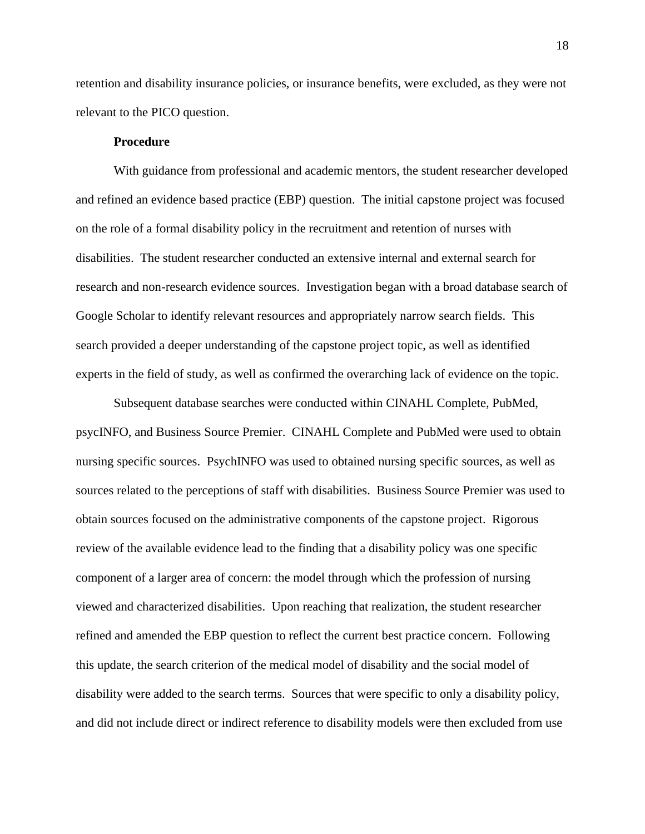retention and disability insurance policies, or insurance benefits, were excluded, as they were not relevant to the PICO question.

#### **Procedure**

With guidance from professional and academic mentors, the student researcher developed and refined an evidence based practice (EBP) question. The initial capstone project was focused on the role of a formal disability policy in the recruitment and retention of nurses with disabilities. The student researcher conducted an extensive internal and external search for research and non-research evidence sources. Investigation began with a broad database search of Google Scholar to identify relevant resources and appropriately narrow search fields. This search provided a deeper understanding of the capstone project topic, as well as identified experts in the field of study, as well as confirmed the overarching lack of evidence on the topic.

Subsequent database searches were conducted within CINAHL Complete, PubMed, psycINFO, and Business Source Premier. CINAHL Complete and PubMed were used to obtain nursing specific sources. PsychINFO was used to obtained nursing specific sources, as well as sources related to the perceptions of staff with disabilities. Business Source Premier was used to obtain sources focused on the administrative components of the capstone project. Rigorous review of the available evidence lead to the finding that a disability policy was one specific component of a larger area of concern: the model through which the profession of nursing viewed and characterized disabilities. Upon reaching that realization, the student researcher refined and amended the EBP question to reflect the current best practice concern. Following this update, the search criterion of the medical model of disability and the social model of disability were added to the search terms. Sources that were specific to only a disability policy, and did not include direct or indirect reference to disability models were then excluded from use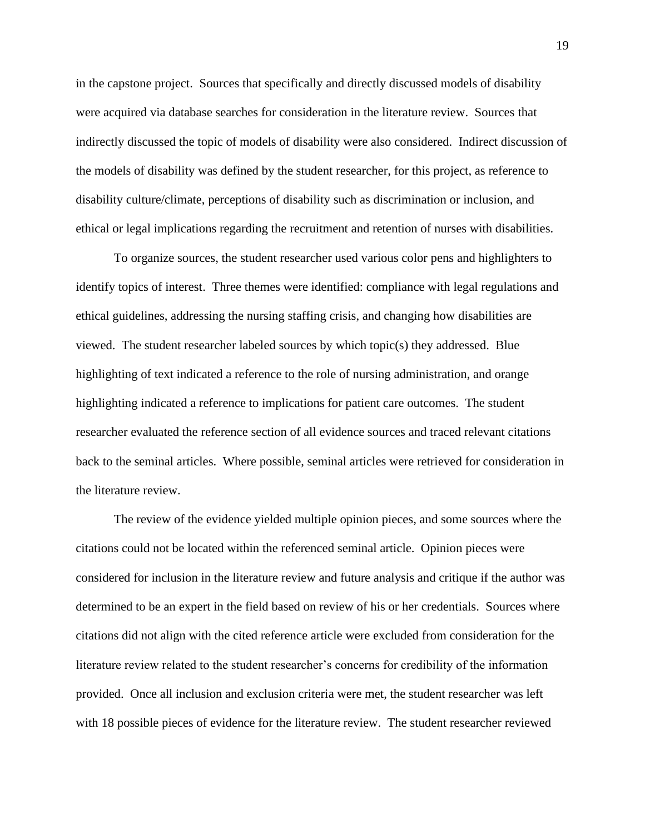in the capstone project. Sources that specifically and directly discussed models of disability were acquired via database searches for consideration in the literature review. Sources that indirectly discussed the topic of models of disability were also considered. Indirect discussion of the models of disability was defined by the student researcher, for this project, as reference to disability culture/climate, perceptions of disability such as discrimination or inclusion, and ethical or legal implications regarding the recruitment and retention of nurses with disabilities.

To organize sources, the student researcher used various color pens and highlighters to identify topics of interest. Three themes were identified: compliance with legal regulations and ethical guidelines, addressing the nursing staffing crisis, and changing how disabilities are viewed. The student researcher labeled sources by which topic(s) they addressed. Blue highlighting of text indicated a reference to the role of nursing administration, and orange highlighting indicated a reference to implications for patient care outcomes. The student researcher evaluated the reference section of all evidence sources and traced relevant citations back to the seminal articles. Where possible, seminal articles were retrieved for consideration in the literature review.

The review of the evidence yielded multiple opinion pieces, and some sources where the citations could not be located within the referenced seminal article. Opinion pieces were considered for inclusion in the literature review and future analysis and critique if the author was determined to be an expert in the field based on review of his or her credentials. Sources where citations did not align with the cited reference article were excluded from consideration for the literature review related to the student researcher's concerns for credibility of the information provided. Once all inclusion and exclusion criteria were met, the student researcher was left with 18 possible pieces of evidence for the literature review. The student researcher reviewed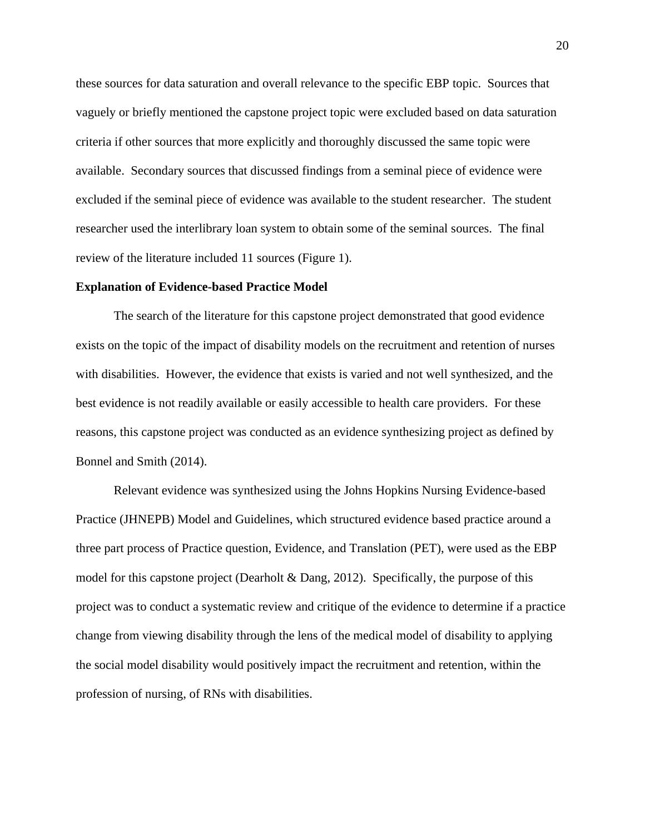these sources for data saturation and overall relevance to the specific EBP topic. Sources that vaguely or briefly mentioned the capstone project topic were excluded based on data saturation criteria if other sources that more explicitly and thoroughly discussed the same topic were available. Secondary sources that discussed findings from a seminal piece of evidence were excluded if the seminal piece of evidence was available to the student researcher. The student researcher used the interlibrary loan system to obtain some of the seminal sources. The final review of the literature included 11 sources (Figure 1).

#### **Explanation of Evidence-based Practice Model**

The search of the literature for this capstone project demonstrated that good evidence exists on the topic of the impact of disability models on the recruitment and retention of nurses with disabilities. However, the evidence that exists is varied and not well synthesized, and the best evidence is not readily available or easily accessible to health care providers. For these reasons, this capstone project was conducted as an evidence synthesizing project as defined by Bonnel and Smith (2014).

Relevant evidence was synthesized using the Johns Hopkins Nursing Evidence-based Practice (JHNEPB) Model and Guidelines, which structured evidence based practice around a three part process of Practice question, Evidence, and Translation (PET), were used as the EBP model for this capstone project (Dearholt  $\&$  Dang, 2012). Specifically, the purpose of this project was to conduct a systematic review and critique of the evidence to determine if a practice change from viewing disability through the lens of the medical model of disability to applying the social model disability would positively impact the recruitment and retention, within the profession of nursing, of RNs with disabilities.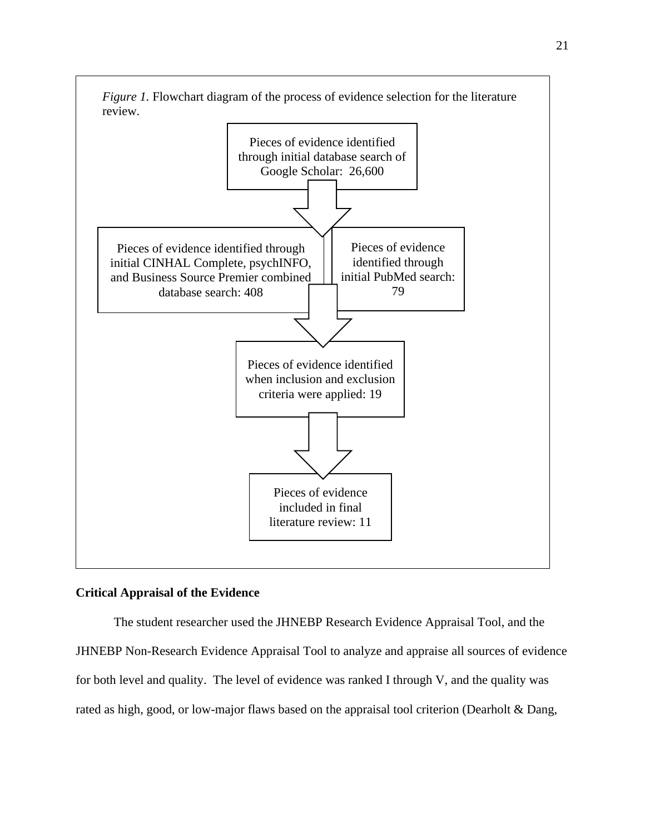

#### **Critical Appraisal of the Evidence**

The student researcher used the JHNEBP Research Evidence Appraisal Tool, and the JHNEBP Non-Research Evidence Appraisal Tool to analyze and appraise all sources of evidence for both level and quality. The level of evidence was ranked I through V, and the quality was rated as high, good, or low-major flaws based on the appraisal tool criterion (Dearholt & Dang,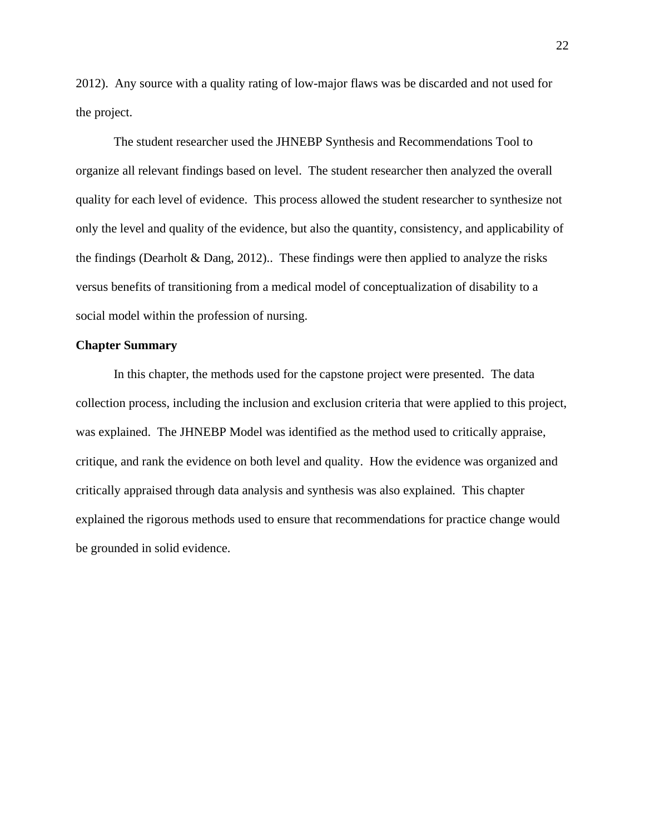2012). Any source with a quality rating of low-major flaws was be discarded and not used for the project.

The student researcher used the JHNEBP Synthesis and Recommendations Tool to organize all relevant findings based on level. The student researcher then analyzed the overall quality for each level of evidence. This process allowed the student researcher to synthesize not only the level and quality of the evidence, but also the quantity, consistency, and applicability of the findings (Dearholt & Dang, 2012).. These findings were then applied to analyze the risks versus benefits of transitioning from a medical model of conceptualization of disability to a social model within the profession of nursing.

#### **Chapter Summary**

In this chapter, the methods used for the capstone project were presented. The data collection process, including the inclusion and exclusion criteria that were applied to this project, was explained. The JHNEBP Model was identified as the method used to critically appraise, critique, and rank the evidence on both level and quality. How the evidence was organized and critically appraised through data analysis and synthesis was also explained. This chapter explained the rigorous methods used to ensure that recommendations for practice change would be grounded in solid evidence.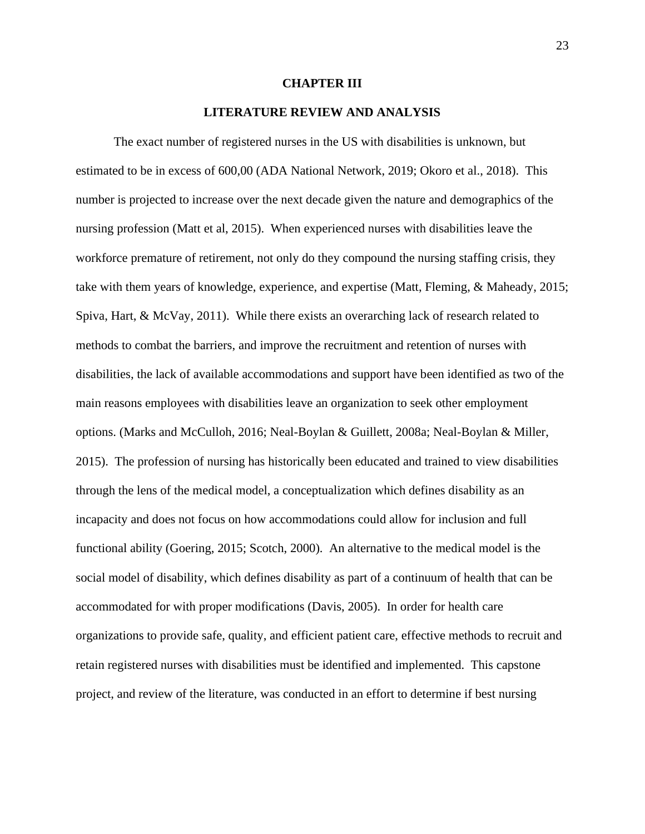#### **CHAPTER III**

#### **LITERATURE REVIEW AND ANALYSIS**

The exact number of registered nurses in the US with disabilities is unknown, but estimated to be in excess of 600,00 (ADA National Network, 2019; Okoro et al., 2018). This number is projected to increase over the next decade given the nature and demographics of the nursing profession (Matt et al, 2015). When experienced nurses with disabilities leave the workforce premature of retirement, not only do they compound the nursing staffing crisis, they take with them years of knowledge, experience, and expertise (Matt, Fleming, & Maheady, 2015; Spiva, Hart, & McVay, 2011). While there exists an overarching lack of research related to methods to combat the barriers, and improve the recruitment and retention of nurses with disabilities, the lack of available accommodations and support have been identified as two of the main reasons employees with disabilities leave an organization to seek other employment options. (Marks and McCulloh, 2016; Neal-Boylan & Guillett, 2008a; Neal-Boylan & Miller, 2015). The profession of nursing has historically been educated and trained to view disabilities through the lens of the medical model, a conceptualization which defines disability as an incapacity and does not focus on how accommodations could allow for inclusion and full functional ability (Goering, 2015; Scotch, 2000). An alternative to the medical model is the social model of disability, which defines disability as part of a continuum of health that can be accommodated for with proper modifications (Davis, 2005). In order for health care organizations to provide safe, quality, and efficient patient care, effective methods to recruit and retain registered nurses with disabilities must be identified and implemented. This capstone project, and review of the literature, was conducted in an effort to determine if best nursing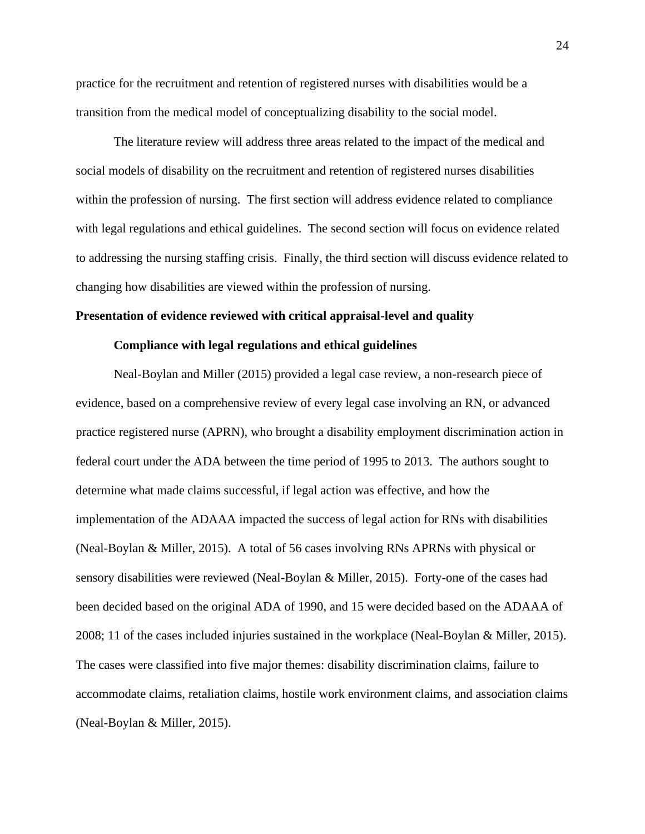practice for the recruitment and retention of registered nurses with disabilities would be a transition from the medical model of conceptualizing disability to the social model.

The literature review will address three areas related to the impact of the medical and social models of disability on the recruitment and retention of registered nurses disabilities within the profession of nursing. The first section will address evidence related to compliance with legal regulations and ethical guidelines. The second section will focus on evidence related to addressing the nursing staffing crisis. Finally, the third section will discuss evidence related to changing how disabilities are viewed within the profession of nursing.

#### **Presentation of evidence reviewed with critical appraisal-level and quality**

#### **Compliance with legal regulations and ethical guidelines**

Neal-Boylan and Miller (2015) provided a legal case review, a non-research piece of evidence, based on a comprehensive review of every legal case involving an RN, or advanced practice registered nurse (APRN), who brought a disability employment discrimination action in federal court under the ADA between the time period of 1995 to 2013. The authors sought to determine what made claims successful, if legal action was effective, and how the implementation of the ADAAA impacted the success of legal action for RNs with disabilities (Neal-Boylan & Miller, 2015). A total of 56 cases involving RNs APRNs with physical or sensory disabilities were reviewed (Neal-Boylan & Miller, 2015). Forty-one of the cases had been decided based on the original ADA of 1990, and 15 were decided based on the ADAAA of 2008; 11 of the cases included injuries sustained in the workplace (Neal-Boylan & Miller, 2015). The cases were classified into five major themes: disability discrimination claims, failure to accommodate claims, retaliation claims, hostile work environment claims, and association claims (Neal-Boylan & Miller, 2015).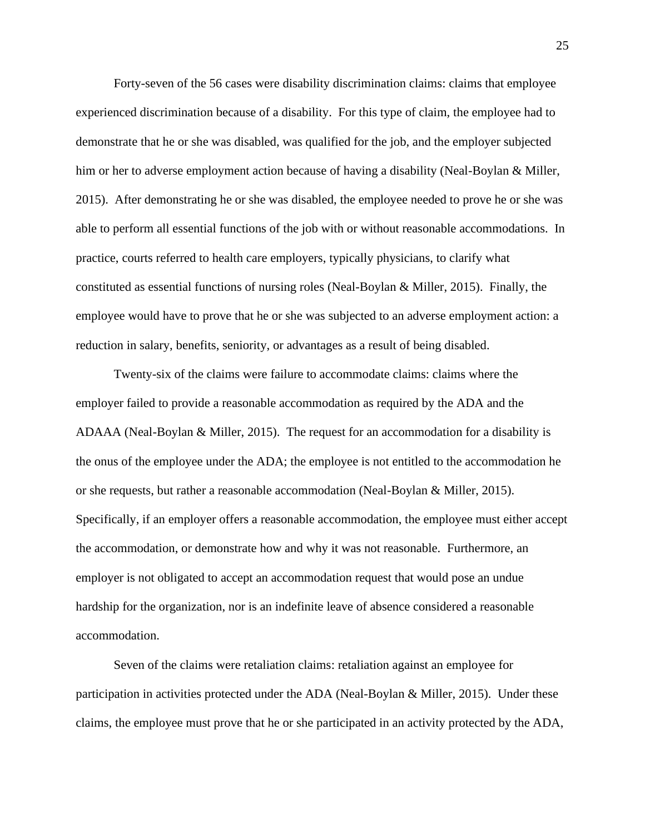Forty-seven of the 56 cases were disability discrimination claims: claims that employee experienced discrimination because of a disability. For this type of claim, the employee had to demonstrate that he or she was disabled, was qualified for the job, and the employer subjected him or her to adverse employment action because of having a disability (Neal-Boylan & Miller, 2015). After demonstrating he or she was disabled, the employee needed to prove he or she was able to perform all essential functions of the job with or without reasonable accommodations. In practice, courts referred to health care employers, typically physicians, to clarify what constituted as essential functions of nursing roles (Neal-Boylan & Miller, 2015). Finally, the employee would have to prove that he or she was subjected to an adverse employment action: a reduction in salary, benefits, seniority, or advantages as a result of being disabled.

Twenty-six of the claims were failure to accommodate claims: claims where the employer failed to provide a reasonable accommodation as required by the ADA and the ADAAA (Neal-Boylan  $\&$  Miller, 2015). The request for an accommodation for a disability is the onus of the employee under the ADA; the employee is not entitled to the accommodation he or she requests, but rather a reasonable accommodation (Neal-Boylan & Miller, 2015). Specifically, if an employer offers a reasonable accommodation, the employee must either accept the accommodation, or demonstrate how and why it was not reasonable. Furthermore, an employer is not obligated to accept an accommodation request that would pose an undue hardship for the organization, nor is an indefinite leave of absence considered a reasonable accommodation.

Seven of the claims were retaliation claims: retaliation against an employee for participation in activities protected under the ADA (Neal-Boylan & Miller, 2015). Under these claims, the employee must prove that he or she participated in an activity protected by the ADA,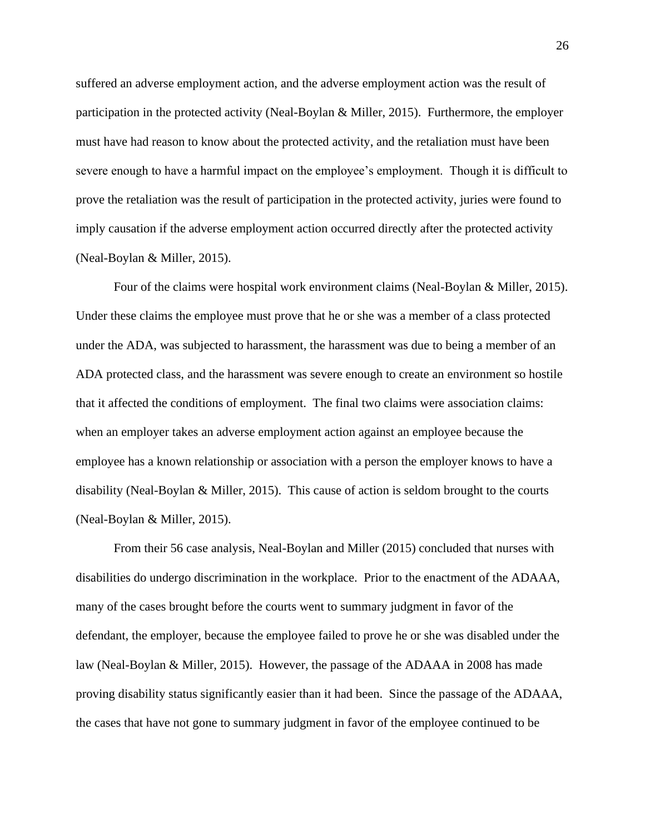suffered an adverse employment action, and the adverse employment action was the result of participation in the protected activity (Neal-Boylan & Miller, 2015). Furthermore, the employer must have had reason to know about the protected activity, and the retaliation must have been severe enough to have a harmful impact on the employee's employment. Though it is difficult to prove the retaliation was the result of participation in the protected activity, juries were found to imply causation if the adverse employment action occurred directly after the protected activity (Neal-Boylan & Miller, 2015).

Four of the claims were hospital work environment claims (Neal-Boylan & Miller, 2015). Under these claims the employee must prove that he or she was a member of a class protected under the ADA, was subjected to harassment, the harassment was due to being a member of an ADA protected class, and the harassment was severe enough to create an environment so hostile that it affected the conditions of employment. The final two claims were association claims: when an employer takes an adverse employment action against an employee because the employee has a known relationship or association with a person the employer knows to have a disability (Neal-Boylan & Miller, 2015). This cause of action is seldom brought to the courts (Neal-Boylan & Miller, 2015).

From their 56 case analysis, Neal-Boylan and Miller (2015) concluded that nurses with disabilities do undergo discrimination in the workplace. Prior to the enactment of the ADAAA, many of the cases brought before the courts went to summary judgment in favor of the defendant, the employer, because the employee failed to prove he or she was disabled under the law (Neal-Boylan & Miller, 2015). However, the passage of the ADAAA in 2008 has made proving disability status significantly easier than it had been. Since the passage of the ADAAA, the cases that have not gone to summary judgment in favor of the employee continued to be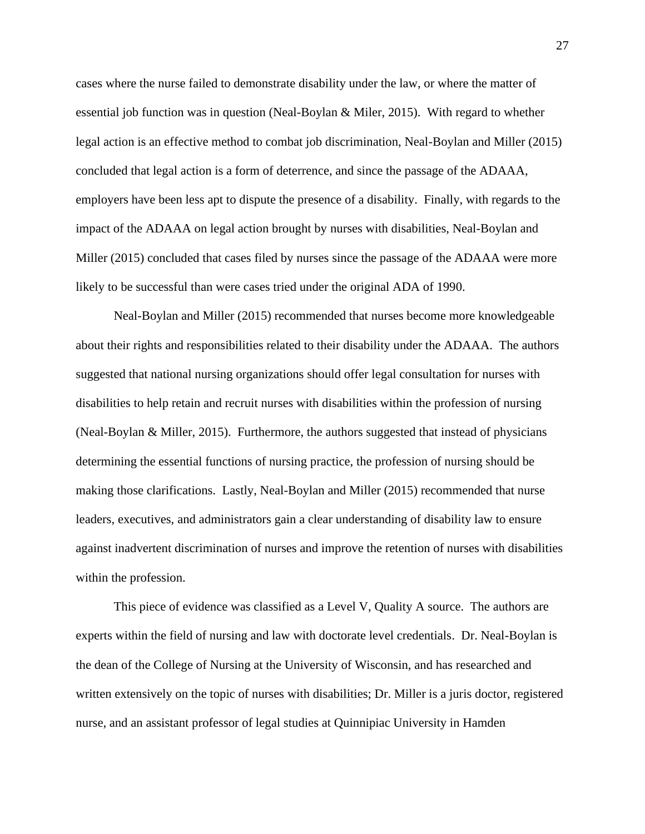cases where the nurse failed to demonstrate disability under the law, or where the matter of essential job function was in question (Neal-Boylan & Miler, 2015). With regard to whether legal action is an effective method to combat job discrimination, Neal-Boylan and Miller (2015) concluded that legal action is a form of deterrence, and since the passage of the ADAAA, employers have been less apt to dispute the presence of a disability. Finally, with regards to the impact of the ADAAA on legal action brought by nurses with disabilities, Neal-Boylan and Miller (2015) concluded that cases filed by nurses since the passage of the ADAAA were more likely to be successful than were cases tried under the original ADA of 1990.

Neal-Boylan and Miller (2015) recommended that nurses become more knowledgeable about their rights and responsibilities related to their disability under the ADAAA. The authors suggested that national nursing organizations should offer legal consultation for nurses with disabilities to help retain and recruit nurses with disabilities within the profession of nursing (Neal-Boylan & Miller, 2015). Furthermore, the authors suggested that instead of physicians determining the essential functions of nursing practice, the profession of nursing should be making those clarifications. Lastly, Neal-Boylan and Miller (2015) recommended that nurse leaders, executives, and administrators gain a clear understanding of disability law to ensure against inadvertent discrimination of nurses and improve the retention of nurses with disabilities within the profession.

This piece of evidence was classified as a Level V, Quality A source. The authors are experts within the field of nursing and law with doctorate level credentials. Dr. Neal-Boylan is the dean of the College of Nursing at the University of Wisconsin, and has researched and written extensively on the topic of nurses with disabilities; Dr. Miller is a juris doctor, registered nurse, and an assistant professor of legal studies at Quinnipiac University in Hamden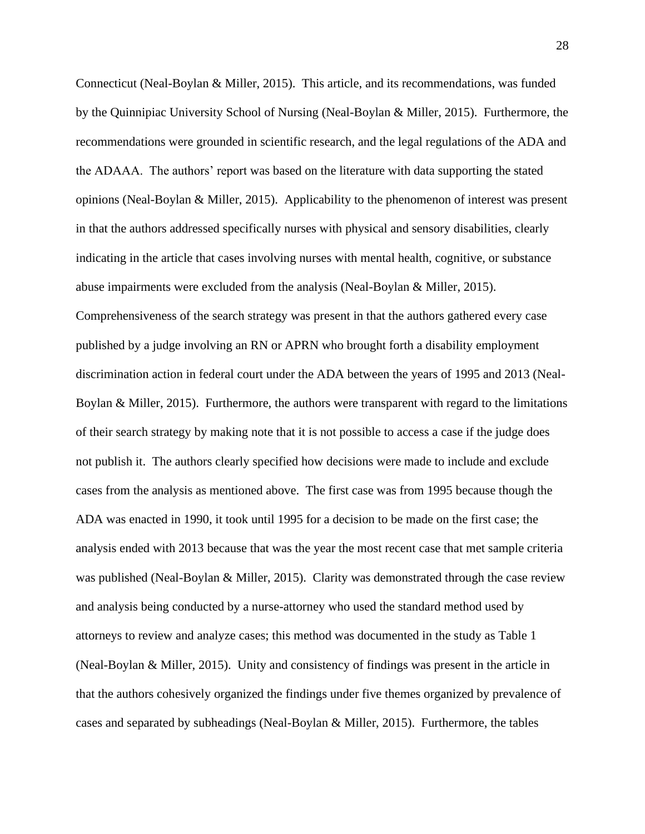Connecticut (Neal-Boylan & Miller, 2015). This article, and its recommendations, was funded by the Quinnipiac University School of Nursing (Neal-Boylan & Miller, 2015). Furthermore, the recommendations were grounded in scientific research, and the legal regulations of the ADA and the ADAAA. The authors' report was based on the literature with data supporting the stated opinions (Neal-Boylan & Miller, 2015). Applicability to the phenomenon of interest was present in that the authors addressed specifically nurses with physical and sensory disabilities, clearly indicating in the article that cases involving nurses with mental health, cognitive, or substance abuse impairments were excluded from the analysis (Neal-Boylan & Miller, 2015). Comprehensiveness of the search strategy was present in that the authors gathered every case published by a judge involving an RN or APRN who brought forth a disability employment discrimination action in federal court under the ADA between the years of 1995 and 2013 (Neal-Boylan & Miller, 2015). Furthermore, the authors were transparent with regard to the limitations of their search strategy by making note that it is not possible to access a case if the judge does not publish it. The authors clearly specified how decisions were made to include and exclude cases from the analysis as mentioned above. The first case was from 1995 because though the ADA was enacted in 1990, it took until 1995 for a decision to be made on the first case; the analysis ended with 2013 because that was the year the most recent case that met sample criteria was published (Neal-Boylan & Miller, 2015). Clarity was demonstrated through the case review and analysis being conducted by a nurse-attorney who used the standard method used by attorneys to review and analyze cases; this method was documented in the study as Table 1 (Neal-Boylan & Miller, 2015). Unity and consistency of findings was present in the article in that the authors cohesively organized the findings under five themes organized by prevalence of cases and separated by subheadings (Neal-Boylan & Miller, 2015). Furthermore, the tables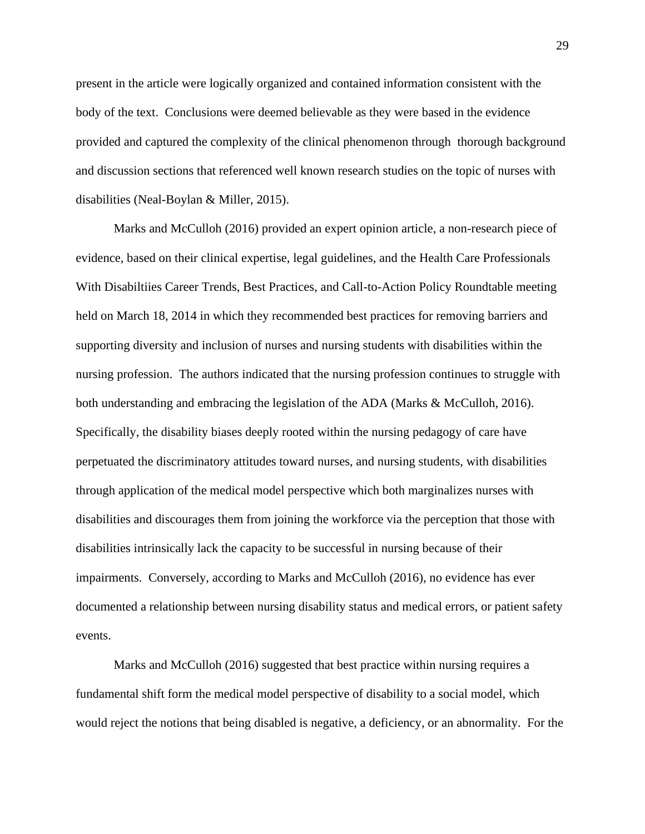present in the article were logically organized and contained information consistent with the body of the text. Conclusions were deemed believable as they were based in the evidence provided and captured the complexity of the clinical phenomenon through thorough background and discussion sections that referenced well known research studies on the topic of nurses with disabilities (Neal-Boylan & Miller, 2015).

Marks and McCulloh (2016) provided an expert opinion article, a non-research piece of evidence, based on their clinical expertise, legal guidelines, and the Health Care Professionals With Disabiltiies Career Trends, Best Practices, and Call-to-Action Policy Roundtable meeting held on March 18, 2014 in which they recommended best practices for removing barriers and supporting diversity and inclusion of nurses and nursing students with disabilities within the nursing profession. The authors indicated that the nursing profession continues to struggle with both understanding and embracing the legislation of the ADA (Marks & McCulloh, 2016). Specifically, the disability biases deeply rooted within the nursing pedagogy of care have perpetuated the discriminatory attitudes toward nurses, and nursing students, with disabilities through application of the medical model perspective which both marginalizes nurses with disabilities and discourages them from joining the workforce via the perception that those with disabilities intrinsically lack the capacity to be successful in nursing because of their impairments. Conversely, according to Marks and McCulloh (2016), no evidence has ever documented a relationship between nursing disability status and medical errors, or patient safety events.

Marks and McCulloh (2016) suggested that best practice within nursing requires a fundamental shift form the medical model perspective of disability to a social model, which would reject the notions that being disabled is negative, a deficiency, or an abnormality. For the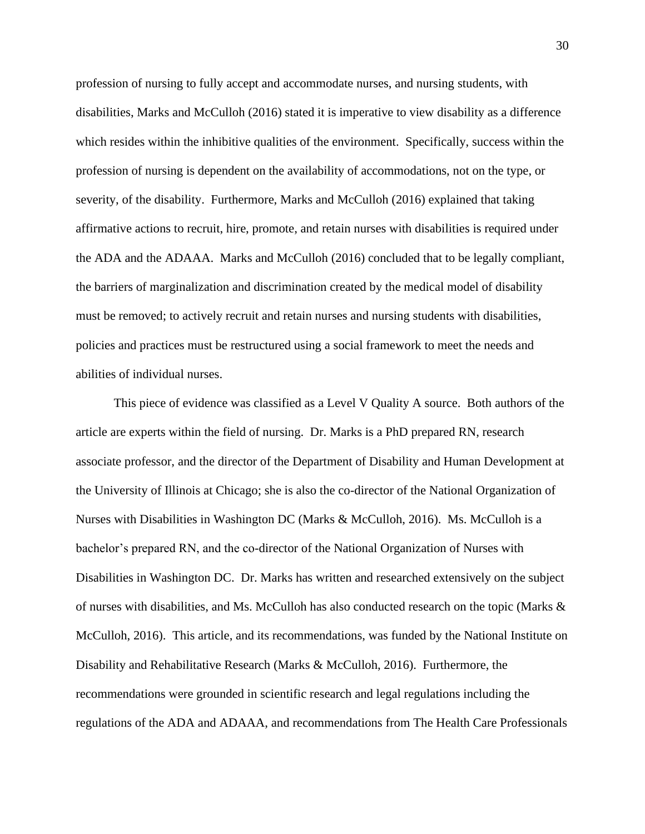profession of nursing to fully accept and accommodate nurses, and nursing students, with disabilities, Marks and McCulloh (2016) stated it is imperative to view disability as a difference which resides within the inhibitive qualities of the environment. Specifically, success within the profession of nursing is dependent on the availability of accommodations, not on the type, or severity, of the disability. Furthermore, Marks and McCulloh (2016) explained that taking affirmative actions to recruit, hire, promote, and retain nurses with disabilities is required under the ADA and the ADAAA. Marks and McCulloh (2016) concluded that to be legally compliant, the barriers of marginalization and discrimination created by the medical model of disability must be removed; to actively recruit and retain nurses and nursing students with disabilities, policies and practices must be restructured using a social framework to meet the needs and abilities of individual nurses.

This piece of evidence was classified as a Level V Quality A source. Both authors of the article are experts within the field of nursing. Dr. Marks is a PhD prepared RN, research associate professor, and the director of the Department of Disability and Human Development at the University of Illinois at Chicago; she is also the co-director of the National Organization of Nurses with Disabilities in Washington DC (Marks & McCulloh, 2016). Ms. McCulloh is a bachelor's prepared RN, and the co-director of the National Organization of Nurses with Disabilities in Washington DC. Dr. Marks has written and researched extensively on the subject of nurses with disabilities, and Ms. McCulloh has also conducted research on the topic (Marks  $\&$ McCulloh, 2016). This article, and its recommendations, was funded by the National Institute on Disability and Rehabilitative Research (Marks & McCulloh, 2016). Furthermore, the recommendations were grounded in scientific research and legal regulations including the regulations of the ADA and ADAAA, and recommendations from The Health Care Professionals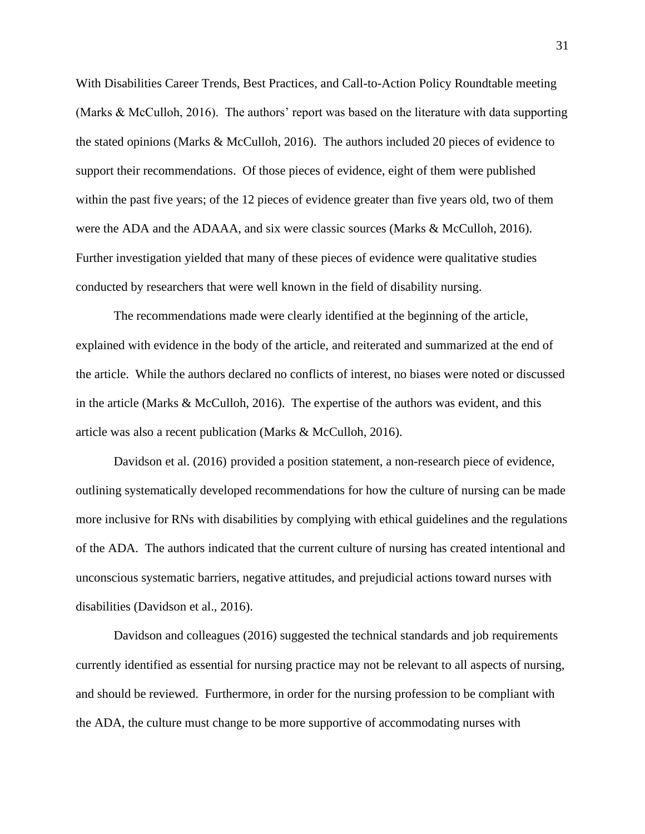With Disabilities Career Trends, Best Practices, and Call-to-Action Policy Roundtable meeting (Marks & McCulloh, 2016). The authors' report was based on the literature with data supporting the stated opinions (Marks & McCulloh, 2016). The authors included 20 pieces of evidence to support their recommendations. Of those pieces of evidence, eight of them were published within the past five years; of the 12 pieces of evidence greater than five years old, two of them were the ADA and the ADAAA, and six were classic sources (Marks & McCulloh, 2016). Further investigation yielded that many of these pieces of evidence were qualitative studies conducted by researchers that were well known in the field of disability nursing.

The recommendations made were clearly identified at the beginning of the article, explained with evidence in the body of the article, and reiterated and summarized at the end of the article. While the authors declared no conflicts of interest, no biases were noted or discussed in the article (Marks & McCulloh, 2016). The expertise of the authors was evident, and this article was also a recent publication (Marks & McCulloh, 2016).

Davidson et al. (2016) provided a position statement, a non-research piece of evidence, outlining systematically developed recommendations for how the culture of nursing can be made more inclusive for RNs with disabilities by complying with ethical guidelines and the regulations of the ADA. The authors indicated that the current culture of nursing has created intentional and unconscious systematic barriers, negative attitudes, and prejudicial actions toward nurses with disabilities (Davidson et al., 2016).

Davidson and colleagues (2016) suggested the technical standards and job requirements currently identified as essential for nursing practice may not be relevant to all aspects of nursing, and should be reviewed. Furthermore, in order for the nursing profession to be compliant with the ADA, the culture must change to be more supportive of accommodating nurses with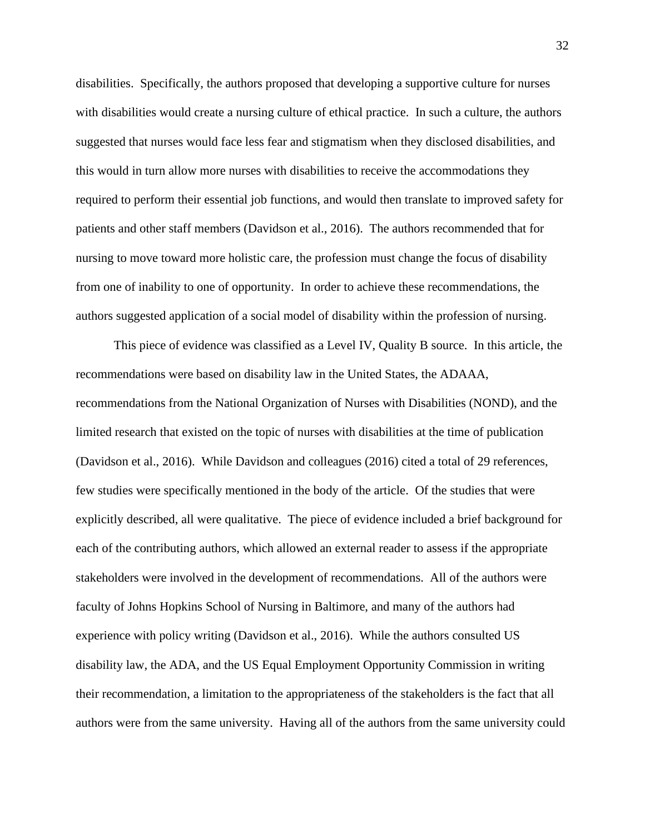disabilities. Specifically, the authors proposed that developing a supportive culture for nurses with disabilities would create a nursing culture of ethical practice. In such a culture, the authors suggested that nurses would face less fear and stigmatism when they disclosed disabilities, and this would in turn allow more nurses with disabilities to receive the accommodations they required to perform their essential job functions, and would then translate to improved safety for patients and other staff members (Davidson et al., 2016). The authors recommended that for nursing to move toward more holistic care, the profession must change the focus of disability from one of inability to one of opportunity. In order to achieve these recommendations, the authors suggested application of a social model of disability within the profession of nursing.

This piece of evidence was classified as a Level IV, Quality B source. In this article, the recommendations were based on disability law in the United States, the ADAAA, recommendations from the National Organization of Nurses with Disabilities (NOND), and the limited research that existed on the topic of nurses with disabilities at the time of publication (Davidson et al., 2016). While Davidson and colleagues (2016) cited a total of 29 references, few studies were specifically mentioned in the body of the article. Of the studies that were explicitly described, all were qualitative. The piece of evidence included a brief background for each of the contributing authors, which allowed an external reader to assess if the appropriate stakeholders were involved in the development of recommendations. All of the authors were faculty of Johns Hopkins School of Nursing in Baltimore, and many of the authors had experience with policy writing (Davidson et al., 2016). While the authors consulted US disability law, the ADA, and the US Equal Employment Opportunity Commission in writing their recommendation, a limitation to the appropriateness of the stakeholders is the fact that all authors were from the same university. Having all of the authors from the same university could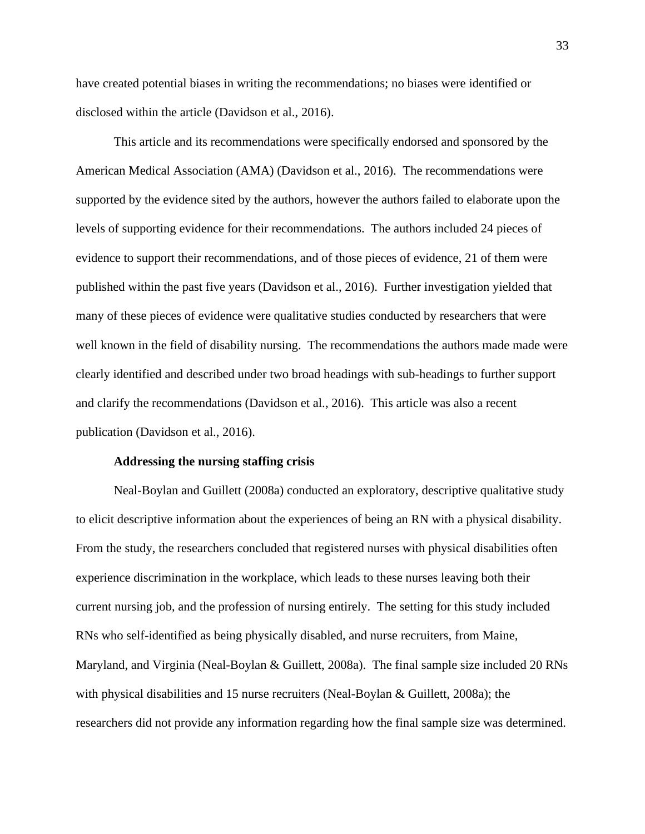have created potential biases in writing the recommendations; no biases were identified or disclosed within the article (Davidson et al., 2016).

This article and its recommendations were specifically endorsed and sponsored by the American Medical Association (AMA) (Davidson et al., 2016). The recommendations were supported by the evidence sited by the authors, however the authors failed to elaborate upon the levels of supporting evidence for their recommendations. The authors included 24 pieces of evidence to support their recommendations, and of those pieces of evidence, 21 of them were published within the past five years (Davidson et al., 2016). Further investigation yielded that many of these pieces of evidence were qualitative studies conducted by researchers that were well known in the field of disability nursing. The recommendations the authors made made were clearly identified and described under two broad headings with sub-headings to further support and clarify the recommendations (Davidson et al., 2016). This article was also a recent publication (Davidson et al., 2016).

## **Addressing the nursing staffing crisis**

Neal-Boylan and Guillett (2008a) conducted an exploratory, descriptive qualitative study to elicit descriptive information about the experiences of being an RN with a physical disability. From the study, the researchers concluded that registered nurses with physical disabilities often experience discrimination in the workplace, which leads to these nurses leaving both their current nursing job, and the profession of nursing entirely. The setting for this study included RNs who self-identified as being physically disabled, and nurse recruiters, from Maine, Maryland, and Virginia (Neal-Boylan & Guillett, 2008a). The final sample size included 20 RNs with physical disabilities and 15 nurse recruiters (Neal-Boylan & Guillett, 2008a); the researchers did not provide any information regarding how the final sample size was determined.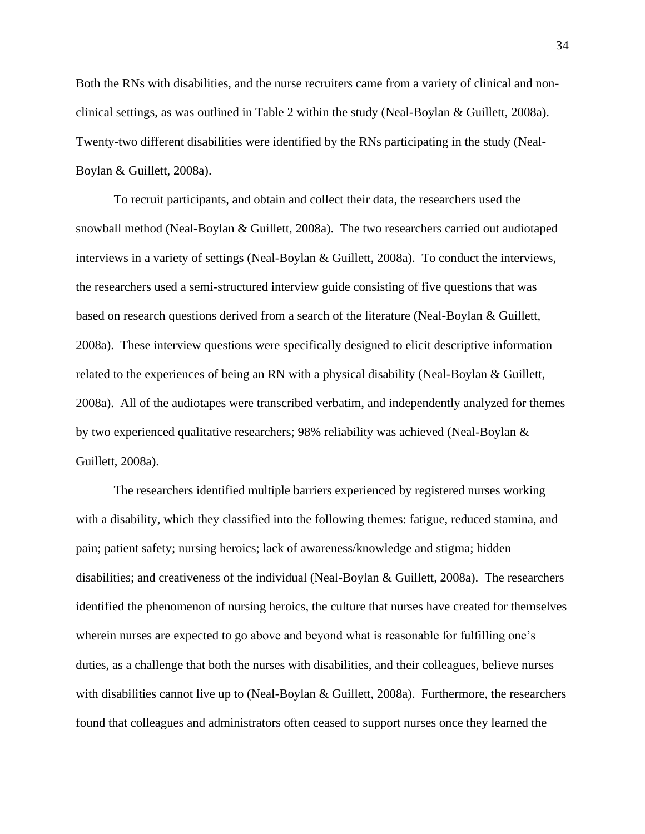Both the RNs with disabilities, and the nurse recruiters came from a variety of clinical and nonclinical settings, as was outlined in Table 2 within the study (Neal-Boylan & Guillett, 2008a). Twenty-two different disabilities were identified by the RNs participating in the study (Neal-Boylan & Guillett, 2008a).

To recruit participants, and obtain and collect their data, the researchers used the snowball method (Neal-Boylan & Guillett, 2008a). The two researchers carried out audiotaped interviews in a variety of settings (Neal-Boylan & Guillett, 2008a). To conduct the interviews, the researchers used a semi-structured interview guide consisting of five questions that was based on research questions derived from a search of the literature (Neal-Boylan & Guillett, 2008a). These interview questions were specifically designed to elicit descriptive information related to the experiences of being an RN with a physical disability (Neal-Boylan & Guillett, 2008a). All of the audiotapes were transcribed verbatim, and independently analyzed for themes by two experienced qualitative researchers; 98% reliability was achieved (Neal-Boylan & Guillett, 2008a).

The researchers identified multiple barriers experienced by registered nurses working with a disability, which they classified into the following themes: fatigue, reduced stamina, and pain; patient safety; nursing heroics; lack of awareness/knowledge and stigma; hidden disabilities; and creativeness of the individual (Neal-Boylan & Guillett, 2008a). The researchers identified the phenomenon of nursing heroics, the culture that nurses have created for themselves wherein nurses are expected to go above and beyond what is reasonable for fulfilling one's duties, as a challenge that both the nurses with disabilities, and their colleagues, believe nurses with disabilities cannot live up to (Neal-Boylan & Guillett, 2008a). Furthermore, the researchers found that colleagues and administrators often ceased to support nurses once they learned the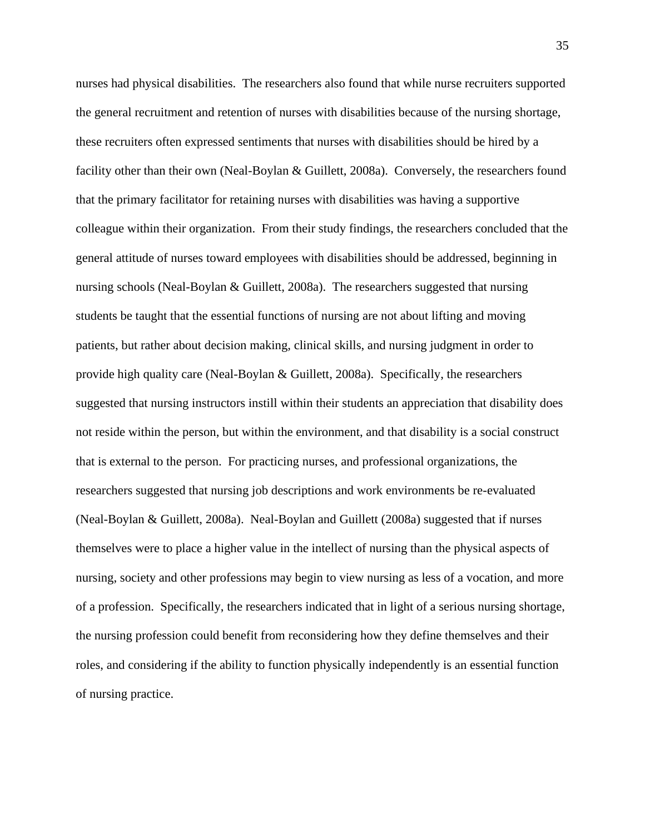nurses had physical disabilities. The researchers also found that while nurse recruiters supported the general recruitment and retention of nurses with disabilities because of the nursing shortage, these recruiters often expressed sentiments that nurses with disabilities should be hired by a facility other than their own (Neal-Boylan & Guillett, 2008a). Conversely, the researchers found that the primary facilitator for retaining nurses with disabilities was having a supportive colleague within their organization. From their study findings, the researchers concluded that the general attitude of nurses toward employees with disabilities should be addressed, beginning in nursing schools (Neal-Boylan & Guillett, 2008a). The researchers suggested that nursing students be taught that the essential functions of nursing are not about lifting and moving patients, but rather about decision making, clinical skills, and nursing judgment in order to provide high quality care (Neal-Boylan & Guillett, 2008a). Specifically, the researchers suggested that nursing instructors instill within their students an appreciation that disability does not reside within the person, but within the environment, and that disability is a social construct that is external to the person. For practicing nurses, and professional organizations, the researchers suggested that nursing job descriptions and work environments be re-evaluated (Neal-Boylan & Guillett, 2008a). Neal-Boylan and Guillett (2008a) suggested that if nurses themselves were to place a higher value in the intellect of nursing than the physical aspects of nursing, society and other professions may begin to view nursing as less of a vocation, and more of a profession. Specifically, the researchers indicated that in light of a serious nursing shortage, the nursing profession could benefit from reconsidering how they define themselves and their roles, and considering if the ability to function physically independently is an essential function of nursing practice.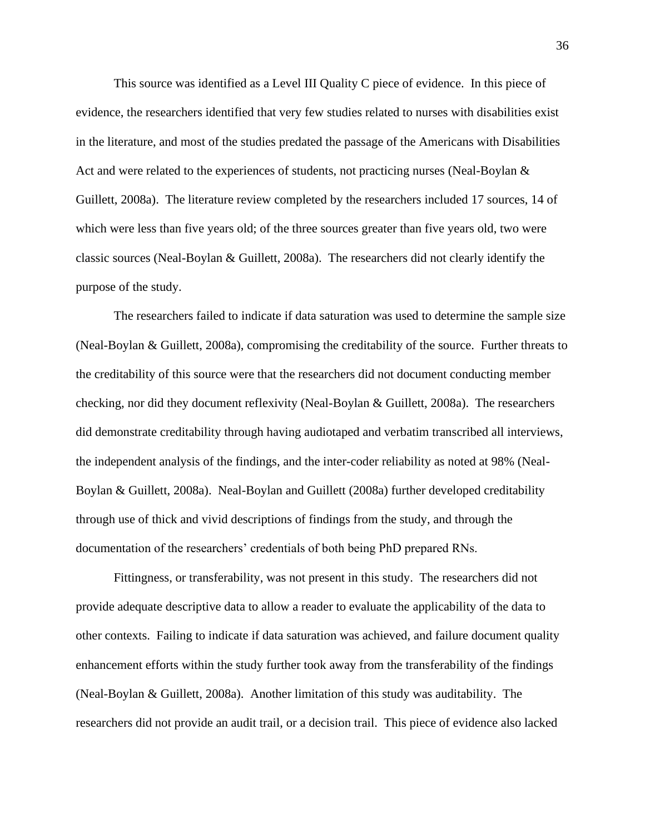This source was identified as a Level III Quality C piece of evidence. In this piece of evidence, the researchers identified that very few studies related to nurses with disabilities exist in the literature, and most of the studies predated the passage of the Americans with Disabilities Act and were related to the experiences of students, not practicing nurses (Neal-Boylan & Guillett, 2008a). The literature review completed by the researchers included 17 sources, 14 of which were less than five years old; of the three sources greater than five years old, two were classic sources (Neal-Boylan & Guillett, 2008a). The researchers did not clearly identify the purpose of the study.

The researchers failed to indicate if data saturation was used to determine the sample size (Neal-Boylan & Guillett, 2008a), compromising the creditability of the source. Further threats to the creditability of this source were that the researchers did not document conducting member checking, nor did they document reflexivity (Neal-Boylan & Guillett, 2008a). The researchers did demonstrate creditability through having audiotaped and verbatim transcribed all interviews, the independent analysis of the findings, and the inter-coder reliability as noted at 98% (Neal-Boylan & Guillett, 2008a). Neal-Boylan and Guillett (2008a) further developed creditability through use of thick and vivid descriptions of findings from the study, and through the documentation of the researchers' credentials of both being PhD prepared RNs.

Fittingness, or transferability, was not present in this study. The researchers did not provide adequate descriptive data to allow a reader to evaluate the applicability of the data to other contexts. Failing to indicate if data saturation was achieved, and failure document quality enhancement efforts within the study further took away from the transferability of the findings (Neal-Boylan & Guillett, 2008a). Another limitation of this study was auditability. The researchers did not provide an audit trail, or a decision trail. This piece of evidence also lacked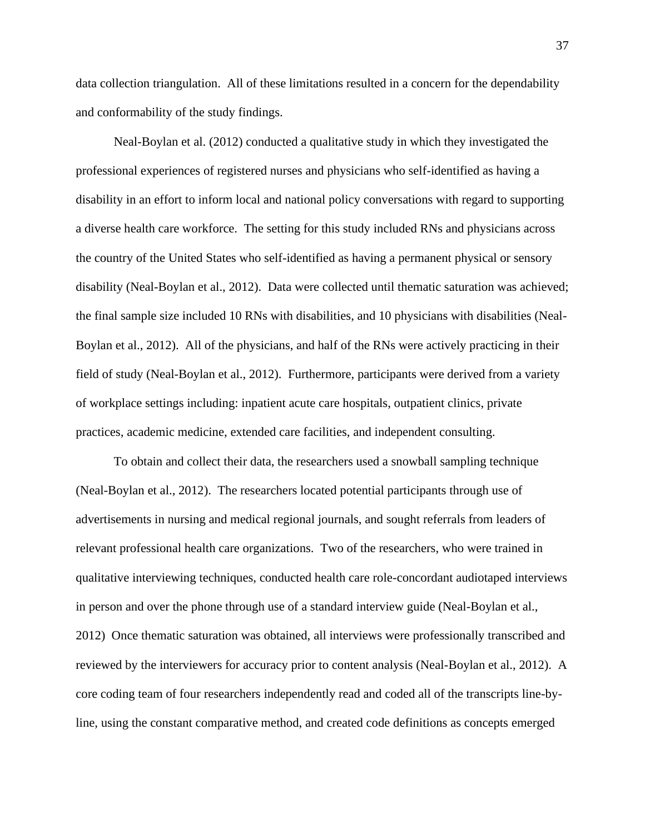data collection triangulation. All of these limitations resulted in a concern for the dependability and conformability of the study findings.

Neal-Boylan et al. (2012) conducted a qualitative study in which they investigated the professional experiences of registered nurses and physicians who self-identified as having a disability in an effort to inform local and national policy conversations with regard to supporting a diverse health care workforce. The setting for this study included RNs and physicians across the country of the United States who self-identified as having a permanent physical or sensory disability (Neal-Boylan et al., 2012). Data were collected until thematic saturation was achieved; the final sample size included 10 RNs with disabilities, and 10 physicians with disabilities (Neal-Boylan et al., 2012). All of the physicians, and half of the RNs were actively practicing in their field of study (Neal-Boylan et al., 2012). Furthermore, participants were derived from a variety of workplace settings including: inpatient acute care hospitals, outpatient clinics, private practices, academic medicine, extended care facilities, and independent consulting.

To obtain and collect their data, the researchers used a snowball sampling technique (Neal-Boylan et al., 2012). The researchers located potential participants through use of advertisements in nursing and medical regional journals, and sought referrals from leaders of relevant professional health care organizations. Two of the researchers, who were trained in qualitative interviewing techniques, conducted health care role-concordant audiotaped interviews in person and over the phone through use of a standard interview guide (Neal-Boylan et al., 2012) Once thematic saturation was obtained, all interviews were professionally transcribed and reviewed by the interviewers for accuracy prior to content analysis (Neal-Boylan et al., 2012). A core coding team of four researchers independently read and coded all of the transcripts line-byline, using the constant comparative method, and created code definitions as concepts emerged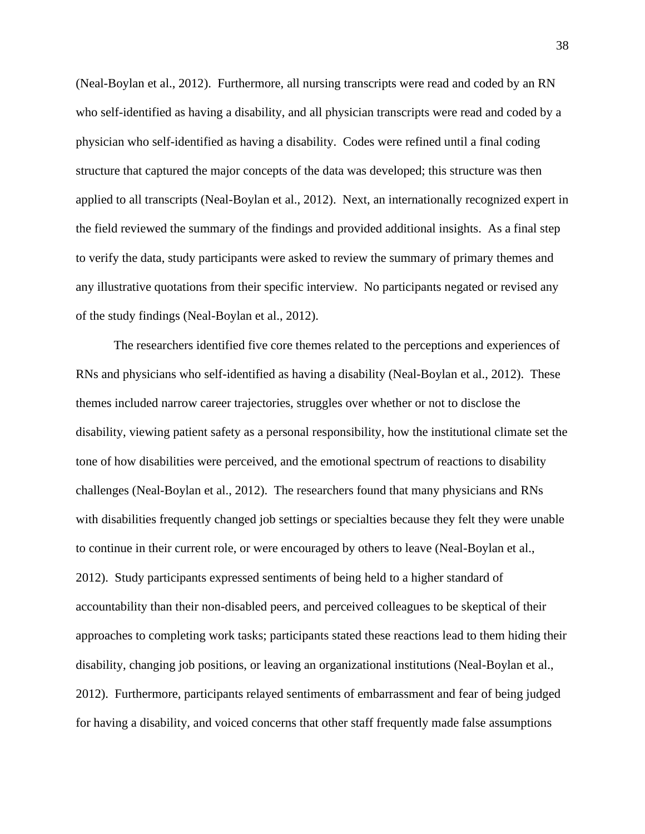(Neal-Boylan et al., 2012). Furthermore, all nursing transcripts were read and coded by an RN who self-identified as having a disability, and all physician transcripts were read and coded by a physician who self-identified as having a disability. Codes were refined until a final coding structure that captured the major concepts of the data was developed; this structure was then applied to all transcripts (Neal-Boylan et al., 2012). Next, an internationally recognized expert in the field reviewed the summary of the findings and provided additional insights. As a final step to verify the data, study participants were asked to review the summary of primary themes and any illustrative quotations from their specific interview. No participants negated or revised any of the study findings (Neal-Boylan et al., 2012).

The researchers identified five core themes related to the perceptions and experiences of RNs and physicians who self-identified as having a disability (Neal-Boylan et al., 2012). These themes included narrow career trajectories, struggles over whether or not to disclose the disability, viewing patient safety as a personal responsibility, how the institutional climate set the tone of how disabilities were perceived, and the emotional spectrum of reactions to disability challenges (Neal-Boylan et al., 2012). The researchers found that many physicians and RNs with disabilities frequently changed job settings or specialties because they felt they were unable to continue in their current role, or were encouraged by others to leave (Neal-Boylan et al., 2012). Study participants expressed sentiments of being held to a higher standard of accountability than their non-disabled peers, and perceived colleagues to be skeptical of their approaches to completing work tasks; participants stated these reactions lead to them hiding their disability, changing job positions, or leaving an organizational institutions (Neal-Boylan et al., 2012). Furthermore, participants relayed sentiments of embarrassment and fear of being judged for having a disability, and voiced concerns that other staff frequently made false assumptions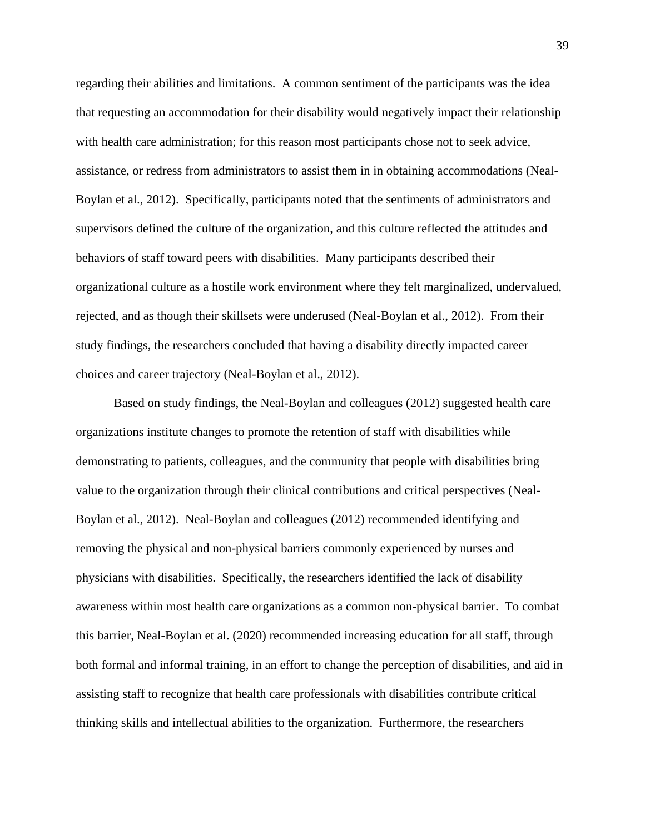regarding their abilities and limitations. A common sentiment of the participants was the idea that requesting an accommodation for their disability would negatively impact their relationship with health care administration; for this reason most participants chose not to seek advice, assistance, or redress from administrators to assist them in in obtaining accommodations (Neal-Boylan et al., 2012). Specifically, participants noted that the sentiments of administrators and supervisors defined the culture of the organization, and this culture reflected the attitudes and behaviors of staff toward peers with disabilities. Many participants described their organizational culture as a hostile work environment where they felt marginalized, undervalued, rejected, and as though their skillsets were underused (Neal-Boylan et al., 2012). From their study findings, the researchers concluded that having a disability directly impacted career choices and career trajectory (Neal-Boylan et al., 2012).

Based on study findings, the Neal-Boylan and colleagues (2012) suggested health care organizations institute changes to promote the retention of staff with disabilities while demonstrating to patients, colleagues, and the community that people with disabilities bring value to the organization through their clinical contributions and critical perspectives (Neal-Boylan et al., 2012). Neal-Boylan and colleagues (2012) recommended identifying and removing the physical and non-physical barriers commonly experienced by nurses and physicians with disabilities. Specifically, the researchers identified the lack of disability awareness within most health care organizations as a common non-physical barrier. To combat this barrier, Neal-Boylan et al. (2020) recommended increasing education for all staff, through both formal and informal training, in an effort to change the perception of disabilities, and aid in assisting staff to recognize that health care professionals with disabilities contribute critical thinking skills and intellectual abilities to the organization. Furthermore, the researchers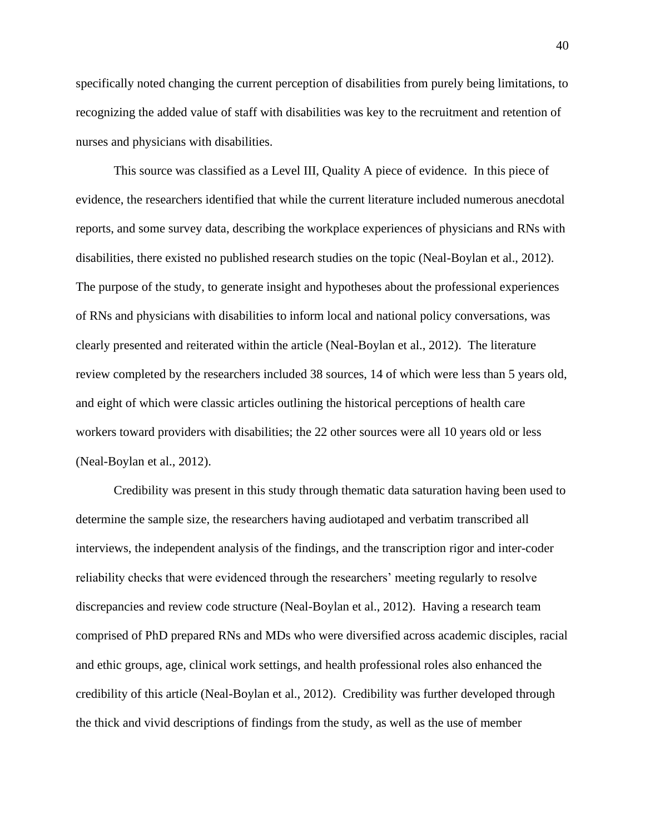specifically noted changing the current perception of disabilities from purely being limitations, to recognizing the added value of staff with disabilities was key to the recruitment and retention of nurses and physicians with disabilities.

This source was classified as a Level III, Quality A piece of evidence. In this piece of evidence, the researchers identified that while the current literature included numerous anecdotal reports, and some survey data, describing the workplace experiences of physicians and RNs with disabilities, there existed no published research studies on the topic (Neal-Boylan et al., 2012). The purpose of the study, to generate insight and hypotheses about the professional experiences of RNs and physicians with disabilities to inform local and national policy conversations, was clearly presented and reiterated within the article (Neal-Boylan et al., 2012). The literature review completed by the researchers included 38 sources, 14 of which were less than 5 years old, and eight of which were classic articles outlining the historical perceptions of health care workers toward providers with disabilities; the 22 other sources were all 10 years old or less (Neal-Boylan et al., 2012).

Credibility was present in this study through thematic data saturation having been used to determine the sample size, the researchers having audiotaped and verbatim transcribed all interviews, the independent analysis of the findings, and the transcription rigor and inter-coder reliability checks that were evidenced through the researchers' meeting regularly to resolve discrepancies and review code structure (Neal-Boylan et al., 2012). Having a research team comprised of PhD prepared RNs and MDs who were diversified across academic disciples, racial and ethic groups, age, clinical work settings, and health professional roles also enhanced the credibility of this article (Neal-Boylan et al., 2012). Credibility was further developed through the thick and vivid descriptions of findings from the study, as well as the use of member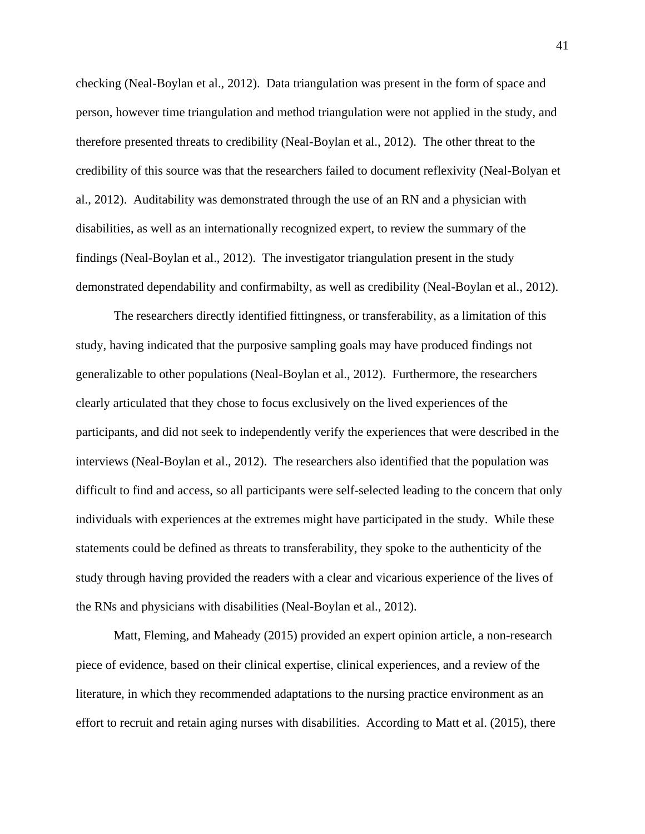checking (Neal-Boylan et al., 2012). Data triangulation was present in the form of space and person, however time triangulation and method triangulation were not applied in the study, and therefore presented threats to credibility (Neal-Boylan et al., 2012). The other threat to the credibility of this source was that the researchers failed to document reflexivity (Neal-Bolyan et al., 2012). Auditability was demonstrated through the use of an RN and a physician with disabilities, as well as an internationally recognized expert, to review the summary of the findings (Neal-Boylan et al., 2012). The investigator triangulation present in the study demonstrated dependability and confirmabilty, as well as credibility (Neal-Boylan et al., 2012).

The researchers directly identified fittingness, or transferability, as a limitation of this study, having indicated that the purposive sampling goals may have produced findings not generalizable to other populations (Neal-Boylan et al., 2012). Furthermore, the researchers clearly articulated that they chose to focus exclusively on the lived experiences of the participants, and did not seek to independently verify the experiences that were described in the interviews (Neal-Boylan et al., 2012). The researchers also identified that the population was difficult to find and access, so all participants were self-selected leading to the concern that only individuals with experiences at the extremes might have participated in the study. While these statements could be defined as threats to transferability, they spoke to the authenticity of the study through having provided the readers with a clear and vicarious experience of the lives of the RNs and physicians with disabilities (Neal-Boylan et al., 2012).

Matt, Fleming, and Maheady (2015) provided an expert opinion article, a non-research piece of evidence, based on their clinical expertise, clinical experiences, and a review of the literature, in which they recommended adaptations to the nursing practice environment as an effort to recruit and retain aging nurses with disabilities. According to Matt et al. (2015), there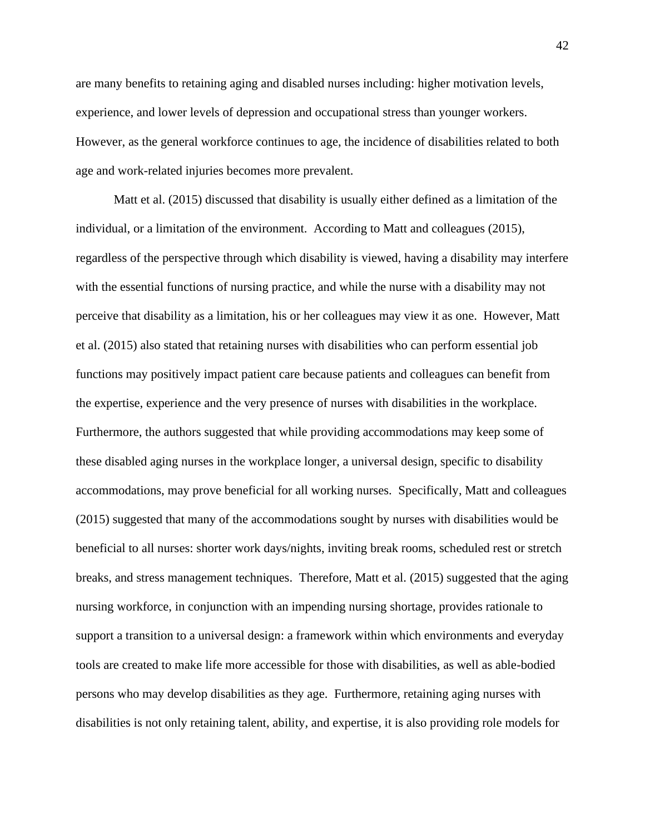are many benefits to retaining aging and disabled nurses including: higher motivation levels, experience, and lower levels of depression and occupational stress than younger workers. However, as the general workforce continues to age, the incidence of disabilities related to both age and work-related injuries becomes more prevalent.

Matt et al. (2015) discussed that disability is usually either defined as a limitation of the individual, or a limitation of the environment. According to Matt and colleagues (2015), regardless of the perspective through which disability is viewed, having a disability may interfere with the essential functions of nursing practice, and while the nurse with a disability may not perceive that disability as a limitation, his or her colleagues may view it as one. However, Matt et al. (2015) also stated that retaining nurses with disabilities who can perform essential job functions may positively impact patient care because patients and colleagues can benefit from the expertise, experience and the very presence of nurses with disabilities in the workplace. Furthermore, the authors suggested that while providing accommodations may keep some of these disabled aging nurses in the workplace longer, a universal design, specific to disability accommodations, may prove beneficial for all working nurses. Specifically, Matt and colleagues (2015) suggested that many of the accommodations sought by nurses with disabilities would be beneficial to all nurses: shorter work days/nights, inviting break rooms, scheduled rest or stretch breaks, and stress management techniques. Therefore, Matt et al. (2015) suggested that the aging nursing workforce, in conjunction with an impending nursing shortage, provides rationale to support a transition to a universal design: a framework within which environments and everyday tools are created to make life more accessible for those with disabilities, as well as able-bodied persons who may develop disabilities as they age. Furthermore, retaining aging nurses with disabilities is not only retaining talent, ability, and expertise, it is also providing role models for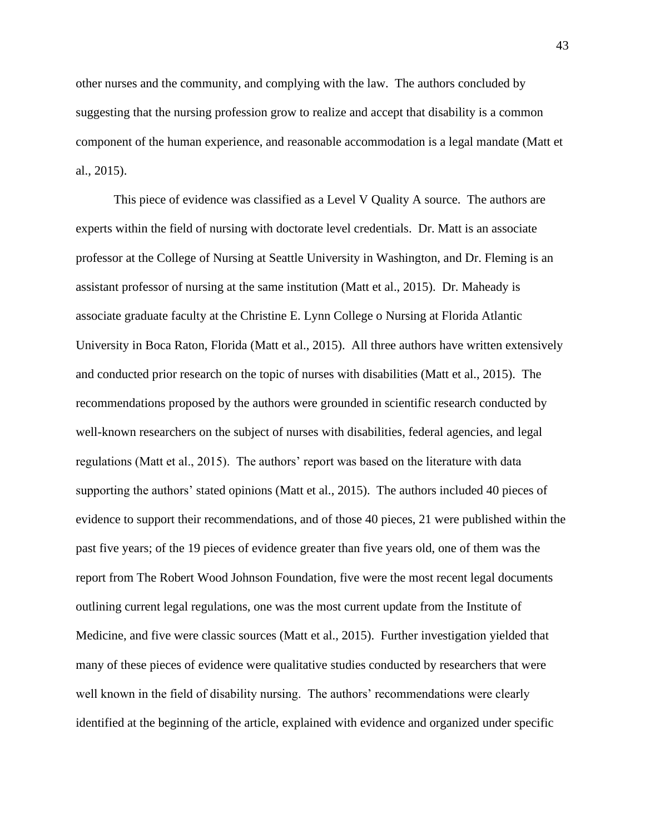other nurses and the community, and complying with the law. The authors concluded by suggesting that the nursing profession grow to realize and accept that disability is a common component of the human experience, and reasonable accommodation is a legal mandate (Matt et al., 2015).

This piece of evidence was classified as a Level V Quality A source. The authors are experts within the field of nursing with doctorate level credentials. Dr. Matt is an associate professor at the College of Nursing at Seattle University in Washington, and Dr. Fleming is an assistant professor of nursing at the same institution (Matt et al., 2015). Dr. Maheady is associate graduate faculty at the Christine E. Lynn College o Nursing at Florida Atlantic University in Boca Raton, Florida (Matt et al., 2015). All three authors have written extensively and conducted prior research on the topic of nurses with disabilities (Matt et al., 2015). The recommendations proposed by the authors were grounded in scientific research conducted by well-known researchers on the subject of nurses with disabilities, federal agencies, and legal regulations (Matt et al., 2015). The authors' report was based on the literature with data supporting the authors' stated opinions (Matt et al., 2015). The authors included 40 pieces of evidence to support their recommendations, and of those 40 pieces, 21 were published within the past five years; of the 19 pieces of evidence greater than five years old, one of them was the report from The Robert Wood Johnson Foundation, five were the most recent legal documents outlining current legal regulations, one was the most current update from the Institute of Medicine, and five were classic sources (Matt et al., 2015). Further investigation yielded that many of these pieces of evidence were qualitative studies conducted by researchers that were well known in the field of disability nursing. The authors' recommendations were clearly identified at the beginning of the article, explained with evidence and organized under specific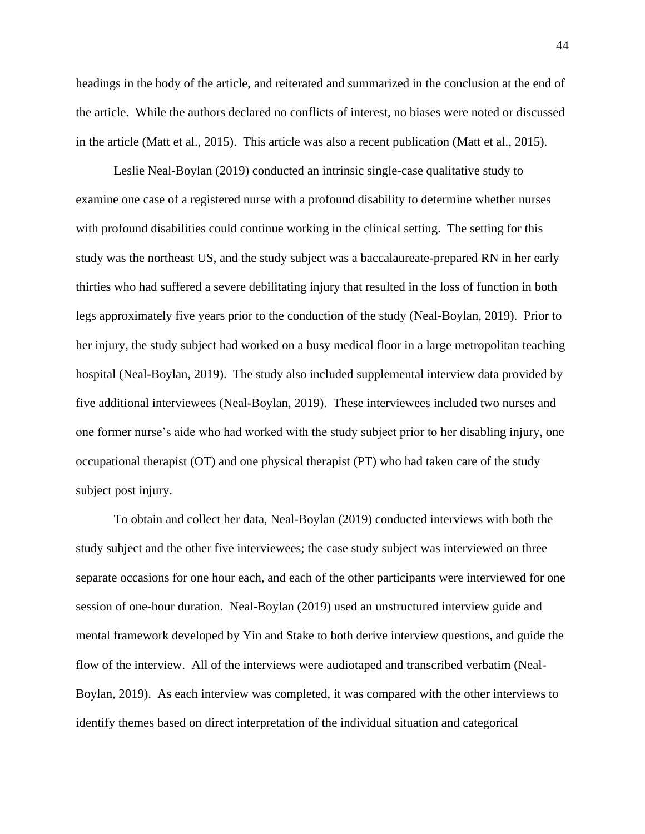headings in the body of the article, and reiterated and summarized in the conclusion at the end of the article. While the authors declared no conflicts of interest, no biases were noted or discussed in the article (Matt et al., 2015). This article was also a recent publication (Matt et al., 2015).

Leslie Neal-Boylan (2019) conducted an intrinsic single-case qualitative study to examine one case of a registered nurse with a profound disability to determine whether nurses with profound disabilities could continue working in the clinical setting. The setting for this study was the northeast US, and the study subject was a baccalaureate-prepared RN in her early thirties who had suffered a severe debilitating injury that resulted in the loss of function in both legs approximately five years prior to the conduction of the study (Neal-Boylan, 2019). Prior to her injury, the study subject had worked on a busy medical floor in a large metropolitan teaching hospital (Neal-Boylan, 2019). The study also included supplemental interview data provided by five additional interviewees (Neal-Boylan, 2019). These interviewees included two nurses and one former nurse's aide who had worked with the study subject prior to her disabling injury, one occupational therapist (OT) and one physical therapist (PT) who had taken care of the study subject post injury.

To obtain and collect her data, Neal-Boylan (2019) conducted interviews with both the study subject and the other five interviewees; the case study subject was interviewed on three separate occasions for one hour each, and each of the other participants were interviewed for one session of one-hour duration. Neal-Boylan (2019) used an unstructured interview guide and mental framework developed by Yin and Stake to both derive interview questions, and guide the flow of the interview. All of the interviews were audiotaped and transcribed verbatim (Neal-Boylan, 2019). As each interview was completed, it was compared with the other interviews to identify themes based on direct interpretation of the individual situation and categorical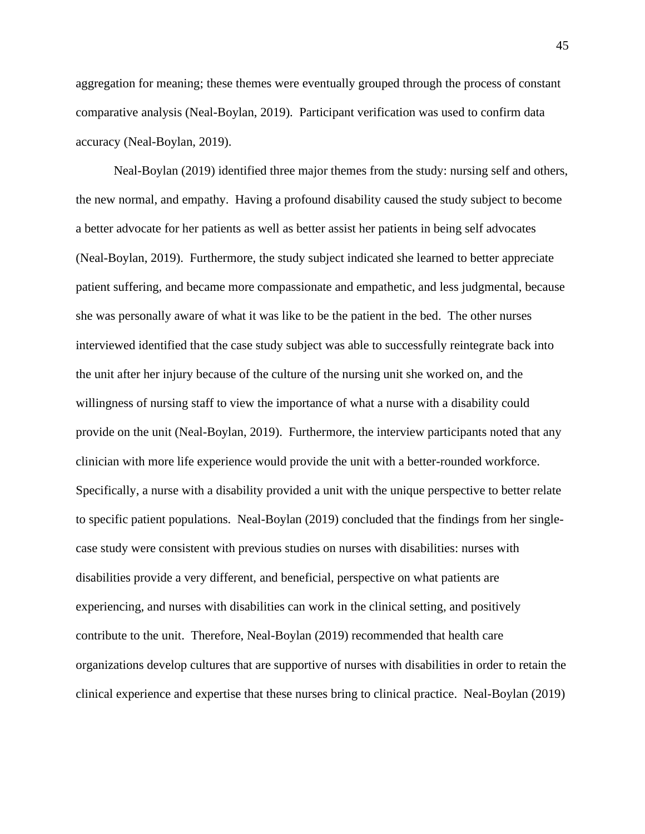aggregation for meaning; these themes were eventually grouped through the process of constant comparative analysis (Neal-Boylan, 2019). Participant verification was used to confirm data accuracy (Neal-Boylan, 2019).

Neal-Boylan (2019) identified three major themes from the study: nursing self and others, the new normal, and empathy. Having a profound disability caused the study subject to become a better advocate for her patients as well as better assist her patients in being self advocates (Neal-Boylan, 2019). Furthermore, the study subject indicated she learned to better appreciate patient suffering, and became more compassionate and empathetic, and less judgmental, because she was personally aware of what it was like to be the patient in the bed. The other nurses interviewed identified that the case study subject was able to successfully reintegrate back into the unit after her injury because of the culture of the nursing unit she worked on, and the willingness of nursing staff to view the importance of what a nurse with a disability could provide on the unit (Neal-Boylan, 2019). Furthermore, the interview participants noted that any clinician with more life experience would provide the unit with a better-rounded workforce. Specifically, a nurse with a disability provided a unit with the unique perspective to better relate to specific patient populations. Neal-Boylan (2019) concluded that the findings from her singlecase study were consistent with previous studies on nurses with disabilities: nurses with disabilities provide a very different, and beneficial, perspective on what patients are experiencing, and nurses with disabilities can work in the clinical setting, and positively contribute to the unit. Therefore, Neal-Boylan (2019) recommended that health care organizations develop cultures that are supportive of nurses with disabilities in order to retain the clinical experience and expertise that these nurses bring to clinical practice. Neal-Boylan (2019)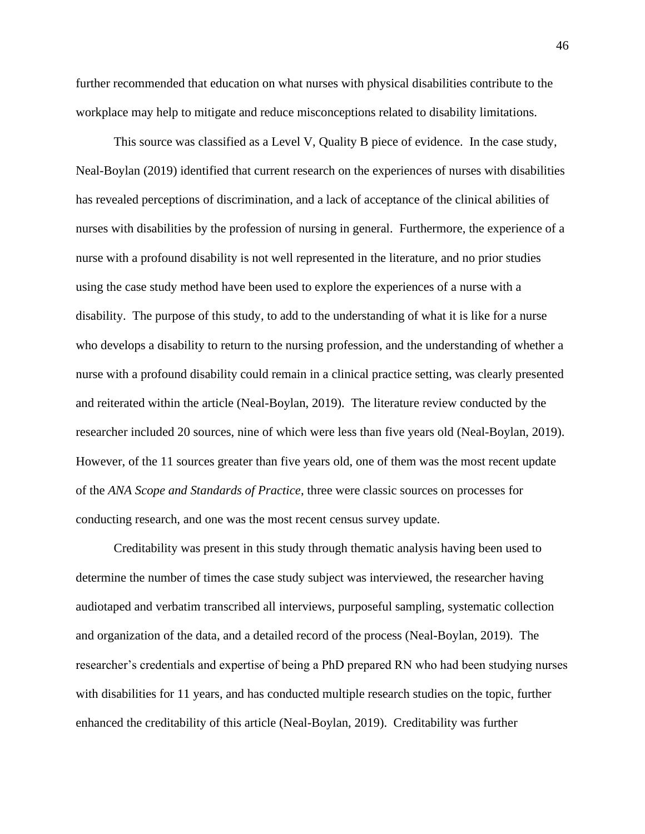further recommended that education on what nurses with physical disabilities contribute to the workplace may help to mitigate and reduce misconceptions related to disability limitations.

This source was classified as a Level V, Quality B piece of evidence. In the case study, Neal-Boylan (2019) identified that current research on the experiences of nurses with disabilities has revealed perceptions of discrimination, and a lack of acceptance of the clinical abilities of nurses with disabilities by the profession of nursing in general. Furthermore, the experience of a nurse with a profound disability is not well represented in the literature, and no prior studies using the case study method have been used to explore the experiences of a nurse with a disability. The purpose of this study, to add to the understanding of what it is like for a nurse who develops a disability to return to the nursing profession, and the understanding of whether a nurse with a profound disability could remain in a clinical practice setting, was clearly presented and reiterated within the article (Neal-Boylan, 2019). The literature review conducted by the researcher included 20 sources, nine of which were less than five years old (Neal-Boylan, 2019). However, of the 11 sources greater than five years old, one of them was the most recent update of the *ANA Scope and Standards of Practice*, three were classic sources on processes for conducting research, and one was the most recent census survey update.

Creditability was present in this study through thematic analysis having been used to determine the number of times the case study subject was interviewed, the researcher having audiotaped and verbatim transcribed all interviews, purposeful sampling, systematic collection and organization of the data, and a detailed record of the process (Neal-Boylan, 2019). The researcher's credentials and expertise of being a PhD prepared RN who had been studying nurses with disabilities for 11 years, and has conducted multiple research studies on the topic, further enhanced the creditability of this article (Neal-Boylan, 2019). Creditability was further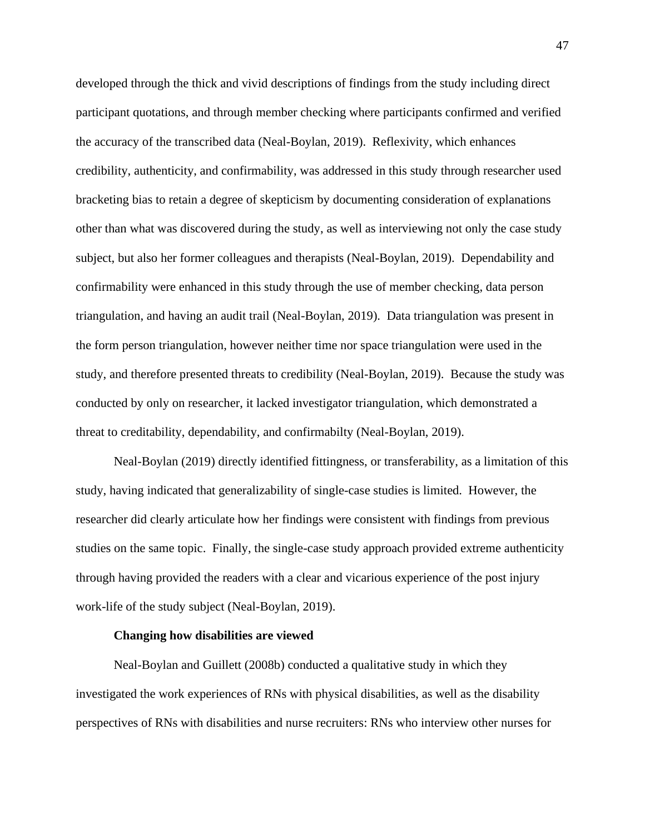developed through the thick and vivid descriptions of findings from the study including direct participant quotations, and through member checking where participants confirmed and verified the accuracy of the transcribed data (Neal-Boylan, 2019). Reflexivity, which enhances credibility, authenticity, and confirmability, was addressed in this study through researcher used bracketing bias to retain a degree of skepticism by documenting consideration of explanations other than what was discovered during the study, as well as interviewing not only the case study subject, but also her former colleagues and therapists (Neal-Boylan, 2019). Dependability and confirmability were enhanced in this study through the use of member checking, data person triangulation, and having an audit trail (Neal-Boylan, 2019). Data triangulation was present in the form person triangulation, however neither time nor space triangulation were used in the study, and therefore presented threats to credibility (Neal-Boylan, 2019). Because the study was conducted by only on researcher, it lacked investigator triangulation, which demonstrated a threat to creditability, dependability, and confirmabilty (Neal-Boylan, 2019).

Neal-Boylan (2019) directly identified fittingness, or transferability, as a limitation of this study, having indicated that generalizability of single-case studies is limited. However, the researcher did clearly articulate how her findings were consistent with findings from previous studies on the same topic. Finally, the single-case study approach provided extreme authenticity through having provided the readers with a clear and vicarious experience of the post injury work-life of the study subject (Neal-Boylan, 2019).

## **Changing how disabilities are viewed**

Neal-Boylan and Guillett (2008b) conducted a qualitative study in which they investigated the work experiences of RNs with physical disabilities, as well as the disability perspectives of RNs with disabilities and nurse recruiters: RNs who interview other nurses for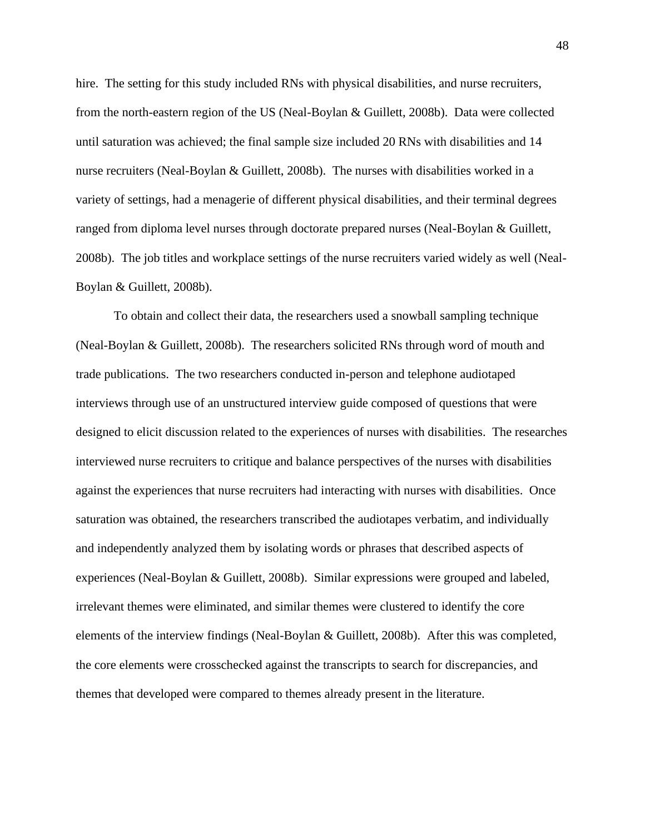hire. The setting for this study included RNs with physical disabilities, and nurse recruiters, from the north-eastern region of the US (Neal-Boylan & Guillett, 2008b). Data were collected until saturation was achieved; the final sample size included 20 RNs with disabilities and 14 nurse recruiters (Neal-Boylan & Guillett, 2008b). The nurses with disabilities worked in a variety of settings, had a menagerie of different physical disabilities, and their terminal degrees ranged from diploma level nurses through doctorate prepared nurses (Neal-Boylan & Guillett, 2008b). The job titles and workplace settings of the nurse recruiters varied widely as well (Neal-Boylan & Guillett, 2008b).

To obtain and collect their data, the researchers used a snowball sampling technique (Neal-Boylan & Guillett, 2008b). The researchers solicited RNs through word of mouth and trade publications. The two researchers conducted in-person and telephone audiotaped interviews through use of an unstructured interview guide composed of questions that were designed to elicit discussion related to the experiences of nurses with disabilities. The researches interviewed nurse recruiters to critique and balance perspectives of the nurses with disabilities against the experiences that nurse recruiters had interacting with nurses with disabilities. Once saturation was obtained, the researchers transcribed the audiotapes verbatim, and individually and independently analyzed them by isolating words or phrases that described aspects of experiences (Neal-Boylan & Guillett, 2008b). Similar expressions were grouped and labeled, irrelevant themes were eliminated, and similar themes were clustered to identify the core elements of the interview findings (Neal-Boylan & Guillett, 2008b). After this was completed, the core elements were crosschecked against the transcripts to search for discrepancies, and themes that developed were compared to themes already present in the literature.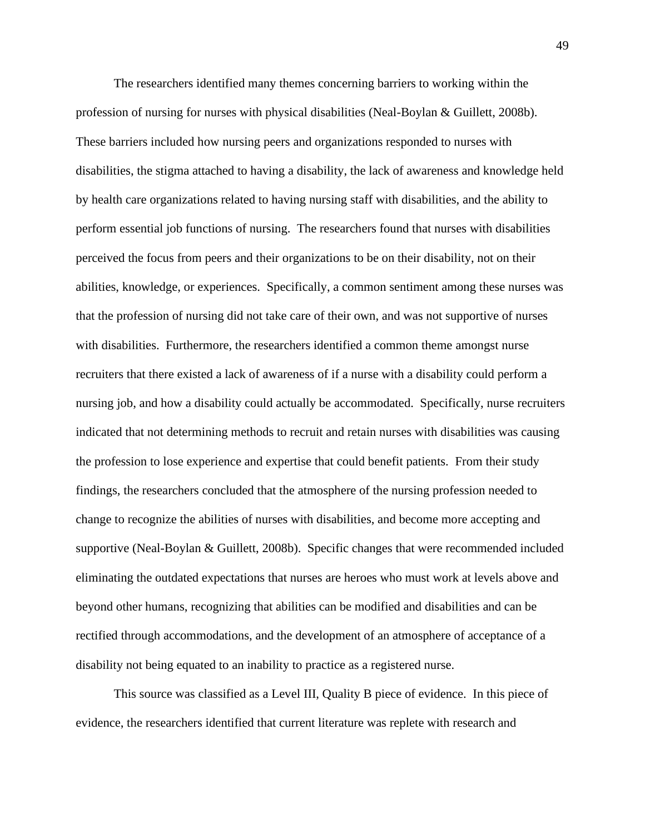The researchers identified many themes concerning barriers to working within the profession of nursing for nurses with physical disabilities (Neal-Boylan & Guillett, 2008b). These barriers included how nursing peers and organizations responded to nurses with disabilities, the stigma attached to having a disability, the lack of awareness and knowledge held by health care organizations related to having nursing staff with disabilities, and the ability to perform essential job functions of nursing. The researchers found that nurses with disabilities perceived the focus from peers and their organizations to be on their disability, not on their abilities, knowledge, or experiences. Specifically, a common sentiment among these nurses was that the profession of nursing did not take care of their own, and was not supportive of nurses with disabilities. Furthermore, the researchers identified a common theme amongst nurse recruiters that there existed a lack of awareness of if a nurse with a disability could perform a nursing job, and how a disability could actually be accommodated. Specifically, nurse recruiters indicated that not determining methods to recruit and retain nurses with disabilities was causing the profession to lose experience and expertise that could benefit patients. From their study findings, the researchers concluded that the atmosphere of the nursing profession needed to change to recognize the abilities of nurses with disabilities, and become more accepting and supportive (Neal-Boylan & Guillett, 2008b). Specific changes that were recommended included eliminating the outdated expectations that nurses are heroes who must work at levels above and beyond other humans, recognizing that abilities can be modified and disabilities and can be rectified through accommodations, and the development of an atmosphere of acceptance of a disability not being equated to an inability to practice as a registered nurse.

This source was classified as a Level III, Quality B piece of evidence. In this piece of evidence, the researchers identified that current literature was replete with research and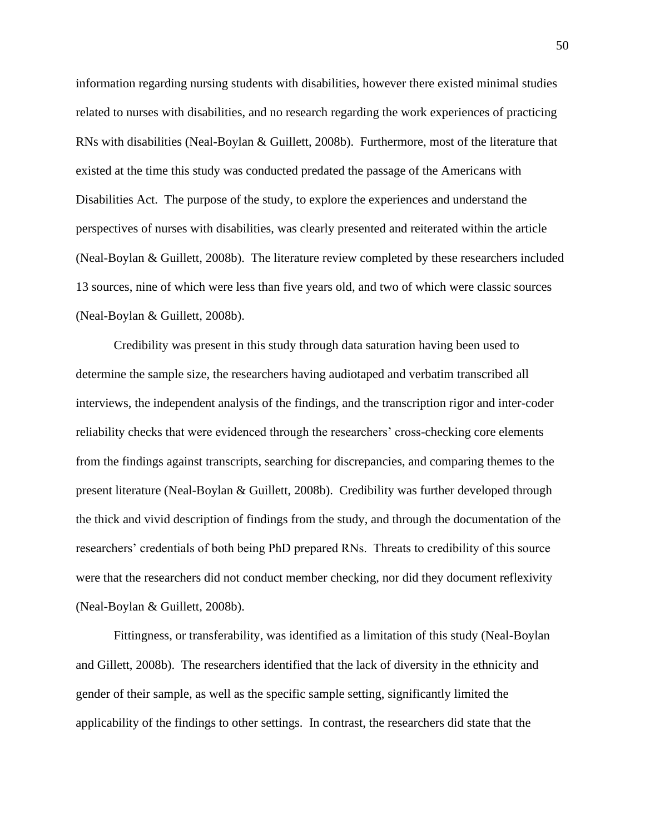information regarding nursing students with disabilities, however there existed minimal studies related to nurses with disabilities, and no research regarding the work experiences of practicing RNs with disabilities (Neal-Boylan & Guillett, 2008b). Furthermore, most of the literature that existed at the time this study was conducted predated the passage of the Americans with Disabilities Act. The purpose of the study, to explore the experiences and understand the perspectives of nurses with disabilities, was clearly presented and reiterated within the article (Neal-Boylan & Guillett, 2008b). The literature review completed by these researchers included 13 sources, nine of which were less than five years old, and two of which were classic sources (Neal-Boylan & Guillett, 2008b).

Credibility was present in this study through data saturation having been used to determine the sample size, the researchers having audiotaped and verbatim transcribed all interviews, the independent analysis of the findings, and the transcription rigor and inter-coder reliability checks that were evidenced through the researchers' cross-checking core elements from the findings against transcripts, searching for discrepancies, and comparing themes to the present literature (Neal-Boylan & Guillett, 2008b). Credibility was further developed through the thick and vivid description of findings from the study, and through the documentation of the researchers' credentials of both being PhD prepared RNs. Threats to credibility of this source were that the researchers did not conduct member checking, nor did they document reflexivity (Neal-Boylan & Guillett, 2008b).

Fittingness, or transferability, was identified as a limitation of this study (Neal-Boylan and Gillett, 2008b). The researchers identified that the lack of diversity in the ethnicity and gender of their sample, as well as the specific sample setting, significantly limited the applicability of the findings to other settings. In contrast, the researchers did state that the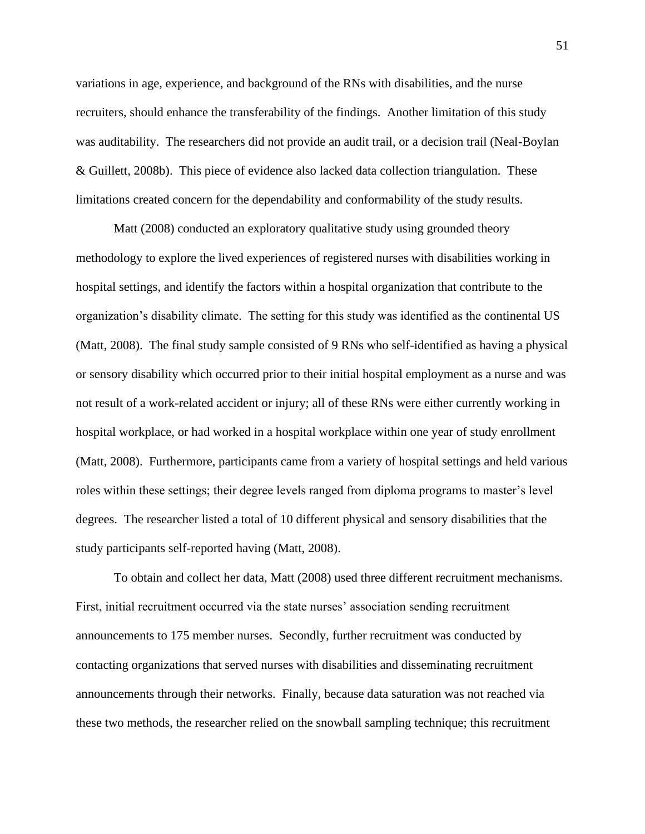variations in age, experience, and background of the RNs with disabilities, and the nurse recruiters, should enhance the transferability of the findings. Another limitation of this study was auditability. The researchers did not provide an audit trail, or a decision trail (Neal-Boylan & Guillett, 2008b). This piece of evidence also lacked data collection triangulation. These limitations created concern for the dependability and conformability of the study results.

Matt (2008) conducted an exploratory qualitative study using grounded theory methodology to explore the lived experiences of registered nurses with disabilities working in hospital settings, and identify the factors within a hospital organization that contribute to the organization's disability climate. The setting for this study was identified as the continental US (Matt, 2008). The final study sample consisted of 9 RNs who self-identified as having a physical or sensory disability which occurred prior to their initial hospital employment as a nurse and was not result of a work-related accident or injury; all of these RNs were either currently working in hospital workplace, or had worked in a hospital workplace within one year of study enrollment (Matt, 2008). Furthermore, participants came from a variety of hospital settings and held various roles within these settings; their degree levels ranged from diploma programs to master's level degrees. The researcher listed a total of 10 different physical and sensory disabilities that the study participants self-reported having (Matt, 2008).

To obtain and collect her data, Matt (2008) used three different recruitment mechanisms. First, initial recruitment occurred via the state nurses' association sending recruitment announcements to 175 member nurses. Secondly, further recruitment was conducted by contacting organizations that served nurses with disabilities and disseminating recruitment announcements through their networks. Finally, because data saturation was not reached via these two methods, the researcher relied on the snowball sampling technique; this recruitment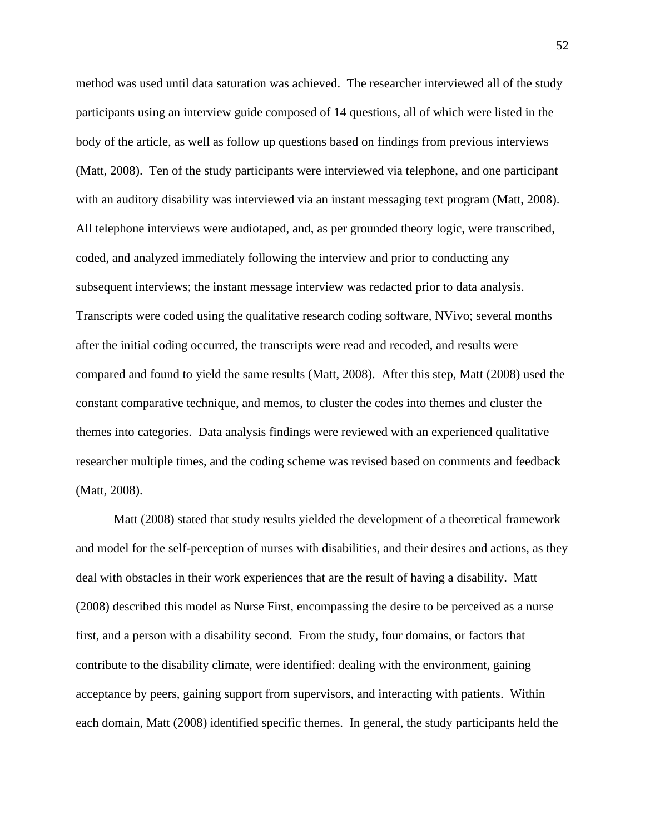method was used until data saturation was achieved. The researcher interviewed all of the study participants using an interview guide composed of 14 questions, all of which were listed in the body of the article, as well as follow up questions based on findings from previous interviews (Matt, 2008). Ten of the study participants were interviewed via telephone, and one participant with an auditory disability was interviewed via an instant messaging text program (Matt, 2008). All telephone interviews were audiotaped, and, as per grounded theory logic, were transcribed, coded, and analyzed immediately following the interview and prior to conducting any subsequent interviews; the instant message interview was redacted prior to data analysis. Transcripts were coded using the qualitative research coding software, NVivo; several months after the initial coding occurred, the transcripts were read and recoded, and results were compared and found to yield the same results (Matt, 2008). After this step, Matt (2008) used the constant comparative technique, and memos, to cluster the codes into themes and cluster the themes into categories. Data analysis findings were reviewed with an experienced qualitative researcher multiple times, and the coding scheme was revised based on comments and feedback (Matt, 2008).

Matt (2008) stated that study results yielded the development of a theoretical framework and model for the self-perception of nurses with disabilities, and their desires and actions, as they deal with obstacles in their work experiences that are the result of having a disability. Matt (2008) described this model as Nurse First, encompassing the desire to be perceived as a nurse first, and a person with a disability second. From the study, four domains, or factors that contribute to the disability climate, were identified: dealing with the environment, gaining acceptance by peers, gaining support from supervisors, and interacting with patients. Within each domain, Matt (2008) identified specific themes. In general, the study participants held the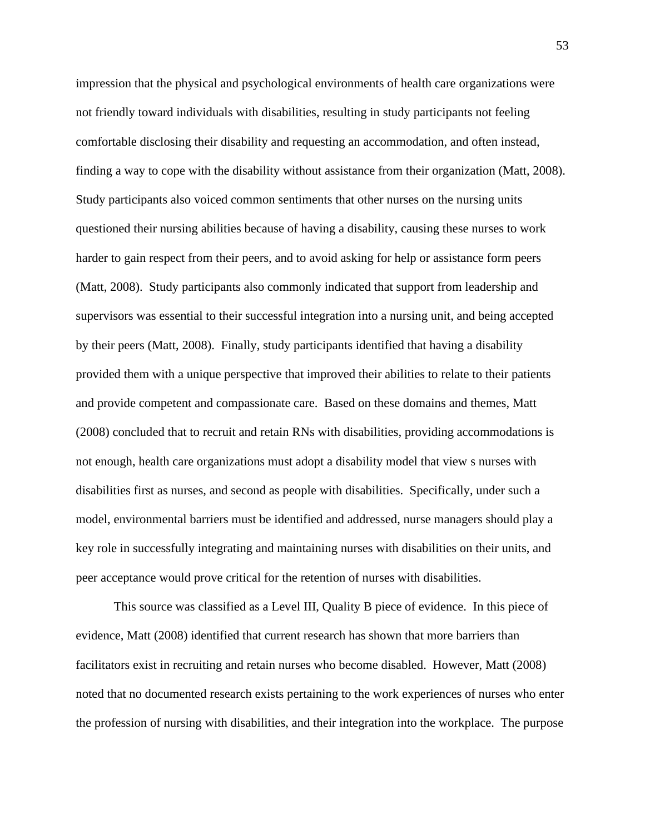impression that the physical and psychological environments of health care organizations were not friendly toward individuals with disabilities, resulting in study participants not feeling comfortable disclosing their disability and requesting an accommodation, and often instead, finding a way to cope with the disability without assistance from their organization (Matt, 2008). Study participants also voiced common sentiments that other nurses on the nursing units questioned their nursing abilities because of having a disability, causing these nurses to work harder to gain respect from their peers, and to avoid asking for help or assistance form peers (Matt, 2008). Study participants also commonly indicated that support from leadership and supervisors was essential to their successful integration into a nursing unit, and being accepted by their peers (Matt, 2008). Finally, study participants identified that having a disability provided them with a unique perspective that improved their abilities to relate to their patients and provide competent and compassionate care. Based on these domains and themes, Matt (2008) concluded that to recruit and retain RNs with disabilities, providing accommodations is not enough, health care organizations must adopt a disability model that view s nurses with disabilities first as nurses, and second as people with disabilities. Specifically, under such a model, environmental barriers must be identified and addressed, nurse managers should play a key role in successfully integrating and maintaining nurses with disabilities on their units, and peer acceptance would prove critical for the retention of nurses with disabilities.

This source was classified as a Level III, Quality B piece of evidence. In this piece of evidence, Matt (2008) identified that current research has shown that more barriers than facilitators exist in recruiting and retain nurses who become disabled. However, Matt (2008) noted that no documented research exists pertaining to the work experiences of nurses who enter the profession of nursing with disabilities, and their integration into the workplace. The purpose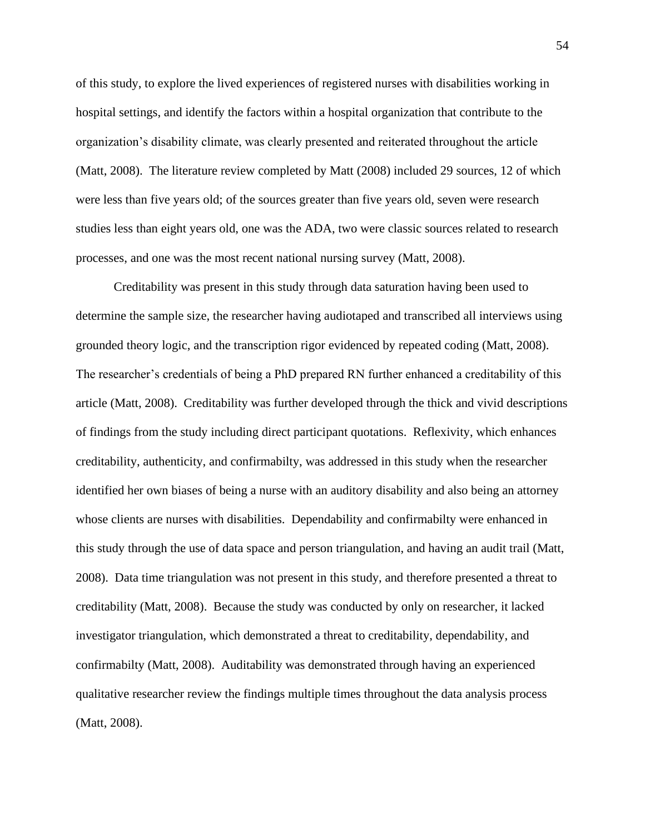of this study, to explore the lived experiences of registered nurses with disabilities working in hospital settings, and identify the factors within a hospital organization that contribute to the organization's disability climate, was clearly presented and reiterated throughout the article (Matt, 2008). The literature review completed by Matt (2008) included 29 sources, 12 of which were less than five years old; of the sources greater than five years old, seven were research studies less than eight years old, one was the ADA, two were classic sources related to research processes, and one was the most recent national nursing survey (Matt, 2008).

Creditability was present in this study through data saturation having been used to determine the sample size, the researcher having audiotaped and transcribed all interviews using grounded theory logic, and the transcription rigor evidenced by repeated coding (Matt, 2008). The researcher's credentials of being a PhD prepared RN further enhanced a creditability of this article (Matt, 2008). Creditability was further developed through the thick and vivid descriptions of findings from the study including direct participant quotations. Reflexivity, which enhances creditability, authenticity, and confirmabilty, was addressed in this study when the researcher identified her own biases of being a nurse with an auditory disability and also being an attorney whose clients are nurses with disabilities. Dependability and confirmabilty were enhanced in this study through the use of data space and person triangulation, and having an audit trail (Matt, 2008). Data time triangulation was not present in this study, and therefore presented a threat to creditability (Matt, 2008). Because the study was conducted by only on researcher, it lacked investigator triangulation, which demonstrated a threat to creditability, dependability, and confirmabilty (Matt, 2008). Auditability was demonstrated through having an experienced qualitative researcher review the findings multiple times throughout the data analysis process (Matt, 2008).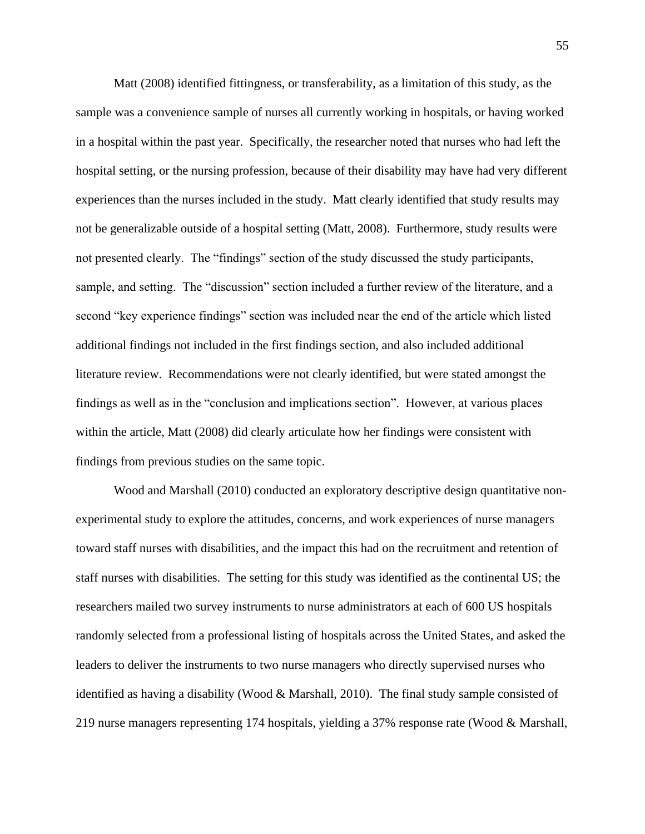Matt (2008) identified fittingness, or transferability, as a limitation of this study, as the sample was a convenience sample of nurses all currently working in hospitals, or having worked in a hospital within the past year. Specifically, the researcher noted that nurses who had left the hospital setting, or the nursing profession, because of their disability may have had very different experiences than the nurses included in the study. Matt clearly identified that study results may not be generalizable outside of a hospital setting (Matt, 2008). Furthermore, study results were not presented clearly. The "findings" section of the study discussed the study participants, sample, and setting. The "discussion" section included a further review of the literature, and a second "key experience findings" section was included near the end of the article which listed additional findings not included in the first findings section, and also included additional literature review. Recommendations were not clearly identified, but were stated amongst the findings as well as in the "conclusion and implications section". However, at various places within the article, Matt (2008) did clearly articulate how her findings were consistent with findings from previous studies on the same topic.

Wood and Marshall (2010) conducted an exploratory descriptive design quantitative nonexperimental study to explore the attitudes, concerns, and work experiences of nurse managers toward staff nurses with disabilities, and the impact this had on the recruitment and retention of staff nurses with disabilities. The setting for this study was identified as the continental US; the researchers mailed two survey instruments to nurse administrators at each of 600 US hospitals randomly selected from a professional listing of hospitals across the United States, and asked the leaders to deliver the instruments to two nurse managers who directly supervised nurses who identified as having a disability (Wood & Marshall, 2010). The final study sample consisted of 219 nurse managers representing 174 hospitals, yielding a 37% response rate (Wood & Marshall,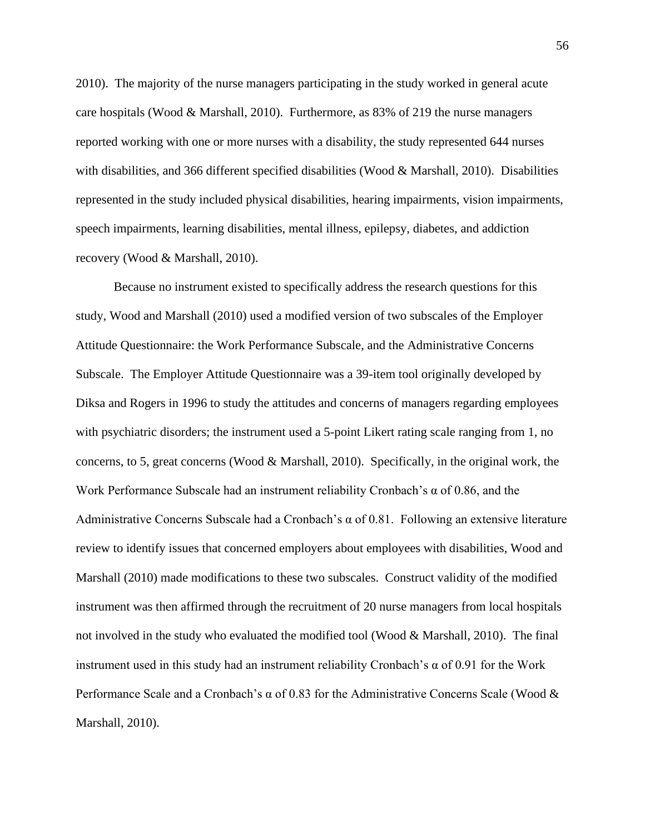2010). The majority of the nurse managers participating in the study worked in general acute care hospitals (Wood & Marshall, 2010). Furthermore, as 83% of 219 the nurse managers reported working with one or more nurses with a disability, the study represented 644 nurses with disabilities, and 366 different specified disabilities (Wood & Marshall, 2010). Disabilities represented in the study included physical disabilities, hearing impairments, vision impairments, speech impairments, learning disabilities, mental illness, epilepsy, diabetes, and addiction recovery (Wood & Marshall, 2010).

Because no instrument existed to specifically address the research questions for this study, Wood and Marshall (2010) used a modified version of two subscales of the Employer Attitude Questionnaire: the Work Performance Subscale, and the Administrative Concerns Subscale. The Employer Attitude Questionnaire was a 39-item tool originally developed by Diksa and Rogers in 1996 to study the attitudes and concerns of managers regarding employees with psychiatric disorders; the instrument used a 5-point Likert rating scale ranging from 1, no concerns, to 5, great concerns (Wood  $\&$  Marshall, 2010). Specifically, in the original work, the Work Performance Subscale had an instrument reliability Cronbach's  $\alpha$  of 0.86, and the Administrative Concerns Subscale had a Cronbach's  $\alpha$  of 0.81. Following an extensive literature review to identify issues that concerned employers about employees with disabilities, Wood and Marshall (2010) made modifications to these two subscales. Construct validity of the modified instrument was then affirmed through the recruitment of 20 nurse managers from local hospitals not involved in the study who evaluated the modified tool (Wood  $\&$  Marshall, 2010). The final instrument used in this study had an instrument reliability Cronbach's  $\alpha$  of 0.91 for the Work Performance Scale and a Cronbach's  $\alpha$  of 0.83 for the Administrative Concerns Scale (Wood  $\&$ Marshall, 2010).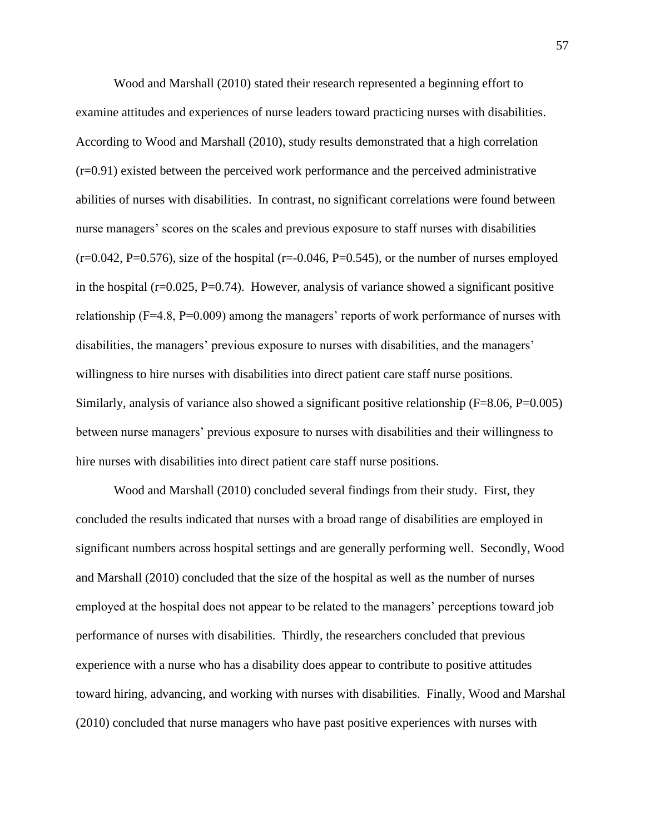Wood and Marshall (2010) stated their research represented a beginning effort to examine attitudes and experiences of nurse leaders toward practicing nurses with disabilities. According to Wood and Marshall (2010), study results demonstrated that a high correlation (r=0.91) existed between the perceived work performance and the perceived administrative abilities of nurses with disabilities. In contrast, no significant correlations were found between nurse managers' scores on the scales and previous exposure to staff nurses with disabilities  $(r=0.042, P=0.576)$ , size of the hospital  $(r=-0.046, P=0.545)$ , or the number of nurses employed in the hospital ( $r=0.025$ ,  $P=0.74$ ). However, analysis of variance showed a significant positive relationship (F=4.8, P=0.009) among the managers' reports of work performance of nurses with disabilities, the managers' previous exposure to nurses with disabilities, and the managers' willingness to hire nurses with disabilities into direct patient care staff nurse positions. Similarly, analysis of variance also showed a significant positive relationship (F=8.06, P=0.005) between nurse managers' previous exposure to nurses with disabilities and their willingness to hire nurses with disabilities into direct patient care staff nurse positions.

Wood and Marshall (2010) concluded several findings from their study. First, they concluded the results indicated that nurses with a broad range of disabilities are employed in significant numbers across hospital settings and are generally performing well. Secondly, Wood and Marshall (2010) concluded that the size of the hospital as well as the number of nurses employed at the hospital does not appear to be related to the managers' perceptions toward job performance of nurses with disabilities. Thirdly, the researchers concluded that previous experience with a nurse who has a disability does appear to contribute to positive attitudes toward hiring, advancing, and working with nurses with disabilities. Finally, Wood and Marshal (2010) concluded that nurse managers who have past positive experiences with nurses with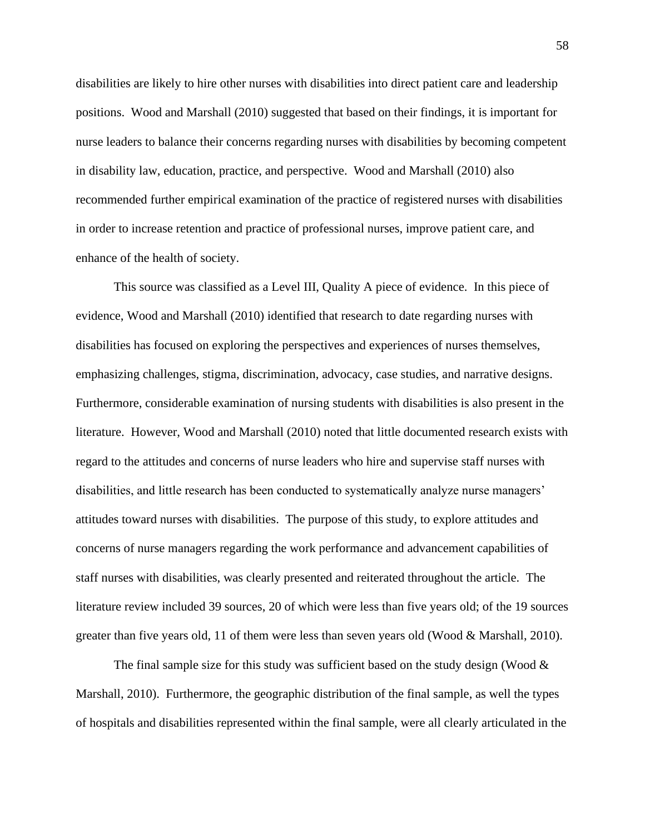disabilities are likely to hire other nurses with disabilities into direct patient care and leadership positions. Wood and Marshall (2010) suggested that based on their findings, it is important for nurse leaders to balance their concerns regarding nurses with disabilities by becoming competent in disability law, education, practice, and perspective. Wood and Marshall (2010) also recommended further empirical examination of the practice of registered nurses with disabilities in order to increase retention and practice of professional nurses, improve patient care, and enhance of the health of society.

This source was classified as a Level III, Quality A piece of evidence. In this piece of evidence, Wood and Marshall (2010) identified that research to date regarding nurses with disabilities has focused on exploring the perspectives and experiences of nurses themselves, emphasizing challenges, stigma, discrimination, advocacy, case studies, and narrative designs. Furthermore, considerable examination of nursing students with disabilities is also present in the literature. However, Wood and Marshall (2010) noted that little documented research exists with regard to the attitudes and concerns of nurse leaders who hire and supervise staff nurses with disabilities, and little research has been conducted to systematically analyze nurse managers' attitudes toward nurses with disabilities. The purpose of this study, to explore attitudes and concerns of nurse managers regarding the work performance and advancement capabilities of staff nurses with disabilities, was clearly presented and reiterated throughout the article. The literature review included 39 sources, 20 of which were less than five years old; of the 19 sources greater than five years old, 11 of them were less than seven years old (Wood & Marshall, 2010).

The final sample size for this study was sufficient based on the study design (Wood  $\&$ Marshall, 2010). Furthermore, the geographic distribution of the final sample, as well the types of hospitals and disabilities represented within the final sample, were all clearly articulated in the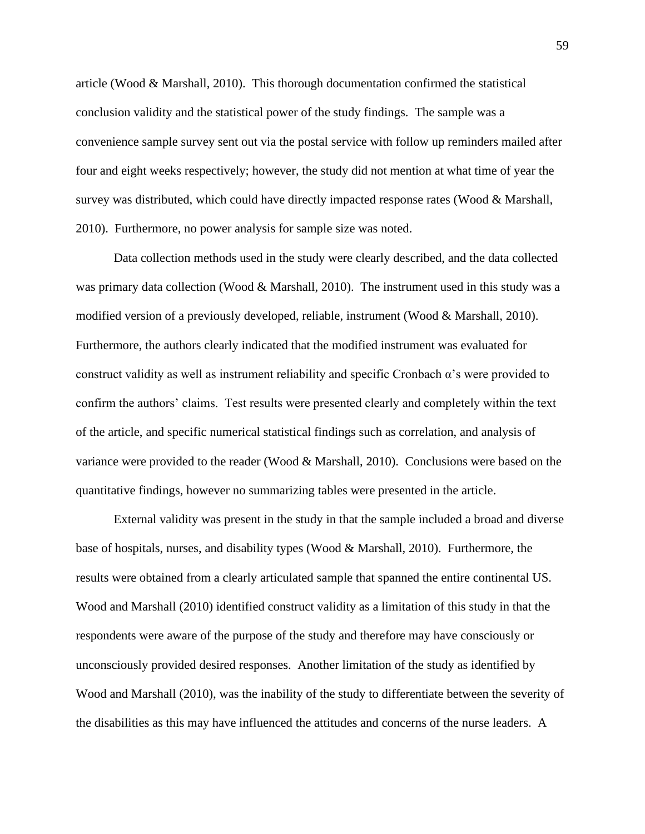article (Wood & Marshall, 2010). This thorough documentation confirmed the statistical conclusion validity and the statistical power of the study findings. The sample was a convenience sample survey sent out via the postal service with follow up reminders mailed after four and eight weeks respectively; however, the study did not mention at what time of year the survey was distributed, which could have directly impacted response rates (Wood & Marshall, 2010). Furthermore, no power analysis for sample size was noted.

Data collection methods used in the study were clearly described, and the data collected was primary data collection (Wood & Marshall, 2010). The instrument used in this study was a modified version of a previously developed, reliable, instrument (Wood & Marshall, 2010). Furthermore, the authors clearly indicated that the modified instrument was evaluated for construct validity as well as instrument reliability and specific Cronbach α's were provided to confirm the authors' claims. Test results were presented clearly and completely within the text of the article, and specific numerical statistical findings such as correlation, and analysis of variance were provided to the reader (Wood & Marshall, 2010). Conclusions were based on the quantitative findings, however no summarizing tables were presented in the article.

External validity was present in the study in that the sample included a broad and diverse base of hospitals, nurses, and disability types (Wood & Marshall, 2010). Furthermore, the results were obtained from a clearly articulated sample that spanned the entire continental US. Wood and Marshall (2010) identified construct validity as a limitation of this study in that the respondents were aware of the purpose of the study and therefore may have consciously or unconsciously provided desired responses. Another limitation of the study as identified by Wood and Marshall (2010), was the inability of the study to differentiate between the severity of the disabilities as this may have influenced the attitudes and concerns of the nurse leaders. A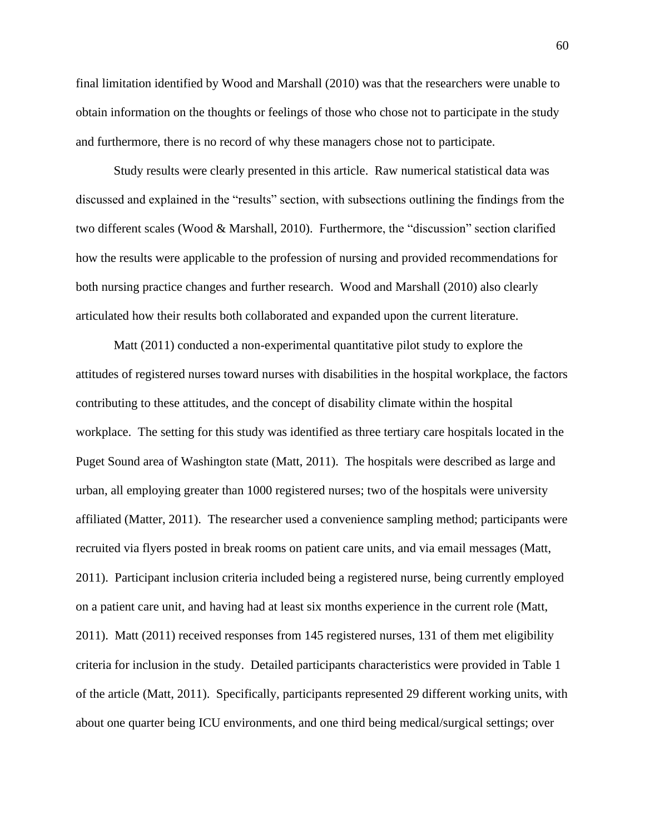final limitation identified by Wood and Marshall (2010) was that the researchers were unable to obtain information on the thoughts or feelings of those who chose not to participate in the study and furthermore, there is no record of why these managers chose not to participate.

Study results were clearly presented in this article. Raw numerical statistical data was discussed and explained in the "results" section, with subsections outlining the findings from the two different scales (Wood & Marshall, 2010). Furthermore, the "discussion" section clarified how the results were applicable to the profession of nursing and provided recommendations for both nursing practice changes and further research. Wood and Marshall (2010) also clearly articulated how their results both collaborated and expanded upon the current literature.

Matt (2011) conducted a non-experimental quantitative pilot study to explore the attitudes of registered nurses toward nurses with disabilities in the hospital workplace, the factors contributing to these attitudes, and the concept of disability climate within the hospital workplace. The setting for this study was identified as three tertiary care hospitals located in the Puget Sound area of Washington state (Matt, 2011). The hospitals were described as large and urban, all employing greater than 1000 registered nurses; two of the hospitals were university affiliated (Matter, 2011). The researcher used a convenience sampling method; participants were recruited via flyers posted in break rooms on patient care units, and via email messages (Matt, 2011). Participant inclusion criteria included being a registered nurse, being currently employed on a patient care unit, and having had at least six months experience in the current role (Matt, 2011). Matt (2011) received responses from 145 registered nurses, 131 of them met eligibility criteria for inclusion in the study. Detailed participants characteristics were provided in Table 1 of the article (Matt, 2011). Specifically, participants represented 29 different working units, with about one quarter being ICU environments, and one third being medical/surgical settings; over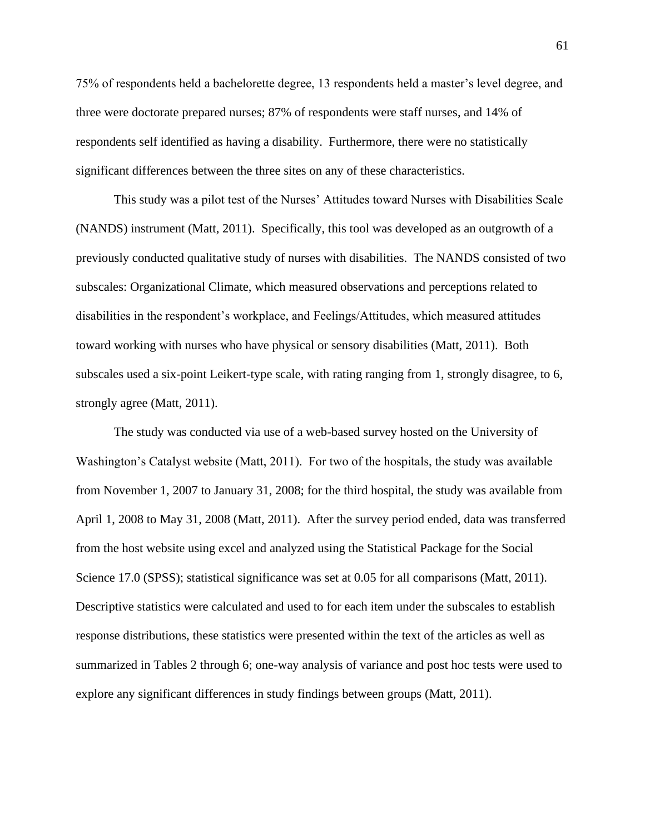75% of respondents held a bachelorette degree, 13 respondents held a master's level degree, and three were doctorate prepared nurses; 87% of respondents were staff nurses, and 14% of respondents self identified as having a disability. Furthermore, there were no statistically significant differences between the three sites on any of these characteristics.

This study was a pilot test of the Nurses' Attitudes toward Nurses with Disabilities Scale (NANDS) instrument (Matt, 2011). Specifically, this tool was developed as an outgrowth of a previously conducted qualitative study of nurses with disabilities. The NANDS consisted of two subscales: Organizational Climate, which measured observations and perceptions related to disabilities in the respondent's workplace, and Feelings/Attitudes, which measured attitudes toward working with nurses who have physical or sensory disabilities (Matt, 2011). Both subscales used a six-point Leikert-type scale, with rating ranging from 1, strongly disagree, to 6, strongly agree (Matt, 2011).

The study was conducted via use of a web-based survey hosted on the University of Washington's Catalyst website (Matt, 2011). For two of the hospitals, the study was available from November 1, 2007 to January 31, 2008; for the third hospital, the study was available from April 1, 2008 to May 31, 2008 (Matt, 2011). After the survey period ended, data was transferred from the host website using excel and analyzed using the Statistical Package for the Social Science 17.0 (SPSS); statistical significance was set at 0.05 for all comparisons (Matt, 2011). Descriptive statistics were calculated and used to for each item under the subscales to establish response distributions, these statistics were presented within the text of the articles as well as summarized in Tables 2 through 6; one-way analysis of variance and post hoc tests were used to explore any significant differences in study findings between groups (Matt, 2011).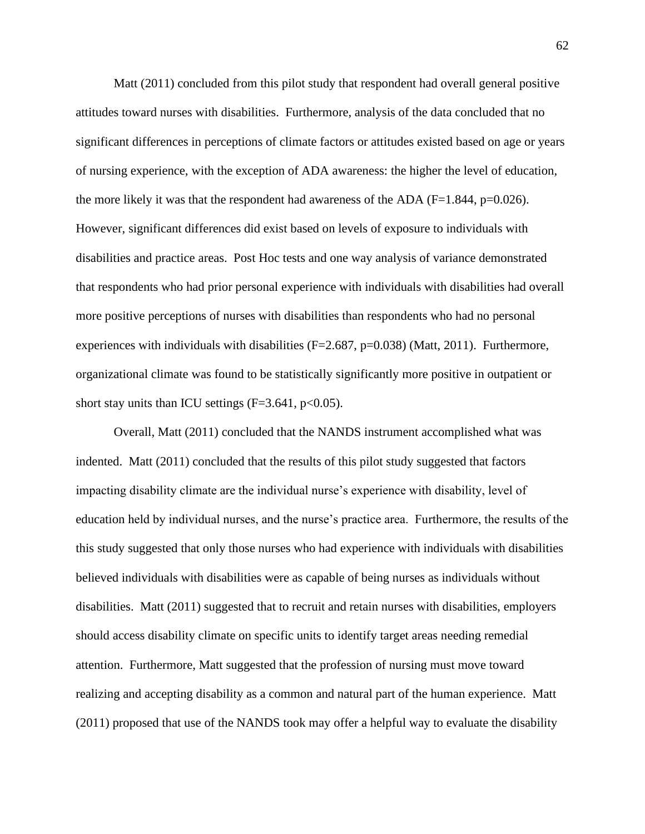Matt (2011) concluded from this pilot study that respondent had overall general positive attitudes toward nurses with disabilities. Furthermore, analysis of the data concluded that no significant differences in perceptions of climate factors or attitudes existed based on age or years of nursing experience, with the exception of ADA awareness: the higher the level of education, the more likely it was that the respondent had awareness of the ADA ( $F=1.844$ ,  $p=0.026$ ). However, significant differences did exist based on levels of exposure to individuals with disabilities and practice areas. Post Hoc tests and one way analysis of variance demonstrated that respondents who had prior personal experience with individuals with disabilities had overall more positive perceptions of nurses with disabilities than respondents who had no personal experiences with individuals with disabilities  $(F=2.687, p=0.038)$  (Matt, 2011). Furthermore, organizational climate was found to be statistically significantly more positive in outpatient or short stay units than ICU settings  $(F=3.641, p<0.05)$ .

Overall, Matt (2011) concluded that the NANDS instrument accomplished what was indented. Matt (2011) concluded that the results of this pilot study suggested that factors impacting disability climate are the individual nurse's experience with disability, level of education held by individual nurses, and the nurse's practice area. Furthermore, the results of the this study suggested that only those nurses who had experience with individuals with disabilities believed individuals with disabilities were as capable of being nurses as individuals without disabilities. Matt (2011) suggested that to recruit and retain nurses with disabilities, employers should access disability climate on specific units to identify target areas needing remedial attention. Furthermore, Matt suggested that the profession of nursing must move toward realizing and accepting disability as a common and natural part of the human experience. Matt (2011) proposed that use of the NANDS took may offer a helpful way to evaluate the disability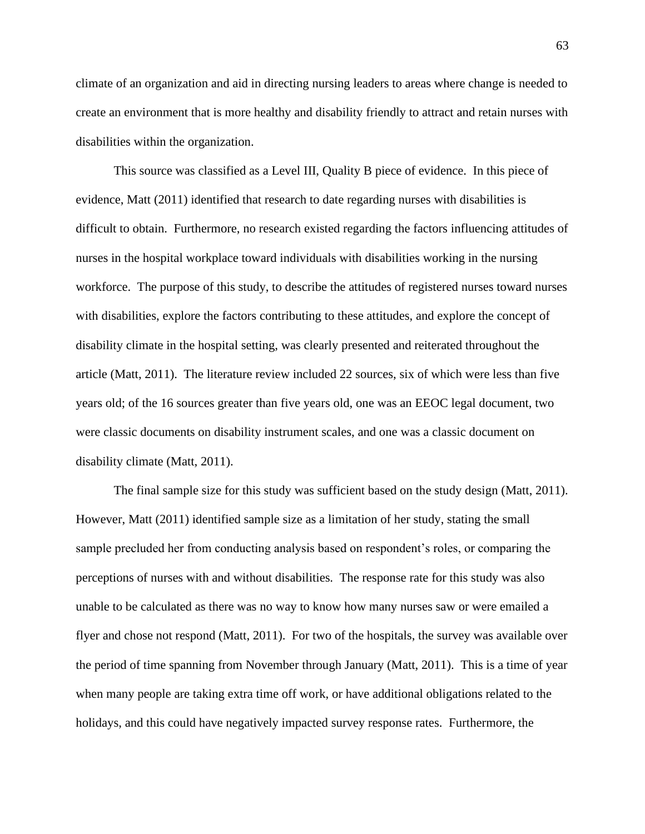climate of an organization and aid in directing nursing leaders to areas where change is needed to create an environment that is more healthy and disability friendly to attract and retain nurses with disabilities within the organization.

This source was classified as a Level III, Quality B piece of evidence. In this piece of evidence, Matt (2011) identified that research to date regarding nurses with disabilities is difficult to obtain. Furthermore, no research existed regarding the factors influencing attitudes of nurses in the hospital workplace toward individuals with disabilities working in the nursing workforce. The purpose of this study, to describe the attitudes of registered nurses toward nurses with disabilities, explore the factors contributing to these attitudes, and explore the concept of disability climate in the hospital setting, was clearly presented and reiterated throughout the article (Matt, 2011). The literature review included 22 sources, six of which were less than five years old; of the 16 sources greater than five years old, one was an EEOC legal document, two were classic documents on disability instrument scales, and one was a classic document on disability climate (Matt, 2011).

The final sample size for this study was sufficient based on the study design (Matt, 2011). However, Matt (2011) identified sample size as a limitation of her study, stating the small sample precluded her from conducting analysis based on respondent's roles, or comparing the perceptions of nurses with and without disabilities. The response rate for this study was also unable to be calculated as there was no way to know how many nurses saw or were emailed a flyer and chose not respond (Matt, 2011). For two of the hospitals, the survey was available over the period of time spanning from November through January (Matt, 2011). This is a time of year when many people are taking extra time off work, or have additional obligations related to the holidays, and this could have negatively impacted survey response rates. Furthermore, the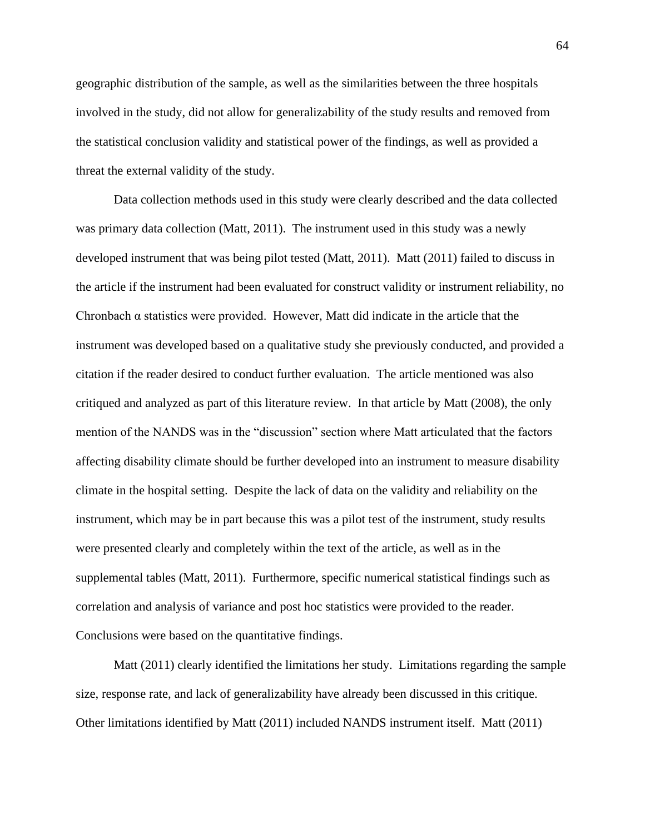geographic distribution of the sample, as well as the similarities between the three hospitals involved in the study, did not allow for generalizability of the study results and removed from the statistical conclusion validity and statistical power of the findings, as well as provided a threat the external validity of the study.

Data collection methods used in this study were clearly described and the data collected was primary data collection (Matt, 2011). The instrument used in this study was a newly developed instrument that was being pilot tested (Matt, 2011). Matt (2011) failed to discuss in the article if the instrument had been evaluated for construct validity or instrument reliability, no Chronbach  $\alpha$  statistics were provided. However, Matt did indicate in the article that the instrument was developed based on a qualitative study she previously conducted, and provided a citation if the reader desired to conduct further evaluation. The article mentioned was also critiqued and analyzed as part of this literature review. In that article by Matt (2008), the only mention of the NANDS was in the "discussion" section where Matt articulated that the factors affecting disability climate should be further developed into an instrument to measure disability climate in the hospital setting. Despite the lack of data on the validity and reliability on the instrument, which may be in part because this was a pilot test of the instrument, study results were presented clearly and completely within the text of the article, as well as in the supplemental tables (Matt, 2011). Furthermore, specific numerical statistical findings such as correlation and analysis of variance and post hoc statistics were provided to the reader. Conclusions were based on the quantitative findings.

Matt (2011) clearly identified the limitations her study. Limitations regarding the sample size, response rate, and lack of generalizability have already been discussed in this critique. Other limitations identified by Matt (2011) included NANDS instrument itself. Matt (2011)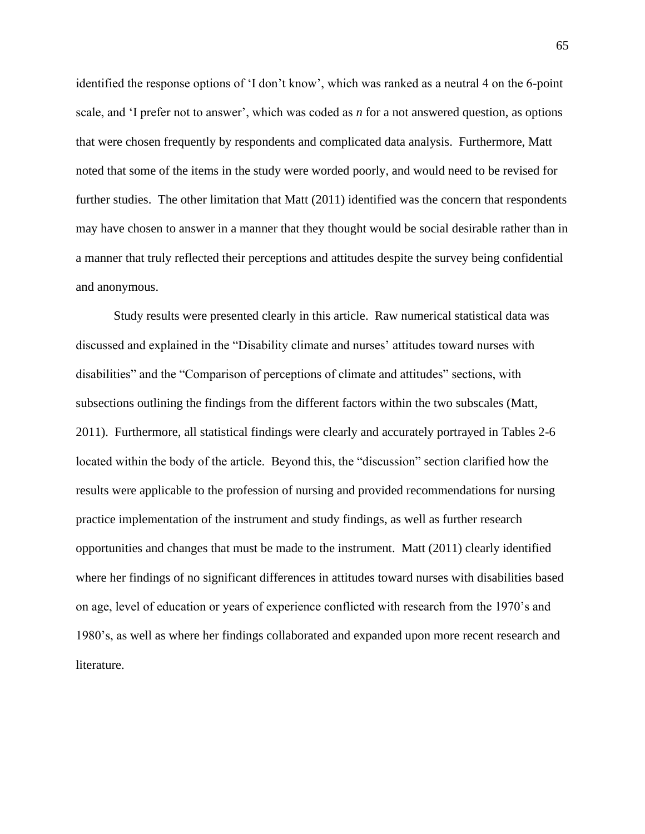identified the response options of 'I don't know', which was ranked as a neutral 4 on the 6-point scale, and 'I prefer not to answer', which was coded as *n* for a not answered question, as options that were chosen frequently by respondents and complicated data analysis. Furthermore, Matt noted that some of the items in the study were worded poorly, and would need to be revised for further studies. The other limitation that Matt (2011) identified was the concern that respondents may have chosen to answer in a manner that they thought would be social desirable rather than in a manner that truly reflected their perceptions and attitudes despite the survey being confidential and anonymous.

Study results were presented clearly in this article. Raw numerical statistical data was discussed and explained in the "Disability climate and nurses' attitudes toward nurses with disabilities" and the "Comparison of perceptions of climate and attitudes" sections, with subsections outlining the findings from the different factors within the two subscales (Matt, 2011). Furthermore, all statistical findings were clearly and accurately portrayed in Tables 2-6 located within the body of the article. Beyond this, the "discussion" section clarified how the results were applicable to the profession of nursing and provided recommendations for nursing practice implementation of the instrument and study findings, as well as further research opportunities and changes that must be made to the instrument. Matt (2011) clearly identified where her findings of no significant differences in attitudes toward nurses with disabilities based on age, level of education or years of experience conflicted with research from the 1970's and 1980's, as well as where her findings collaborated and expanded upon more recent research and literature.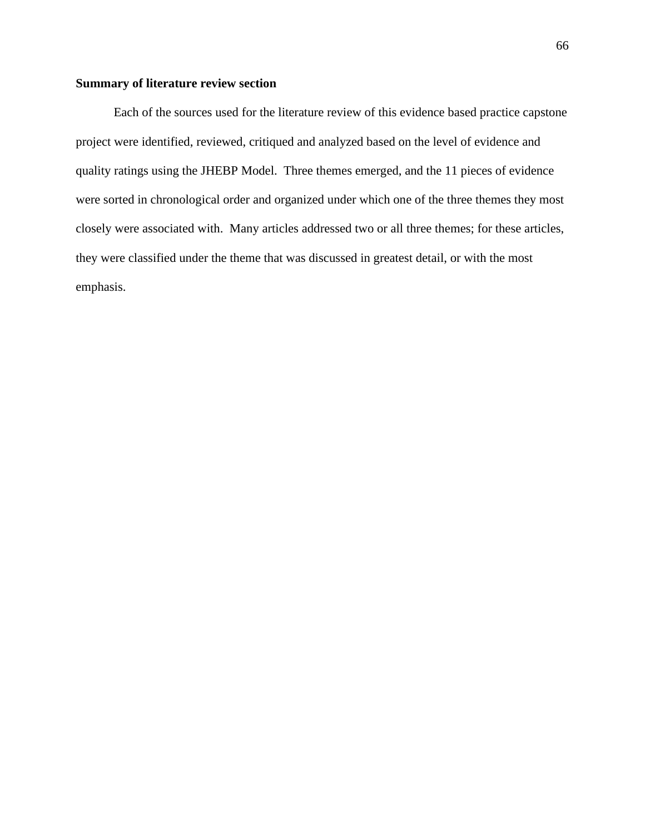# **Summary of literature review section**

Each of the sources used for the literature review of this evidence based practice capstone project were identified, reviewed, critiqued and analyzed based on the level of evidence and quality ratings using the JHEBP Model. Three themes emerged, and the 11 pieces of evidence were sorted in chronological order and organized under which one of the three themes they most closely were associated with. Many articles addressed two or all three themes; for these articles, they were classified under the theme that was discussed in greatest detail, or with the most emphasis.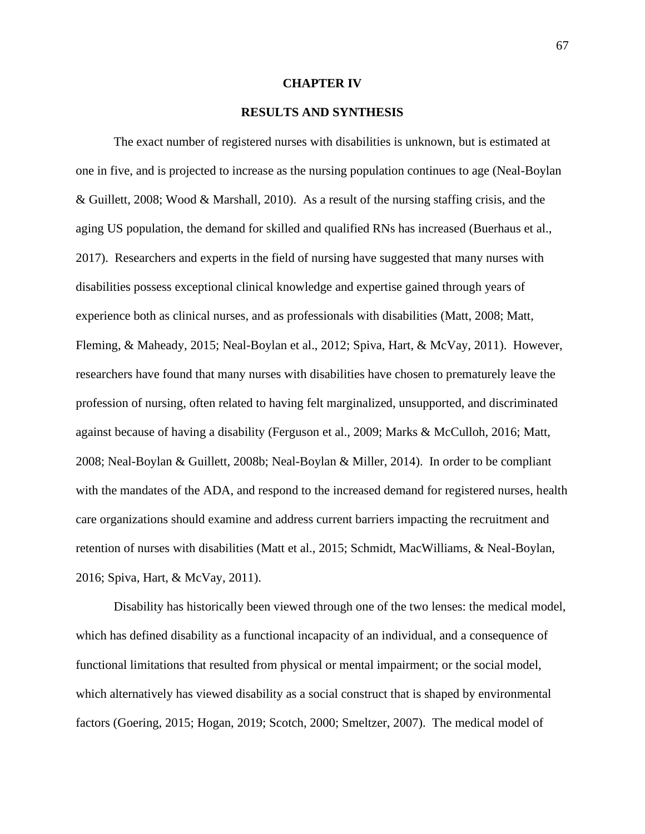#### **CHAPTER IV**

## **RESULTS AND SYNTHESIS**

The exact number of registered nurses with disabilities is unknown, but is estimated at one in five, and is projected to increase as the nursing population continues to age (Neal-Boylan & Guillett, 2008; Wood & Marshall, 2010). As a result of the nursing staffing crisis, and the aging US population, the demand for skilled and qualified RNs has increased (Buerhaus et al., 2017). Researchers and experts in the field of nursing have suggested that many nurses with disabilities possess exceptional clinical knowledge and expertise gained through years of experience both as clinical nurses, and as professionals with disabilities (Matt, 2008; Matt, Fleming, & Maheady, 2015; Neal-Boylan et al., 2012; Spiva, Hart, & McVay, 2011). However, researchers have found that many nurses with disabilities have chosen to prematurely leave the profession of nursing, often related to having felt marginalized, unsupported, and discriminated against because of having a disability (Ferguson et al., 2009; Marks & McCulloh, 2016; Matt, 2008; Neal-Boylan & Guillett, 2008b; Neal-Boylan & Miller, 2014). In order to be compliant with the mandates of the ADA, and respond to the increased demand for registered nurses, health care organizations should examine and address current barriers impacting the recruitment and retention of nurses with disabilities (Matt et al., 2015; Schmidt, MacWilliams, & Neal-Boylan, 2016; Spiva, Hart, & McVay, 2011).

Disability has historically been viewed through one of the two lenses: the medical model, which has defined disability as a functional incapacity of an individual, and a consequence of functional limitations that resulted from physical or mental impairment; or the social model, which alternatively has viewed disability as a social construct that is shaped by environmental factors (Goering, 2015; Hogan, 2019; Scotch, 2000; Smeltzer, 2007). The medical model of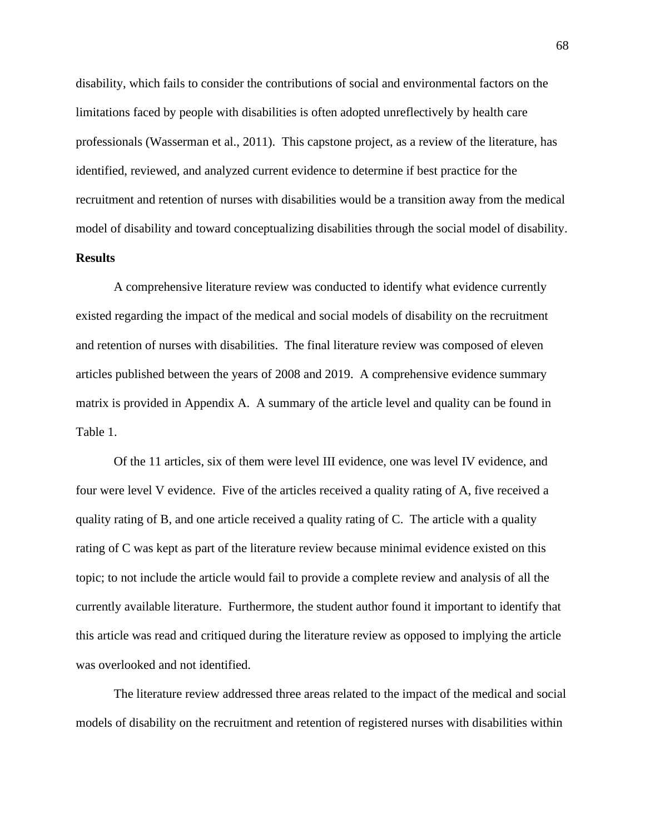disability, which fails to consider the contributions of social and environmental factors on the limitations faced by people with disabilities is often adopted unreflectively by health care professionals (Wasserman et al., 2011). This capstone project, as a review of the literature, has identified, reviewed, and analyzed current evidence to determine if best practice for the recruitment and retention of nurses with disabilities would be a transition away from the medical model of disability and toward conceptualizing disabilities through the social model of disability.

# **Results**

A comprehensive literature review was conducted to identify what evidence currently existed regarding the impact of the medical and social models of disability on the recruitment and retention of nurses with disabilities. The final literature review was composed of eleven articles published between the years of 2008 and 2019. A comprehensive evidence summary matrix is provided in Appendix A. A summary of the article level and quality can be found in Table 1.

Of the 11 articles, six of them were level III evidence, one was level IV evidence, and four were level V evidence. Five of the articles received a quality rating of A, five received a quality rating of B, and one article received a quality rating of C. The article with a quality rating of C was kept as part of the literature review because minimal evidence existed on this topic; to not include the article would fail to provide a complete review and analysis of all the currently available literature. Furthermore, the student author found it important to identify that this article was read and critiqued during the literature review as opposed to implying the article was overlooked and not identified.

The literature review addressed three areas related to the impact of the medical and social models of disability on the recruitment and retention of registered nurses with disabilities within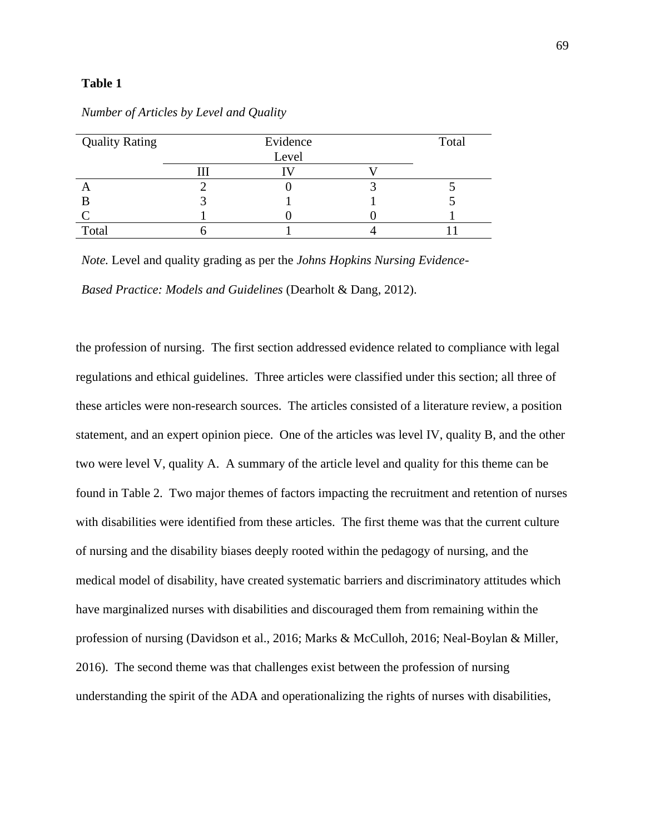| <b>Quality Rating</b> | Evidence |  |  |  |  |  |  |  |  |
|-----------------------|----------|--|--|--|--|--|--|--|--|
|                       | Level    |  |  |  |  |  |  |  |  |
|                       |          |  |  |  |  |  |  |  |  |
|                       |          |  |  |  |  |  |  |  |  |
|                       |          |  |  |  |  |  |  |  |  |
|                       |          |  |  |  |  |  |  |  |  |
| Total                 |          |  |  |  |  |  |  |  |  |

*Number of Articles by Level and Quality*

*Note.* Level and quality grading as per the *Johns Hopkins Nursing Evidence-*

*Based Practice: Models and Guidelines* (Dearholt & Dang, 2012).

the profession of nursing. The first section addressed evidence related to compliance with legal regulations and ethical guidelines. Three articles were classified under this section; all three of these articles were non-research sources. The articles consisted of a literature review, a position statement, and an expert opinion piece. One of the articles was level IV, quality B, and the other two were level V, quality A. A summary of the article level and quality for this theme can be found in Table 2. Two major themes of factors impacting the recruitment and retention of nurses with disabilities were identified from these articles. The first theme was that the current culture of nursing and the disability biases deeply rooted within the pedagogy of nursing, and the medical model of disability, have created systematic barriers and discriminatory attitudes which have marginalized nurses with disabilities and discouraged them from remaining within the profession of nursing (Davidson et al., 2016; Marks & McCulloh, 2016; Neal-Boylan & Miller, 2016). The second theme was that challenges exist between the profession of nursing understanding the spirit of the ADA and operationalizing the rights of nurses with disabilities,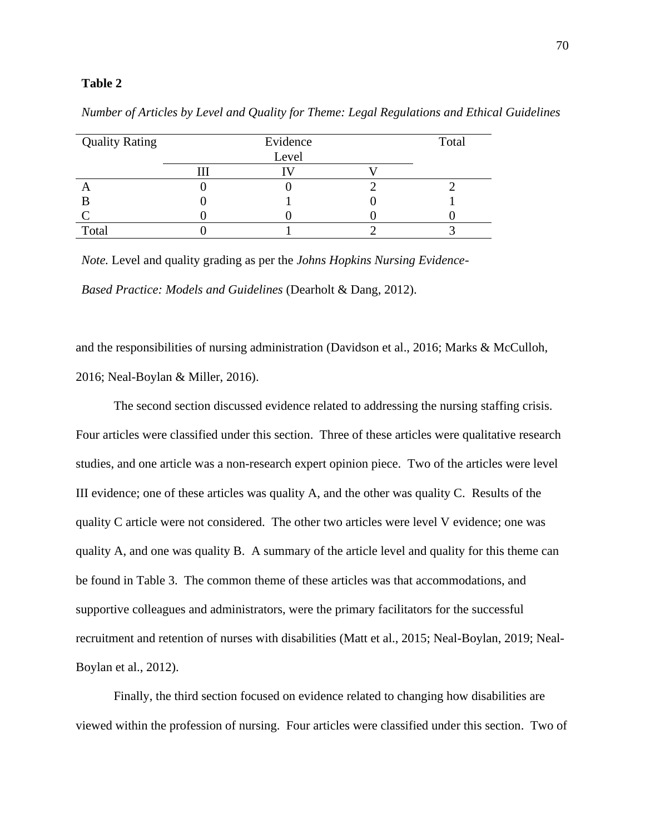| <b>Quality Rating</b> | Evidence |  |  |  |  |  |  |  |  |
|-----------------------|----------|--|--|--|--|--|--|--|--|
|                       | Level    |  |  |  |  |  |  |  |  |
|                       |          |  |  |  |  |  |  |  |  |
|                       |          |  |  |  |  |  |  |  |  |
|                       |          |  |  |  |  |  |  |  |  |
|                       |          |  |  |  |  |  |  |  |  |
| Total                 |          |  |  |  |  |  |  |  |  |

*Number of Articles by Level and Quality for Theme: Legal Regulations and Ethical Guidelines*

*Note.* Level and quality grading as per the *Johns Hopkins Nursing Evidence-*

*Based Practice: Models and Guidelines* (Dearholt & Dang, 2012).

and the responsibilities of nursing administration (Davidson et al., 2016; Marks & McCulloh, 2016; Neal-Boylan & Miller, 2016).

The second section discussed evidence related to addressing the nursing staffing crisis. Four articles were classified under this section. Three of these articles were qualitative research studies, and one article was a non-research expert opinion piece. Two of the articles were level III evidence; one of these articles was quality A, and the other was quality C. Results of the quality C article were not considered. The other two articles were level V evidence; one was quality A, and one was quality B. A summary of the article level and quality for this theme can be found in Table 3. The common theme of these articles was that accommodations, and supportive colleagues and administrators, were the primary facilitators for the successful recruitment and retention of nurses with disabilities (Matt et al., 2015; Neal-Boylan, 2019; Neal-Boylan et al., 2012).

Finally, the third section focused on evidence related to changing how disabilities are viewed within the profession of nursing. Four articles were classified under this section. Two of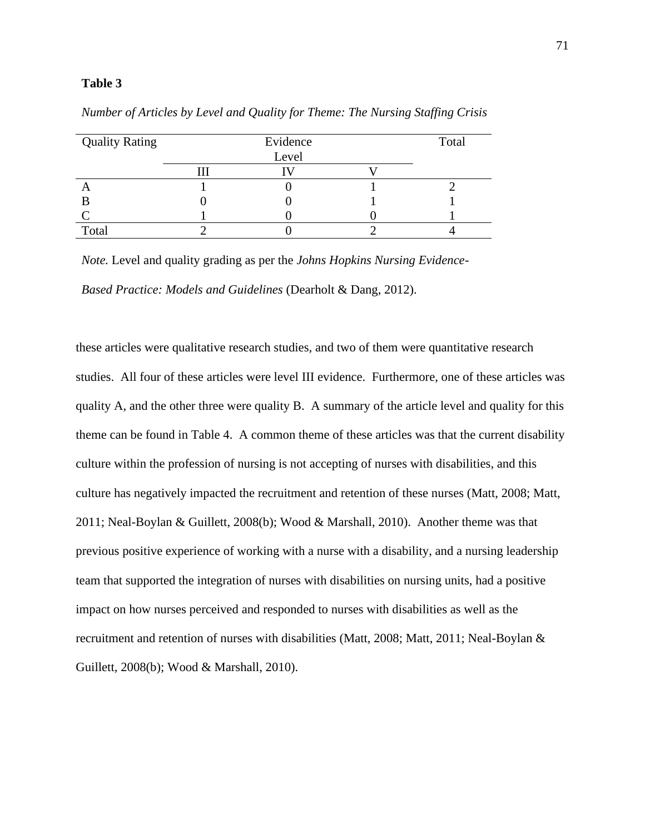| <b>Quality Rating</b> |  | Total |  |
|-----------------------|--|-------|--|
|                       |  | Level |  |
|                       |  |       |  |
|                       |  |       |  |
|                       |  |       |  |
|                       |  |       |  |
| Total                 |  |       |  |

*Number of Articles by Level and Quality for Theme: The Nursing Staffing Crisis*

*Note.* Level and quality grading as per the *Johns Hopkins Nursing Evidence-*

*Based Practice: Models and Guidelines* (Dearholt & Dang, 2012).

these articles were qualitative research studies, and two of them were quantitative research studies. All four of these articles were level III evidence. Furthermore, one of these articles was quality A, and the other three were quality B. A summary of the article level and quality for this theme can be found in Table 4. A common theme of these articles was that the current disability culture within the profession of nursing is not accepting of nurses with disabilities, and this culture has negatively impacted the recruitment and retention of these nurses (Matt, 2008; Matt, 2011; Neal-Boylan & Guillett, 2008(b); Wood & Marshall, 2010). Another theme was that previous positive experience of working with a nurse with a disability, and a nursing leadership team that supported the integration of nurses with disabilities on nursing units, had a positive impact on how nurses perceived and responded to nurses with disabilities as well as the recruitment and retention of nurses with disabilities (Matt, 2008; Matt, 2011; Neal-Boylan & Guillett, 2008(b); Wood & Marshall, 2010).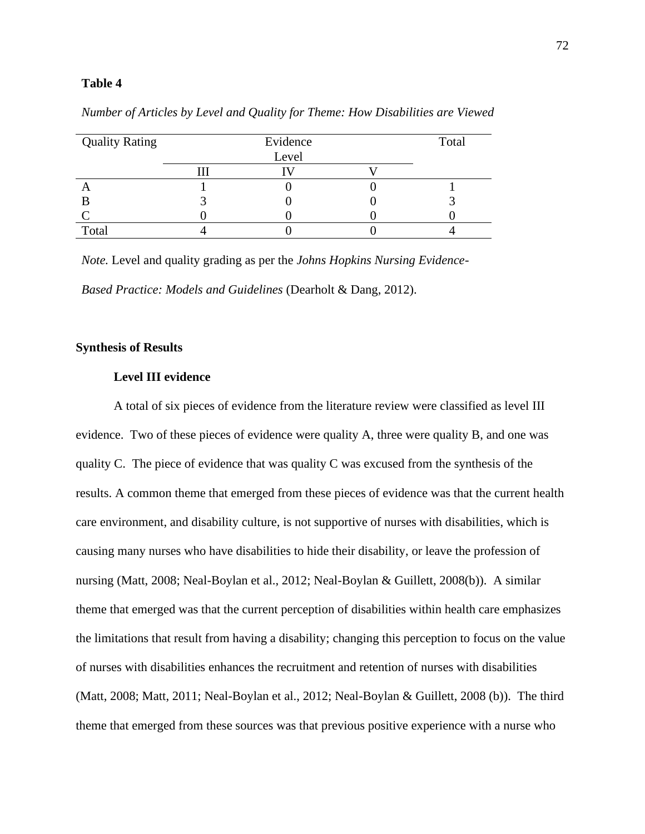| <b>Quality Rating</b> |  | Total |  |
|-----------------------|--|-------|--|
|                       |  | Level |  |
|                       |  |       |  |
|                       |  |       |  |
|                       |  |       |  |
|                       |  |       |  |
| Total                 |  |       |  |

*Number of Articles by Level and Quality for Theme: How Disabilities are Viewed*

*Note.* Level and quality grading as per the *Johns Hopkins Nursing Evidence-*

*Based Practice: Models and Guidelines* (Dearholt & Dang, 2012).

# **Synthesis of Results**

# **Level III evidence**

A total of six pieces of evidence from the literature review were classified as level III evidence. Two of these pieces of evidence were quality A, three were quality B, and one was quality C. The piece of evidence that was quality C was excused from the synthesis of the results. A common theme that emerged from these pieces of evidence was that the current health care environment, and disability culture, is not supportive of nurses with disabilities, which is causing many nurses who have disabilities to hide their disability, or leave the profession of nursing (Matt, 2008; Neal-Boylan et al., 2012; Neal-Boylan & Guillett, 2008(b)). A similar theme that emerged was that the current perception of disabilities within health care emphasizes the limitations that result from having a disability; changing this perception to focus on the value of nurses with disabilities enhances the recruitment and retention of nurses with disabilities (Matt, 2008; Matt, 2011; Neal-Boylan et al., 2012; Neal-Boylan & Guillett, 2008 (b)). The third theme that emerged from these sources was that previous positive experience with a nurse who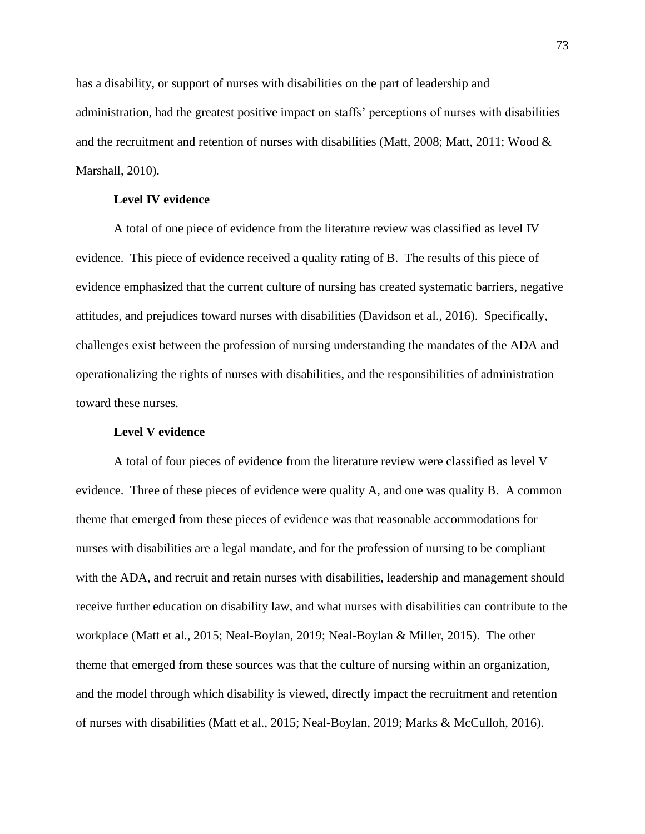has a disability, or support of nurses with disabilities on the part of leadership and administration, had the greatest positive impact on staffs' perceptions of nurses with disabilities and the recruitment and retention of nurses with disabilities (Matt, 2008; Matt, 2011; Wood  $\&$ Marshall, 2010).

# **Level IV evidence**

A total of one piece of evidence from the literature review was classified as level IV evidence. This piece of evidence received a quality rating of B. The results of this piece of evidence emphasized that the current culture of nursing has created systematic barriers, negative attitudes, and prejudices toward nurses with disabilities (Davidson et al., 2016). Specifically, challenges exist between the profession of nursing understanding the mandates of the ADA and operationalizing the rights of nurses with disabilities, and the responsibilities of administration toward these nurses.

# **Level V evidence**

A total of four pieces of evidence from the literature review were classified as level V evidence. Three of these pieces of evidence were quality A, and one was quality B. A common theme that emerged from these pieces of evidence was that reasonable accommodations for nurses with disabilities are a legal mandate, and for the profession of nursing to be compliant with the ADA, and recruit and retain nurses with disabilities, leadership and management should receive further education on disability law, and what nurses with disabilities can contribute to the workplace (Matt et al., 2015; Neal-Boylan, 2019; Neal-Boylan & Miller, 2015). The other theme that emerged from these sources was that the culture of nursing within an organization, and the model through which disability is viewed, directly impact the recruitment and retention of nurses with disabilities (Matt et al., 2015; Neal-Boylan, 2019; Marks & McCulloh, 2016).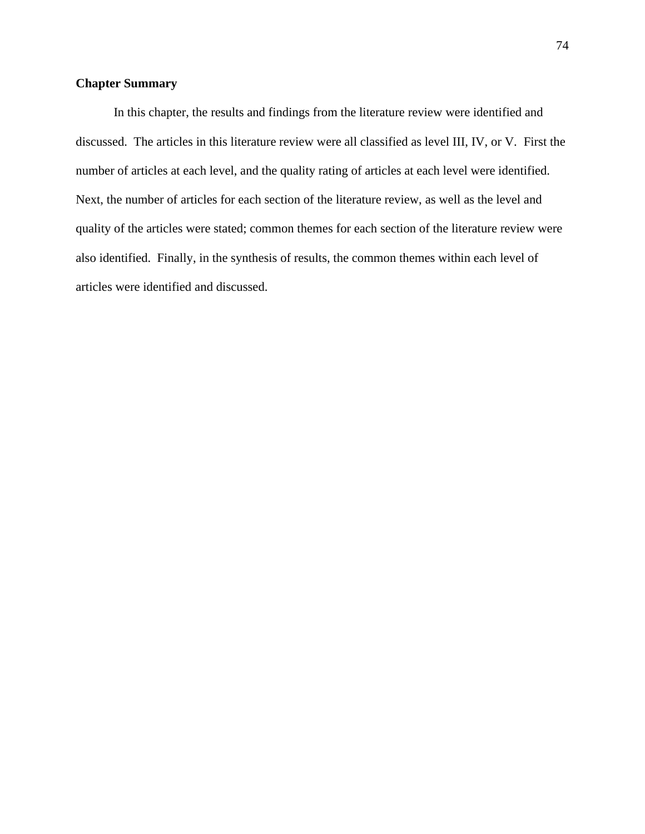# **Chapter Summary**

In this chapter, the results and findings from the literature review were identified and discussed. The articles in this literature review were all classified as level III, IV, or V. First the number of articles at each level, and the quality rating of articles at each level were identified. Next, the number of articles for each section of the literature review, as well as the level and quality of the articles were stated; common themes for each section of the literature review were also identified. Finally, in the synthesis of results, the common themes within each level of articles were identified and discussed.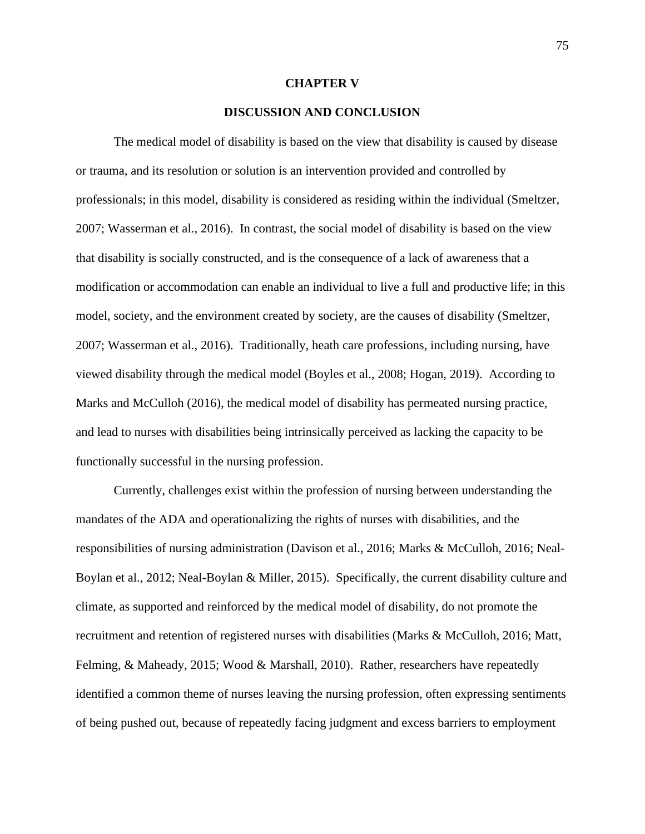#### **CHAPTER V**

# **DISCUSSION AND CONCLUSION**

The medical model of disability is based on the view that disability is caused by disease or trauma, and its resolution or solution is an intervention provided and controlled by professionals; in this model, disability is considered as residing within the individual (Smeltzer, 2007; Wasserman et al., 2016). In contrast, the social model of disability is based on the view that disability is socially constructed, and is the consequence of a lack of awareness that a modification or accommodation can enable an individual to live a full and productive life; in this model, society, and the environment created by society, are the causes of disability (Smeltzer, 2007; Wasserman et al., 2016). Traditionally, heath care professions, including nursing, have viewed disability through the medical model (Boyles et al., 2008; Hogan, 2019). According to Marks and McCulloh (2016), the medical model of disability has permeated nursing practice, and lead to nurses with disabilities being intrinsically perceived as lacking the capacity to be functionally successful in the nursing profession.

Currently, challenges exist within the profession of nursing between understanding the mandates of the ADA and operationalizing the rights of nurses with disabilities, and the responsibilities of nursing administration (Davison et al., 2016; Marks & McCulloh, 2016; Neal-Boylan et al., 2012; Neal-Boylan & Miller, 2015). Specifically, the current disability culture and climate, as supported and reinforced by the medical model of disability, do not promote the recruitment and retention of registered nurses with disabilities (Marks & McCulloh, 2016; Matt, Felming, & Maheady, 2015; Wood & Marshall, 2010). Rather, researchers have repeatedly identified a common theme of nurses leaving the nursing profession, often expressing sentiments of being pushed out, because of repeatedly facing judgment and excess barriers to employment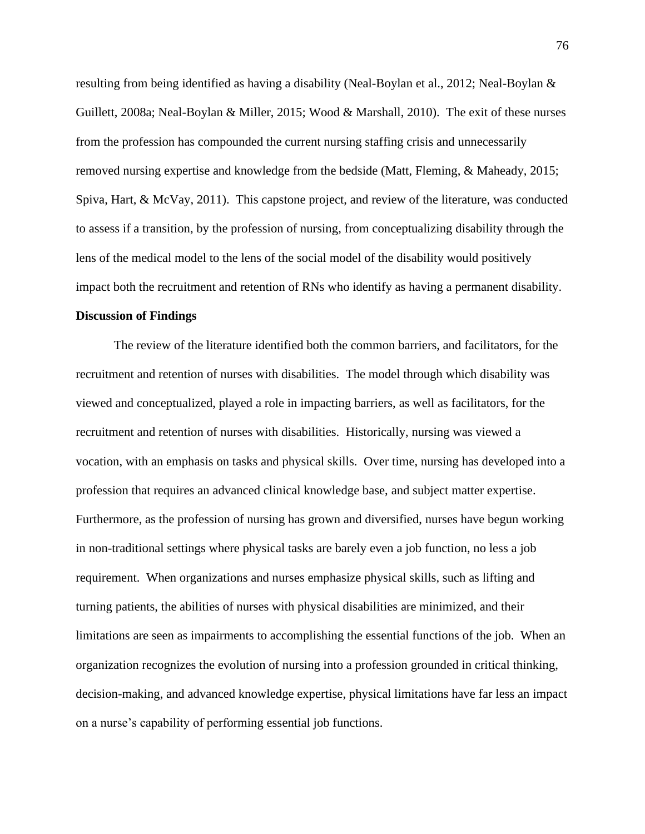resulting from being identified as having a disability (Neal-Boylan et al., 2012; Neal-Boylan & Guillett, 2008a; Neal-Boylan & Miller, 2015; Wood & Marshall, 2010). The exit of these nurses from the profession has compounded the current nursing staffing crisis and unnecessarily removed nursing expertise and knowledge from the bedside (Matt, Fleming, & Maheady, 2015; Spiva, Hart, & McVay, 2011). This capstone project, and review of the literature, was conducted to assess if a transition, by the profession of nursing, from conceptualizing disability through the lens of the medical model to the lens of the social model of the disability would positively impact both the recruitment and retention of RNs who identify as having a permanent disability.

#### **Discussion of Findings**

The review of the literature identified both the common barriers, and facilitators, for the recruitment and retention of nurses with disabilities. The model through which disability was viewed and conceptualized, played a role in impacting barriers, as well as facilitators, for the recruitment and retention of nurses with disabilities. Historically, nursing was viewed a vocation, with an emphasis on tasks and physical skills. Over time, nursing has developed into a profession that requires an advanced clinical knowledge base, and subject matter expertise. Furthermore, as the profession of nursing has grown and diversified, nurses have begun working in non-traditional settings where physical tasks are barely even a job function, no less a job requirement. When organizations and nurses emphasize physical skills, such as lifting and turning patients, the abilities of nurses with physical disabilities are minimized, and their limitations are seen as impairments to accomplishing the essential functions of the job. When an organization recognizes the evolution of nursing into a profession grounded in critical thinking, decision-making, and advanced knowledge expertise, physical limitations have far less an impact on a nurse's capability of performing essential job functions.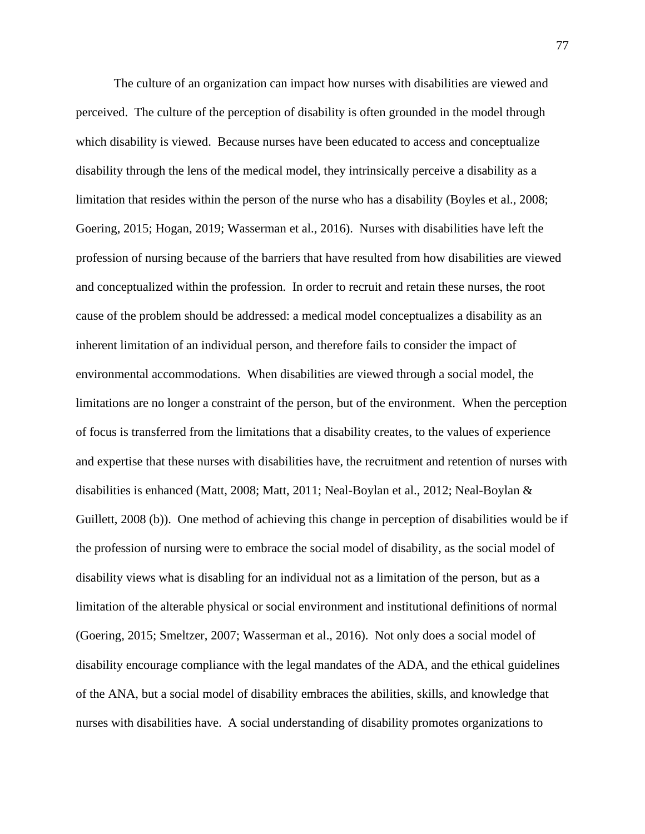The culture of an organization can impact how nurses with disabilities are viewed and perceived. The culture of the perception of disability is often grounded in the model through which disability is viewed. Because nurses have been educated to access and conceptualize disability through the lens of the medical model, they intrinsically perceive a disability as a limitation that resides within the person of the nurse who has a disability (Boyles et al., 2008; Goering, 2015; Hogan, 2019; Wasserman et al., 2016). Nurses with disabilities have left the profession of nursing because of the barriers that have resulted from how disabilities are viewed and conceptualized within the profession. In order to recruit and retain these nurses, the root cause of the problem should be addressed: a medical model conceptualizes a disability as an inherent limitation of an individual person, and therefore fails to consider the impact of environmental accommodations. When disabilities are viewed through a social model, the limitations are no longer a constraint of the person, but of the environment. When the perception of focus is transferred from the limitations that a disability creates, to the values of experience and expertise that these nurses with disabilities have, the recruitment and retention of nurses with disabilities is enhanced (Matt, 2008; Matt, 2011; Neal-Boylan et al., 2012; Neal-Boylan & Guillett, 2008 (b)). One method of achieving this change in perception of disabilities would be if the profession of nursing were to embrace the social model of disability, as the social model of disability views what is disabling for an individual not as a limitation of the person, but as a limitation of the alterable physical or social environment and institutional definitions of normal (Goering, 2015; Smeltzer, 2007; Wasserman et al., 2016). Not only does a social model of disability encourage compliance with the legal mandates of the ADA, and the ethical guidelines of the ANA, but a social model of disability embraces the abilities, skills, and knowledge that nurses with disabilities have. A social understanding of disability promotes organizations to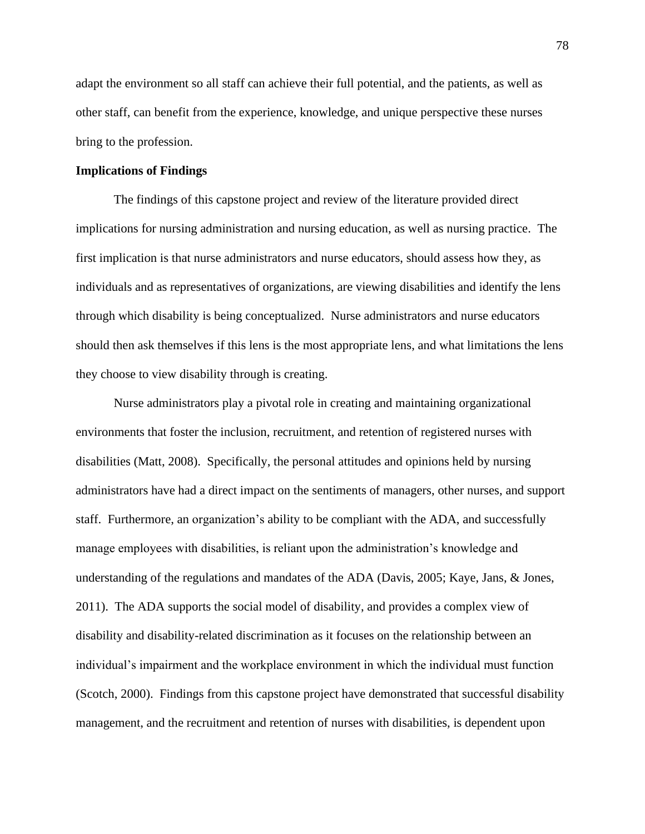adapt the environment so all staff can achieve their full potential, and the patients, as well as other staff, can benefit from the experience, knowledge, and unique perspective these nurses bring to the profession.

### **Implications of Findings**

The findings of this capstone project and review of the literature provided direct implications for nursing administration and nursing education, as well as nursing practice. The first implication is that nurse administrators and nurse educators, should assess how they, as individuals and as representatives of organizations, are viewing disabilities and identify the lens through which disability is being conceptualized. Nurse administrators and nurse educators should then ask themselves if this lens is the most appropriate lens, and what limitations the lens they choose to view disability through is creating.

Nurse administrators play a pivotal role in creating and maintaining organizational environments that foster the inclusion, recruitment, and retention of registered nurses with disabilities (Matt, 2008). Specifically, the personal attitudes and opinions held by nursing administrators have had a direct impact on the sentiments of managers, other nurses, and support staff. Furthermore, an organization's ability to be compliant with the ADA, and successfully manage employees with disabilities, is reliant upon the administration's knowledge and understanding of the regulations and mandates of the ADA (Davis, 2005; Kaye, Jans, & Jones, 2011). The ADA supports the social model of disability, and provides a complex view of disability and disability-related discrimination as it focuses on the relationship between an individual's impairment and the workplace environment in which the individual must function (Scotch, 2000). Findings from this capstone project have demonstrated that successful disability management, and the recruitment and retention of nurses with disabilities, is dependent upon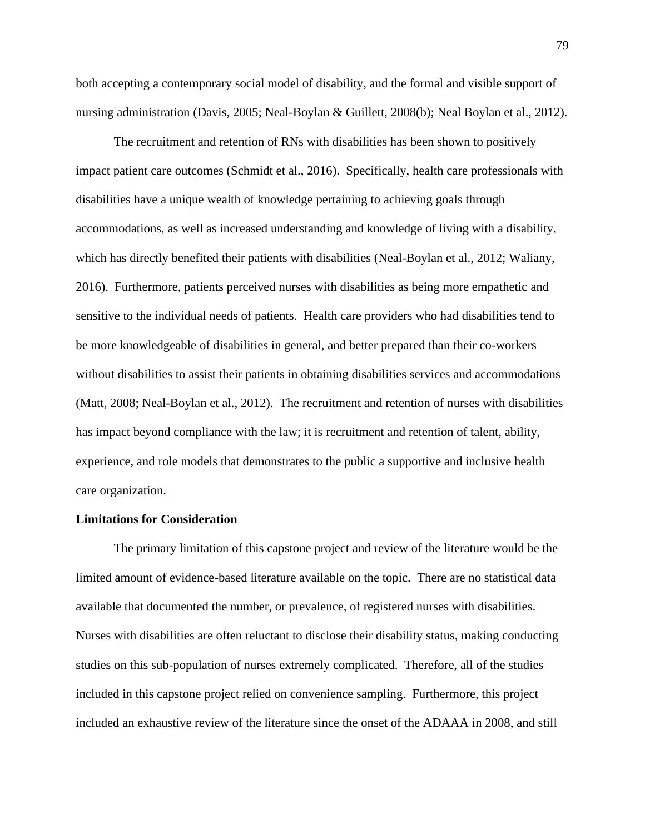both accepting a contemporary social model of disability, and the formal and visible support of nursing administration (Davis, 2005; Neal-Boylan & Guillett, 2008(b); Neal Boylan et al., 2012).

The recruitment and retention of RNs with disabilities has been shown to positively impact patient care outcomes (Schmidt et al., 2016). Specifically, health care professionals with disabilities have a unique wealth of knowledge pertaining to achieving goals through accommodations, as well as increased understanding and knowledge of living with a disability, which has directly benefited their patients with disabilities (Neal-Boylan et al., 2012; Waliany, 2016). Furthermore, patients perceived nurses with disabilities as being more empathetic and sensitive to the individual needs of patients. Health care providers who had disabilities tend to be more knowledgeable of disabilities in general, and better prepared than their co-workers without disabilities to assist their patients in obtaining disabilities services and accommodations (Matt, 2008; Neal-Boylan et al., 2012). The recruitment and retention of nurses with disabilities has impact beyond compliance with the law; it is recruitment and retention of talent, ability, experience, and role models that demonstrates to the public a supportive and inclusive health care organization.

## **Limitations for Consideration**

The primary limitation of this capstone project and review of the literature would be the limited amount of evidence-based literature available on the topic. There are no statistical data available that documented the number, or prevalence, of registered nurses with disabilities. Nurses with disabilities are often reluctant to disclose their disability status, making conducting studies on this sub-population of nurses extremely complicated. Therefore, all of the studies included in this capstone project relied on convenience sampling. Furthermore, this project included an exhaustive review of the literature since the onset of the ADAAA in 2008, and still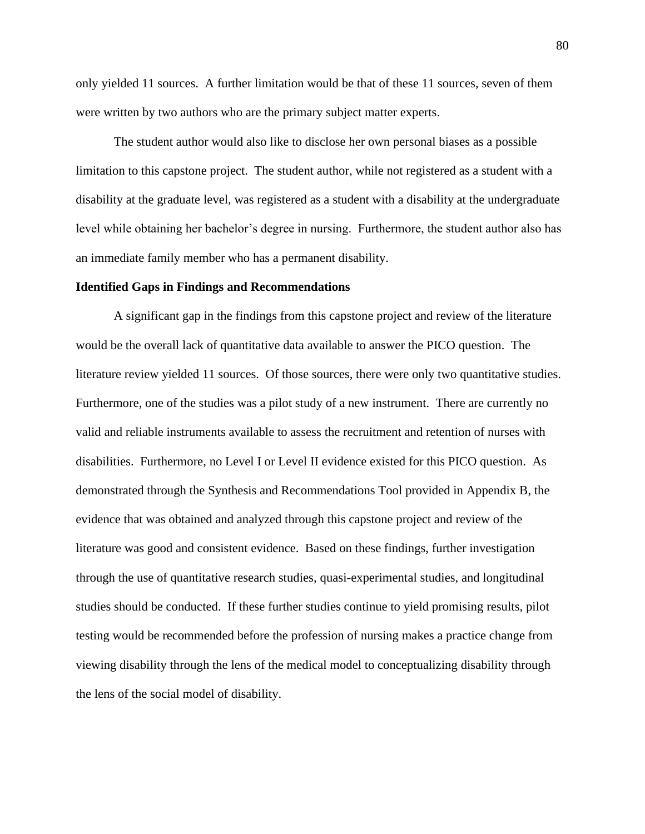only yielded 11 sources. A further limitation would be that of these 11 sources, seven of them were written by two authors who are the primary subject matter experts.

The student author would also like to disclose her own personal biases as a possible limitation to this capstone project. The student author, while not registered as a student with a disability at the graduate level, was registered as a student with a disability at the undergraduate level while obtaining her bachelor's degree in nursing. Furthermore, the student author also has an immediate family member who has a permanent disability.

### **Identified Gaps in Findings and Recommendations**

A significant gap in the findings from this capstone project and review of the literature would be the overall lack of quantitative data available to answer the PICO question. The literature review yielded 11 sources. Of those sources, there were only two quantitative studies. Furthermore, one of the studies was a pilot study of a new instrument. There are currently no valid and reliable instruments available to assess the recruitment and retention of nurses with disabilities. Furthermore, no Level I or Level II evidence existed for this PICO question. As demonstrated through the Synthesis and Recommendations Tool provided in Appendix B, the evidence that was obtained and analyzed through this capstone project and review of the literature was good and consistent evidence. Based on these findings, further investigation through the use of quantitative research studies, quasi-experimental studies, and longitudinal studies should be conducted. If these further studies continue to yield promising results, pilot testing would be recommended before the profession of nursing makes a practice change from viewing disability through the lens of the medical model to conceptualizing disability through the lens of the social model of disability.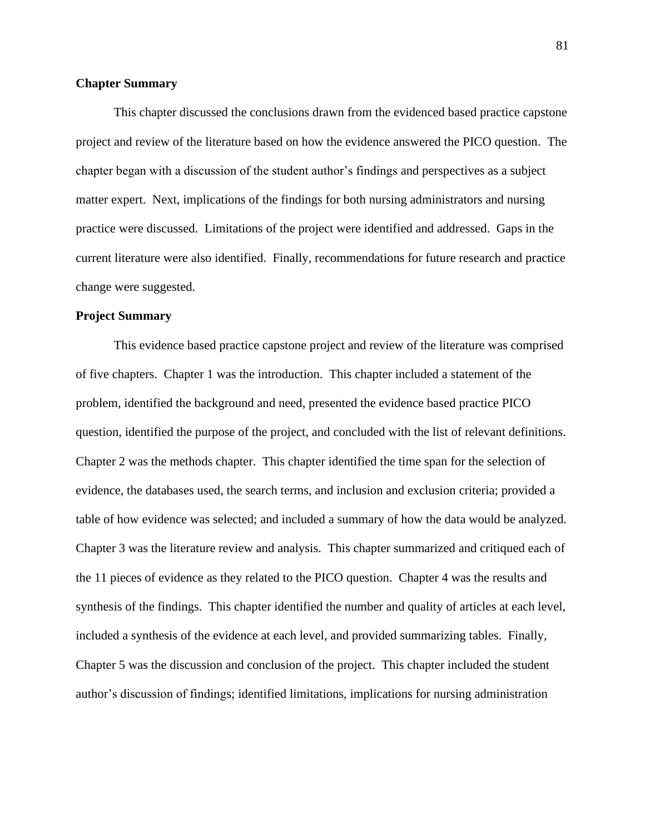## **Chapter Summary**

This chapter discussed the conclusions drawn from the evidenced based practice capstone project and review of the literature based on how the evidence answered the PICO question. The chapter began with a discussion of the student author's findings and perspectives as a subject matter expert. Next, implications of the findings for both nursing administrators and nursing practice were discussed. Limitations of the project were identified and addressed. Gaps in the current literature were also identified. Finally, recommendations for future research and practice change were suggested.

#### **Project Summary**

This evidence based practice capstone project and review of the literature was comprised of five chapters. Chapter 1 was the introduction. This chapter included a statement of the problem, identified the background and need, presented the evidence based practice PICO question, identified the purpose of the project, and concluded with the list of relevant definitions. Chapter 2 was the methods chapter. This chapter identified the time span for the selection of evidence, the databases used, the search terms, and inclusion and exclusion criteria; provided a table of how evidence was selected; and included a summary of how the data would be analyzed. Chapter 3 was the literature review and analysis. This chapter summarized and critiqued each of the 11 pieces of evidence as they related to the PICO question. Chapter 4 was the results and synthesis of the findings. This chapter identified the number and quality of articles at each level, included a synthesis of the evidence at each level, and provided summarizing tables. Finally, Chapter 5 was the discussion and conclusion of the project. This chapter included the student author's discussion of findings; identified limitations, implications for nursing administration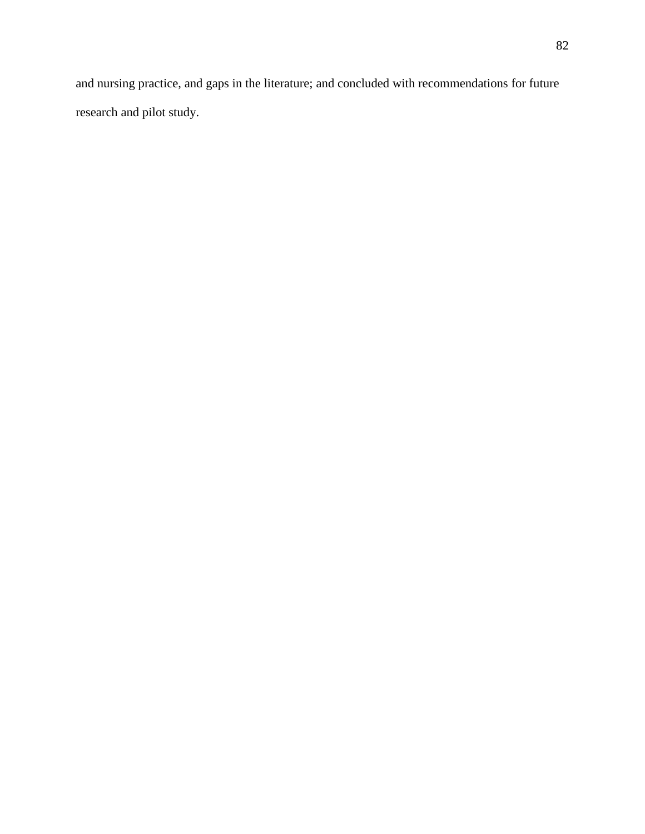and nursing practice, and gaps in the literature; and concluded with recommendations for future research and pilot study.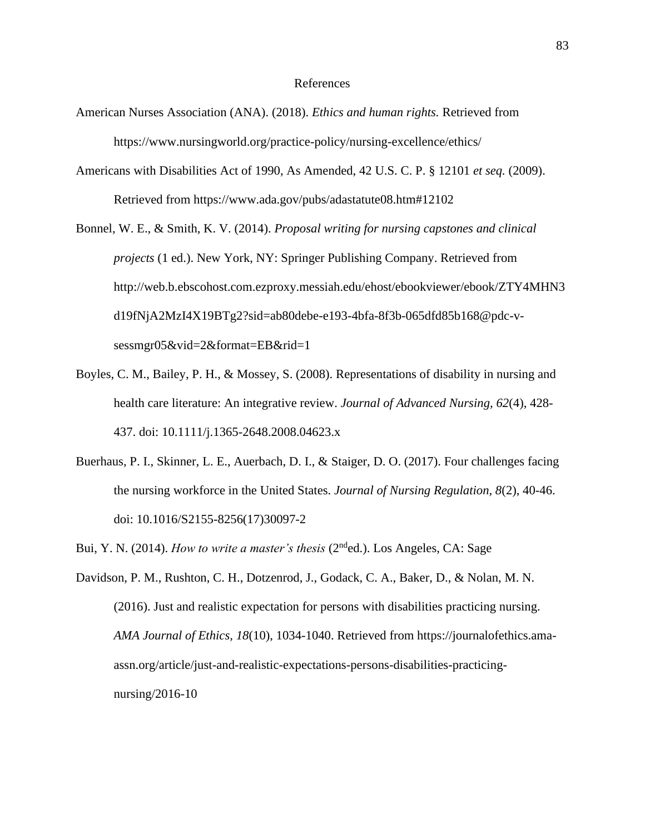## References

- American Nurses Association (ANA). (2018). *Ethics and human rights.* Retrieved from https://www.nursingworld.org/practice-policy/nursing-excellence/ethics/
- Americans with Disabilities Act of 1990, As Amended, 42 U.S. C. P. § 12101 *et seq.* (2009). Retrieved from https://www.ada.gov/pubs/adastatute08.htm#12102
- Bonnel, W. E., & Smith, K. V. (2014). *Proposal writing for nursing capstones and clinical projects* (1 ed.). New York, NY: Springer Publishing Company. Retrieved from http://web.b.ebscohost.com.ezproxy.messiah.edu/ehost/ebookviewer/ebook/ZTY4MHN3 d19fNjA2MzI4X19BTg2?sid=ab80debe-e193-4bfa-8f3b-065dfd85b168@pdc-vsessmgr05&vid=2&format=EB&rid=1
- Boyles, C. M., Bailey, P. H., & Mossey, S. (2008). Representations of disability in nursing and health care literature: An integrative review. *Journal of Advanced Nursing, 62*(4), 428- 437. doi: 10.1111/j.1365-2648.2008.04623.x
- Buerhaus, P. I., Skinner, L. E., Auerbach, D. I., & Staiger, D. O. (2017). Four challenges facing the nursing workforce in the United States. *Journal of Nursing Regulation, 8*(2), 40-46. doi: 10.1016/S2155-8256(17)30097-2
- Bui, Y. N. (2014). *How to write a master's thesis* (2nded.). Los Angeles, CA: Sage
- Davidson, P. M., Rushton, C. H., Dotzenrod, J., Godack, C. A., Baker, D., & Nolan, M. N. (2016). Just and realistic expectation for persons with disabilities practicing nursing. *AMA Journal of Ethics, 18*(10), 1034-1040. Retrieved from https://journalofethics.amaassn.org/article/just-and-realistic-expectations-persons-disabilities-practicingnursing/2016-10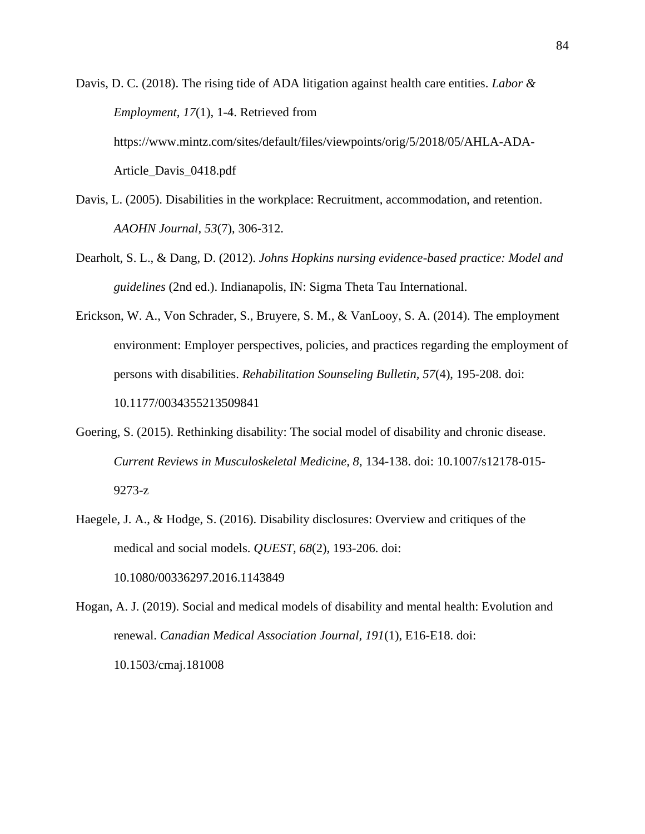Davis, D. C. (2018). The rising tide of ADA litigation against health care entities. *Labor & Employment, 17*(1), 1-4. Retrieved from https://www.mintz.com/sites/default/files/viewpoints/orig/5/2018/05/AHLA-ADA-Article\_Davis\_0418.pdf

- Davis, L. (2005). Disabilities in the workplace: Recruitment, accommodation, and retention. *AAOHN Journal, 53*(7), 306-312.
- Dearholt, S. L., & Dang, D. (2012). *Johns Hopkins nursing evidence-based practice: Model and guidelines* (2nd ed.). Indianapolis, IN: Sigma Theta Tau International.
- Erickson, W. A., Von Schrader, S., Bruyere, S. M., & VanLooy, S. A. (2014). The employment environment: Employer perspectives, policies, and practices regarding the employment of persons with disabilities. *Rehabilitation Sounseling Bulletin, 57*(4), 195-208. doi: 10.1177/0034355213509841
- Goering, S. (2015). Rethinking disability: The social model of disability and chronic disease. *Current Reviews in Musculoskeletal Medicine, 8,* 134-138. doi: 10.1007/s12178-015- 9273-z
- Haegele, J. A., & Hodge, S. (2016). Disability disclosures: Overview and critiques of the medical and social models. *QUEST, 68*(2), 193-206. doi: 10.1080/00336297.2016.1143849

Hogan, A. J. (2019). Social and medical models of disability and mental health: Evolution and renewal. *Canadian Medical Association Journal, 191*(1), E16-E18. doi: 10.1503/cmaj.181008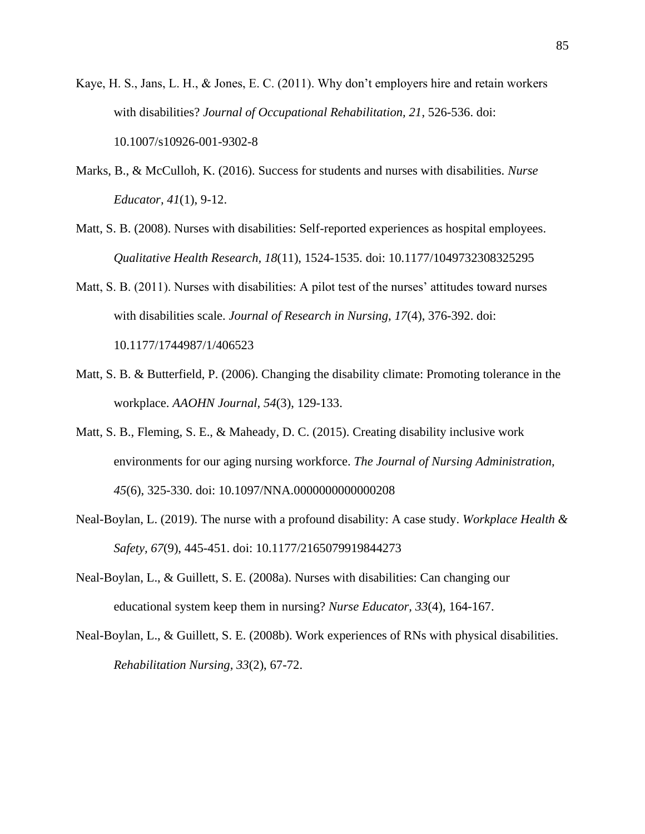- Kaye, H. S., Jans, L. H., & Jones, E. C. (2011). Why don't employers hire and retain workers with disabilities? *Journal of Occupational Rehabilitation, 21*, 526-536. doi: 10.1007/s10926-001-9302-8
- Marks, B., & McCulloh, K. (2016). Success for students and nurses with disabilities. *Nurse Educator, 41*(1), 9-12.
- Matt, S. B. (2008). Nurses with disabilities: Self-reported experiences as hospital employees. *Qualitative Health Research, 18*(11), 1524-1535. doi: 10.1177/1049732308325295
- Matt, S. B. (2011). Nurses with disabilities: A pilot test of the nurses' attitudes toward nurses with disabilities scale. *Journal of Research in Nursing, 17*(4), 376-392. doi: 10.1177/1744987/1/406523
- Matt, S. B. & Butterfield, P. (2006). Changing the disability climate: Promoting tolerance in the workplace. *AAOHN Journal, 54*(3), 129-133.
- Matt, S. B., Fleming, S. E., & Maheady, D. C. (2015). Creating disability inclusive work environments for our aging nursing workforce. *The Journal of Nursing Administration, 45*(6), 325-330. doi: 10.1097/NNA.0000000000000208
- Neal-Boylan, L. (2019). The nurse with a profound disability: A case study. *Workplace Health & Safety, 67*(9), 445-451. doi: 10.1177/2165079919844273
- Neal-Boylan, L., & Guillett, S. E. (2008a). Nurses with disabilities: Can changing our educational system keep them in nursing? *Nurse Educator, 33*(4), 164-167.
- Neal-Boylan, L., & Guillett, S. E. (2008b). Work experiences of RNs with physical disabilities. *Rehabilitation Nursing, 33*(2), 67-72.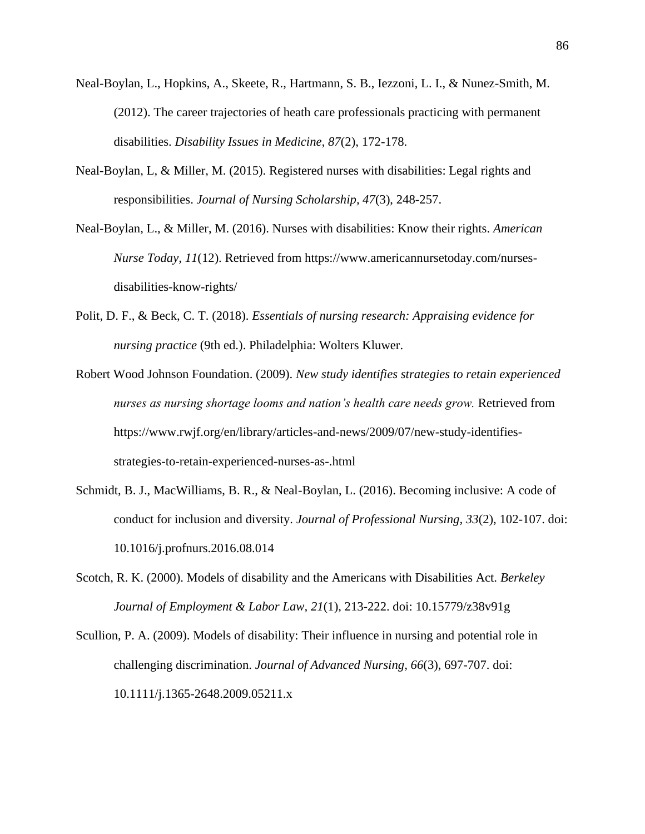- Neal-Boylan, L., Hopkins, A., Skeete, R., Hartmann, S. B., Iezzoni, L. I., & Nunez-Smith, M. (2012). The career trajectories of heath care professionals practicing with permanent disabilities. *Disability Issues in Medicine, 87*(2), 172-178.
- Neal-Boylan, L, & Miller, M. (2015). Registered nurses with disabilities: Legal rights and responsibilities. *Journal of Nursing Scholarship, 47*(3), 248-257.
- Neal-Boylan, L., & Miller, M. (2016). Nurses with disabilities: Know their rights. *American Nurse Today, 11*(12). Retrieved from https://www.americannursetoday.com/nursesdisabilities-know-rights/
- Polit, D. F., & Beck, C. T. (2018). *Essentials of nursing research: Appraising evidence for nursing practice* (9th ed.). Philadelphia: Wolters Kluwer.
- Robert Wood Johnson Foundation. (2009). *New study identifies strategies to retain experienced nurses as nursing shortage looms and nation's health care needs grow.* Retrieved from https://www.rwjf.org/en/library/articles-and-news/2009/07/new-study-identifiesstrategies-to-retain-experienced-nurses-as-.html
- Schmidt, B. J., MacWilliams, B. R., & Neal-Boylan, L. (2016). Becoming inclusive: A code of conduct for inclusion and diversity. *Journal of Professional Nursing, 33*(2), 102-107. doi: 10.1016/j.profnurs.2016.08.014
- Scotch, R. K. (2000). Models of disability and the Americans with Disabilities Act. *Berkeley Journal of Employment & Labor Law, 21*(1), 213-222. doi: 10.15779/z38v91g
- Scullion, P. A. (2009). Models of disability: Their influence in nursing and potential role in challenging discrimination. *Journal of Advanced Nursing, 66*(3), 697-707. doi: 10.1111/j.1365-2648.2009.05211.x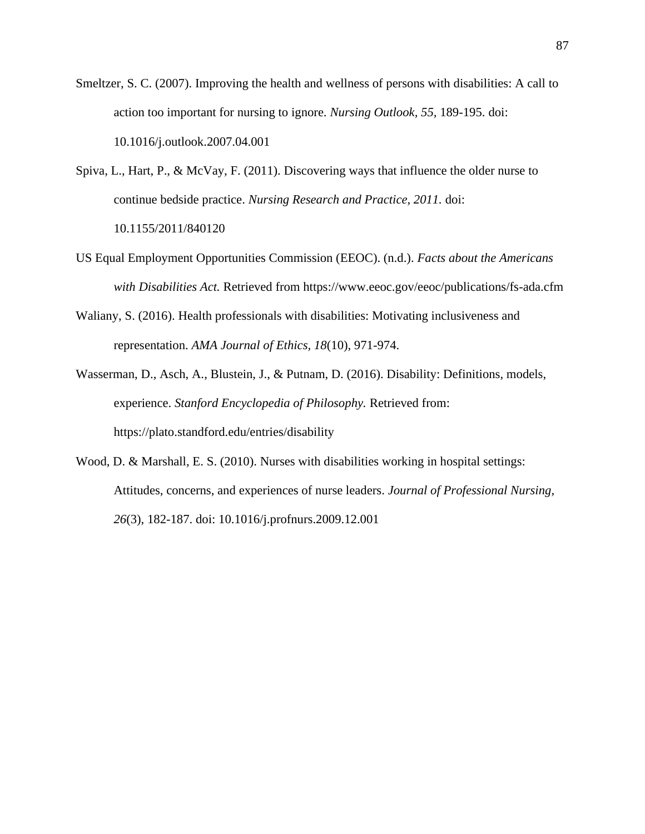Smeltzer, S. C. (2007). Improving the health and wellness of persons with disabilities: A call to action too important for nursing to ignore. *Nursing Outlook, 55,* 189-195. doi: 10.1016/j.outlook.2007.04.001

- Spiva, L., Hart, P., & McVay, F. (2011). Discovering ways that influence the older nurse to continue bedside practice. *Nursing Research and Practice, 2011.* doi: 10.1155/2011/840120
- US Equal Employment Opportunities Commission (EEOC). (n.d.). *Facts about the Americans with Disabilities Act.* Retrieved from https://www.eeoc.gov/eeoc/publications/fs-ada.cfm
- Waliany, S. (2016). Health professionals with disabilities: Motivating inclusiveness and representation. *AMA Journal of Ethics, 18*(10), 971-974.
- Wasserman, D., Asch, A., Blustein, J., & Putnam, D. (2016). Disability: Definitions, models, experience. *Stanford Encyclopedia of Philosophy.* Retrieved from: https://plato.standford.edu/entries/disability
- Wood, D. & Marshall, E. S. (2010). Nurses with disabilities working in hospital settings: Attitudes, concerns, and experiences of nurse leaders. *Journal of Professional Nursing, 26*(3), 182-187. doi: 10.1016/j.profnurs.2009.12.001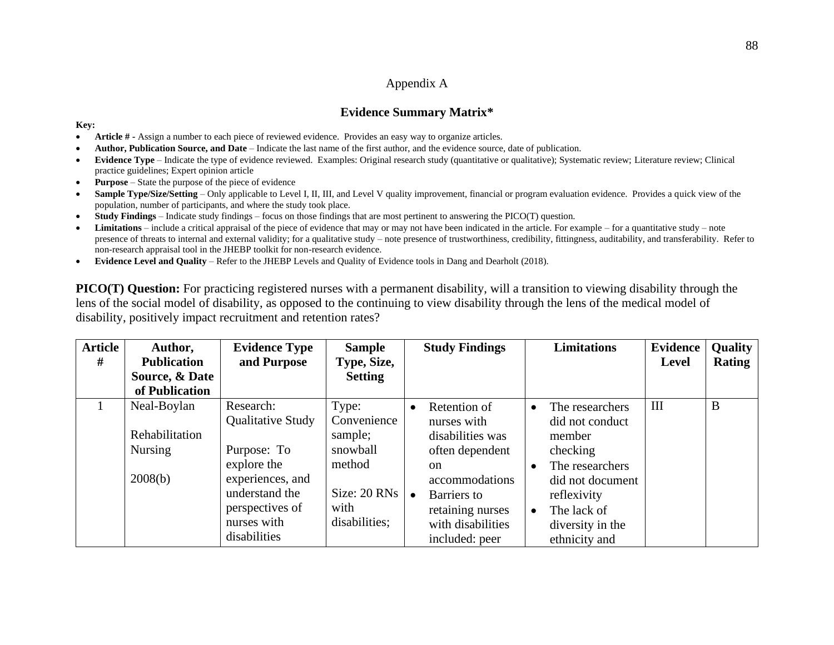# Appendix A

# **Evidence Summary Matrix\***

#### **Key:**

- **Article # -** Assign a number to each piece of reviewed evidence. Provides an easy way to organize articles.
- **Author, Publication Source, and Date** Indicate the last name of the first author, and the evidence source, date of publication.
- **Evidence Type** Indicate the type of evidence reviewed. Examples: Original research study (quantitative or qualitative); Systematic review; Literature review; Clinical practice guidelines; Expert opinion article
- **Purpose**  State the purpose of the piece of evidence
- Sample Type/Size/Setting Only applicable to Level I, II, III, and Level V quality improvement, financial or program evaluation evidence. Provides a quick view of the population, number of participants, and where the study took place.
- **Study Findings**  Indicate study findings focus on those findings that are most pertinent to answering the PICO(T) question.
- **Limitations** include a critical appraisal of the piece of evidence that may or may not have been indicated in the article. For example for a quantitative study note presence of threats to internal and external validity; for a qualitative study – note presence of trustworthiness, credibility, fittingness, auditability, and transferability. Refer to non-research appraisal tool in the JHEBP toolkit for non-research evidence.
- **Evidence Level and Quality**  Refer to the JHEBP Levels and Quality of Evidence tools in Dang and Dearholt (2018).

**PICO(T)** Question: For practicing registered nurses with a permanent disability, will a transition to viewing disability through the lens of the social model of disability, as opposed to the continuing to view disability through the lens of the medical model of disability, positively impact recruitment and retention rates?

| <b>Article</b><br># | Author,<br><b>Publication</b><br>Source, & Date<br>of Publication | <b>Evidence Type</b><br>and Purpose                                                                                                                  | <b>Sample</b><br>Type, Size,<br><b>Setting</b>                                                           | <b>Study Findings</b>                                                                                                                                                                                     | <b>Limitations</b>                                                                                                                                                              | <b>Evidence</b><br><b>Level</b> | <b>Quality</b><br><b>Rating</b> |
|---------------------|-------------------------------------------------------------------|------------------------------------------------------------------------------------------------------------------------------------------------------|----------------------------------------------------------------------------------------------------------|-----------------------------------------------------------------------------------------------------------------------------------------------------------------------------------------------------------|---------------------------------------------------------------------------------------------------------------------------------------------------------------------------------|---------------------------------|---------------------------------|
|                     | Neal-Boylan<br>Rehabilitation<br><b>Nursing</b><br>2008(b)        | Research:<br>Qualitative Study<br>Purpose: To<br>explore the<br>experiences, and<br>understand the<br>perspectives of<br>nurses with<br>disabilities | Type:<br>Convenience<br>sample;<br>snowball<br>method<br>Size: $20$ RNs $\vert$<br>with<br>disabilities; | Retention of<br>$\bullet$<br>nurses with<br>disabilities was<br>often dependent<br><sub>on</sub><br>accommodations<br>Barriers to<br>$\bullet$<br>retaining nurses<br>with disabilities<br>included: peer | The researchers<br>did not conduct<br>member<br>checking<br>The researchers<br>did not document<br>reflexivity<br>The lack of<br>$\bullet$<br>diversity in the<br>ethnicity and | III                             | B                               |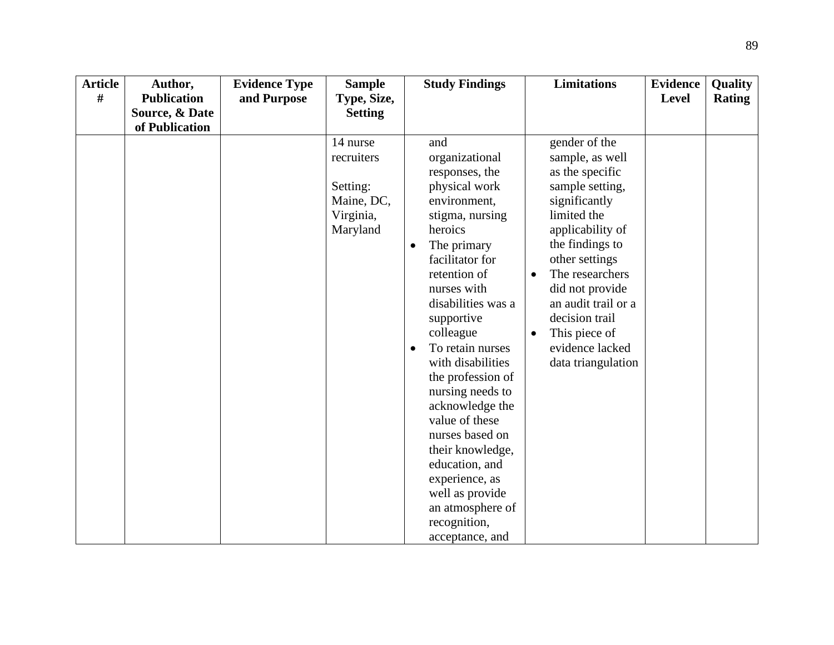| <b>Article</b> | Author,            | <b>Evidence Type</b> | <b>Sample</b>                                                             | <b>Study Findings</b>                                                                                                                                                                                                                                                                                                                                                                                                                                                                                             | <b>Limitations</b>                                                                                                                                                                                                                                                                                                                 | <b>Evidence</b> | Quality       |
|----------------|--------------------|----------------------|---------------------------------------------------------------------------|-------------------------------------------------------------------------------------------------------------------------------------------------------------------------------------------------------------------------------------------------------------------------------------------------------------------------------------------------------------------------------------------------------------------------------------------------------------------------------------------------------------------|------------------------------------------------------------------------------------------------------------------------------------------------------------------------------------------------------------------------------------------------------------------------------------------------------------------------------------|-----------------|---------------|
| #              | <b>Publication</b> | and Purpose          | Type, Size,                                                               |                                                                                                                                                                                                                                                                                                                                                                                                                                                                                                                   |                                                                                                                                                                                                                                                                                                                                    | Level           | <b>Rating</b> |
|                | Source, & Date     |                      | <b>Setting</b>                                                            |                                                                                                                                                                                                                                                                                                                                                                                                                                                                                                                   |                                                                                                                                                                                                                                                                                                                                    |                 |               |
|                | of Publication     |                      |                                                                           |                                                                                                                                                                                                                                                                                                                                                                                                                                                                                                                   |                                                                                                                                                                                                                                                                                                                                    |                 |               |
|                |                    |                      | 14 nurse<br>recruiters<br>Setting:<br>Maine, DC,<br>Virginia,<br>Maryland | and<br>organizational<br>responses, the<br>physical work<br>environment,<br>stigma, nursing<br>heroics<br>The primary<br>facilitator for<br>retention of<br>nurses with<br>disabilities was a<br>supportive<br>colleague<br>To retain nurses<br>$\bullet$<br>with disabilities<br>the profession of<br>nursing needs to<br>acknowledge the<br>value of these<br>nurses based on<br>their knowledge,<br>education, and<br>experience, as<br>well as provide<br>an atmosphere of<br>recognition,<br>acceptance, and | gender of the<br>sample, as well<br>as the specific<br>sample setting,<br>significantly<br>limited the<br>applicability of<br>the findings to<br>other settings<br>The researchers<br>$\bullet$<br>did not provide<br>an audit trail or a<br>decision trail<br>This piece of<br>$\bullet$<br>evidence lacked<br>data triangulation |                 |               |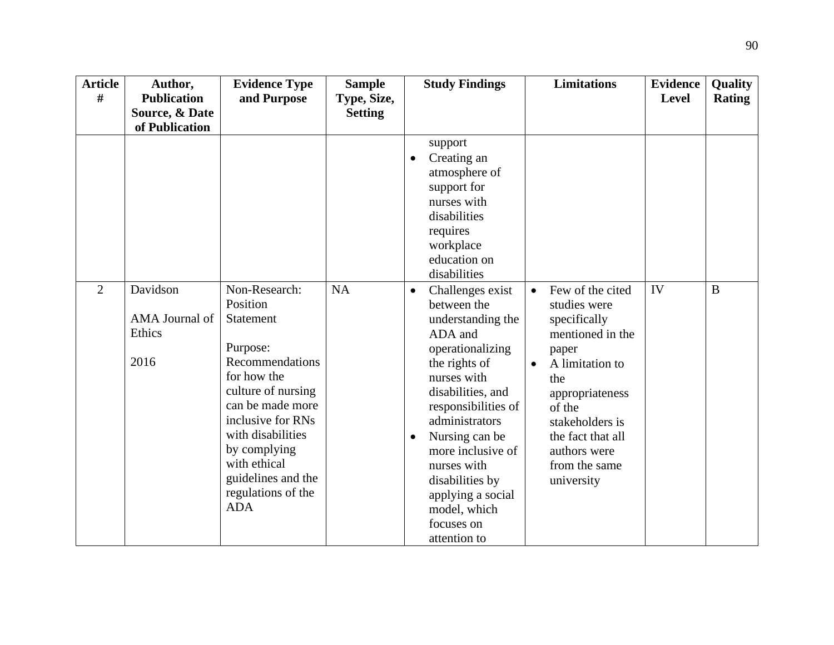| <b>Article</b><br># | Author,<br><b>Publication</b>    | <b>Evidence Type</b><br>and Purpose                                                                                                                                                                                                               | <b>Sample</b><br>Type, Size, | <b>Study Findings</b>                                                                                                                                                                                                                                                                                                                                   | <b>Limitations</b>                                                                                                                                                                                                                | <b>Evidence</b><br><b>Level</b> | Quality<br><b>Rating</b> |
|---------------------|----------------------------------|---------------------------------------------------------------------------------------------------------------------------------------------------------------------------------------------------------------------------------------------------|------------------------------|---------------------------------------------------------------------------------------------------------------------------------------------------------------------------------------------------------------------------------------------------------------------------------------------------------------------------------------------------------|-----------------------------------------------------------------------------------------------------------------------------------------------------------------------------------------------------------------------------------|---------------------------------|--------------------------|
|                     | Source, & Date<br>of Publication |                                                                                                                                                                                                                                                   | <b>Setting</b>               |                                                                                                                                                                                                                                                                                                                                                         |                                                                                                                                                                                                                                   |                                 |                          |
| $\overline{2}$      | Davidson                         | Non-Research:                                                                                                                                                                                                                                     | NA                           | support<br>Creating an<br>atmosphere of<br>support for<br>nurses with<br>disabilities<br>requires<br>workplace<br>education on<br>disabilities                                                                                                                                                                                                          | Few of the cited                                                                                                                                                                                                                  | IV                              | $\bf{B}$                 |
|                     | AMA Journal of<br>Ethics<br>2016 | Position<br>Statement<br>Purpose:<br>Recommendations<br>for how the<br>culture of nursing<br>can be made more<br>inclusive for RNs<br>with disabilities<br>by complying<br>with ethical<br>guidelines and the<br>regulations of the<br><b>ADA</b> |                              | Challenges exist<br>$\bullet$<br>between the<br>understanding the<br>ADA and<br>operationalizing<br>the rights of<br>nurses with<br>disabilities, and<br>responsibilities of<br>administrators<br>Nursing can be<br>$\bullet$<br>more inclusive of<br>nurses with<br>disabilities by<br>applying a social<br>model, which<br>focuses on<br>attention to | $\bullet$<br>studies were<br>specifically<br>mentioned in the<br>paper<br>A limitation to<br>$\bullet$<br>the<br>appropriateness<br>of the<br>stakeholders is<br>the fact that all<br>authors were<br>from the same<br>university |                                 |                          |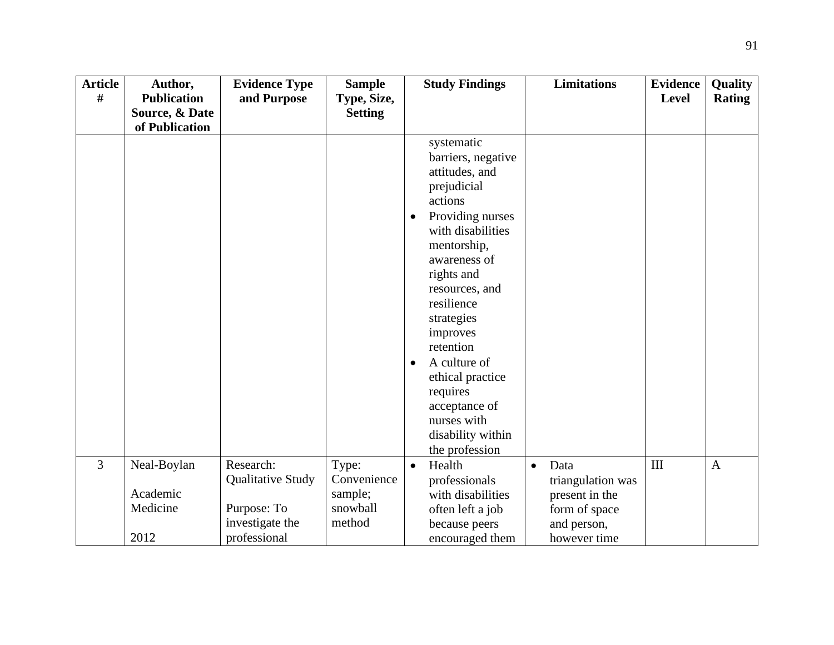| <b>Article</b> | Author,            | <b>Evidence Type</b> | <b>Sample</b>  |                        | <b>Study Findings</b>                                                                                                                                                                                                                                                                                                                          |           | <b>Limitations</b> | <b>Evidence</b> | Quality       |
|----------------|--------------------|----------------------|----------------|------------------------|------------------------------------------------------------------------------------------------------------------------------------------------------------------------------------------------------------------------------------------------------------------------------------------------------------------------------------------------|-----------|--------------------|-----------------|---------------|
| #              | <b>Publication</b> | and Purpose          | Type, Size,    |                        |                                                                                                                                                                                                                                                                                                                                                |           |                    | <b>Level</b>    | <b>Rating</b> |
|                | Source, & Date     |                      | <b>Setting</b> |                        |                                                                                                                                                                                                                                                                                                                                                |           |                    |                 |               |
|                | of Publication     |                      |                |                        |                                                                                                                                                                                                                                                                                                                                                |           |                    |                 |               |
|                |                    |                      |                | $\bullet$<br>$\bullet$ | systematic<br>barriers, negative<br>attitudes, and<br>prejudicial<br>actions<br>Providing nurses<br>with disabilities<br>mentorship,<br>awareness of<br>rights and<br>resources, and<br>resilience<br>strategies<br>improves<br>retention<br>A culture of<br>ethical practice<br>requires<br>acceptance of<br>nurses with<br>disability within |           |                    |                 |               |
|                |                    |                      |                |                        | the profession                                                                                                                                                                                                                                                                                                                                 |           |                    |                 |               |
| $\overline{3}$ | Neal-Boylan        | Research:            | Type:          | $\bullet$              | Health                                                                                                                                                                                                                                                                                                                                         | $\bullet$ | Data               | III             | $\mathbf{A}$  |
|                |                    | Qualitative Study    | Convenience    |                        | professionals                                                                                                                                                                                                                                                                                                                                  |           | triangulation was  |                 |               |
|                | Academic           |                      | sample;        |                        | with disabilities                                                                                                                                                                                                                                                                                                                              |           | present in the     |                 |               |
|                | Medicine           | Purpose: To          | snowball       |                        | often left a job                                                                                                                                                                                                                                                                                                                               |           | form of space      |                 |               |
|                |                    | investigate the      | method         |                        | because peers                                                                                                                                                                                                                                                                                                                                  |           | and person,        |                 |               |
|                | 2012               | professional         |                |                        | encouraged them                                                                                                                                                                                                                                                                                                                                |           | however time       |                 |               |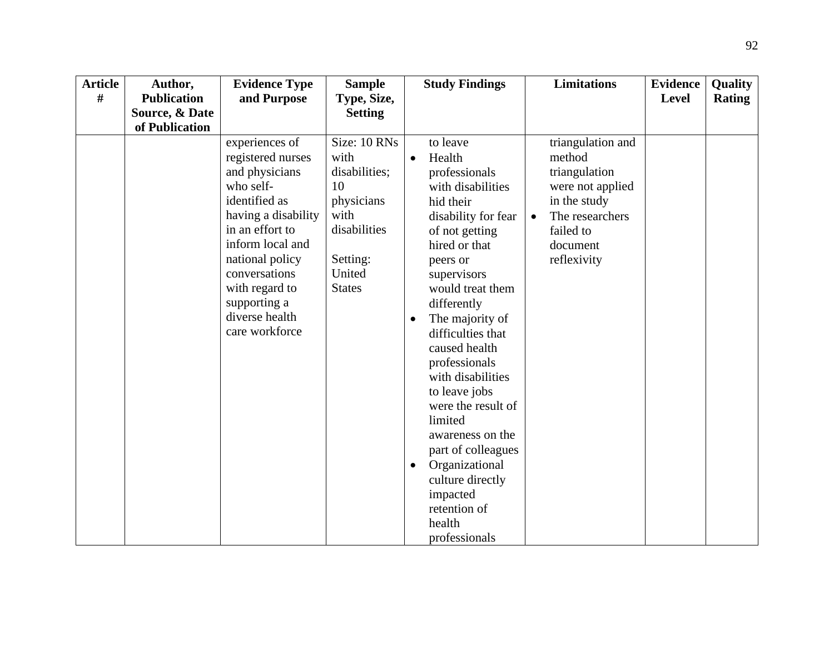| <b>Article</b> | Author,            | <b>Evidence Type</b>                                                                                                                                                                                                                                        | <b>Sample</b>                                                                                                            | <b>Study Findings</b>                                                                                                                                                                                                                                                                                                                                                                                                                                                                              | <b>Limitations</b>                                                                                                                                       | <b>Evidence</b> | Quality       |
|----------------|--------------------|-------------------------------------------------------------------------------------------------------------------------------------------------------------------------------------------------------------------------------------------------------------|--------------------------------------------------------------------------------------------------------------------------|----------------------------------------------------------------------------------------------------------------------------------------------------------------------------------------------------------------------------------------------------------------------------------------------------------------------------------------------------------------------------------------------------------------------------------------------------------------------------------------------------|----------------------------------------------------------------------------------------------------------------------------------------------------------|-----------------|---------------|
| #              | <b>Publication</b> | and Purpose                                                                                                                                                                                                                                                 | Type, Size,                                                                                                              |                                                                                                                                                                                                                                                                                                                                                                                                                                                                                                    |                                                                                                                                                          | <b>Level</b>    | <b>Rating</b> |
|                | Source, & Date     |                                                                                                                                                                                                                                                             | <b>Setting</b>                                                                                                           |                                                                                                                                                                                                                                                                                                                                                                                                                                                                                                    |                                                                                                                                                          |                 |               |
|                | of Publication     |                                                                                                                                                                                                                                                             |                                                                                                                          |                                                                                                                                                                                                                                                                                                                                                                                                                                                                                                    |                                                                                                                                                          |                 |               |
|                |                    | experiences of<br>registered nurses<br>and physicians<br>who self-<br>identified as<br>having a disability<br>in an effort to<br>inform local and<br>national policy<br>conversations<br>with regard to<br>supporting a<br>diverse health<br>care workforce | Size: 10 RNs<br>with<br>disabilities;<br>10<br>physicians<br>with<br>disabilities<br>Setting:<br>United<br><b>States</b> | to leave<br>Health<br>$\bullet$<br>professionals<br>with disabilities<br>hid their<br>disability for fear<br>of not getting<br>hired or that<br>peers or<br>supervisors<br>would treat them<br>differently<br>The majority of<br>difficulties that<br>caused health<br>professionals<br>with disabilities<br>to leave jobs<br>were the result of<br>limited<br>awareness on the<br>part of colleagues<br>Organizational<br>culture directly<br>impacted<br>retention of<br>health<br>professionals | triangulation and<br>method<br>triangulation<br>were not applied<br>in the study<br>The researchers<br>$\bullet$<br>failed to<br>document<br>reflexivity |                 |               |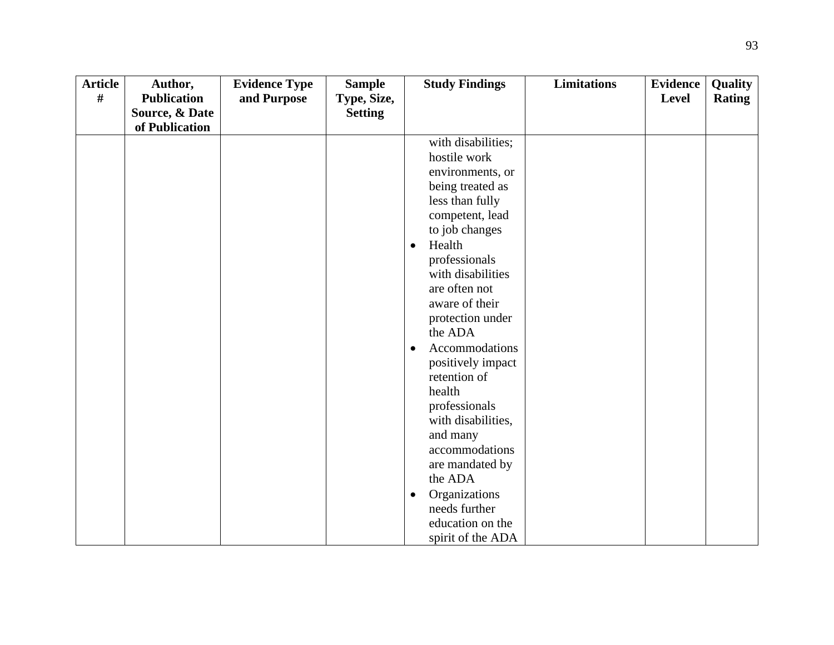| <b>Article</b> | Author,            | <b>Evidence Type</b> | <b>Sample</b>  | <b>Study Findings</b>      | <b>Limitations</b> | <b>Evidence</b> | Quality       |
|----------------|--------------------|----------------------|----------------|----------------------------|--------------------|-----------------|---------------|
| #              | <b>Publication</b> | and Purpose          | Type, Size,    |                            |                    | <b>Level</b>    | <b>Rating</b> |
|                | Source, & Date     |                      | <b>Setting</b> |                            |                    |                 |               |
|                | of Publication     |                      |                |                            |                    |                 |               |
|                |                    |                      |                | with disabilities;         |                    |                 |               |
|                |                    |                      |                | hostile work               |                    |                 |               |
|                |                    |                      |                | environments, or           |                    |                 |               |
|                |                    |                      |                | being treated as           |                    |                 |               |
|                |                    |                      |                | less than fully            |                    |                 |               |
|                |                    |                      |                | competent, lead            |                    |                 |               |
|                |                    |                      |                | to job changes             |                    |                 |               |
|                |                    |                      |                | Health<br>$\bullet$        |                    |                 |               |
|                |                    |                      |                | professionals              |                    |                 |               |
|                |                    |                      |                | with disabilities          |                    |                 |               |
|                |                    |                      |                | are often not              |                    |                 |               |
|                |                    |                      |                | aware of their             |                    |                 |               |
|                |                    |                      |                | protection under           |                    |                 |               |
|                |                    |                      |                | the ADA                    |                    |                 |               |
|                |                    |                      |                | Accommodations<br>٠        |                    |                 |               |
|                |                    |                      |                | positively impact          |                    |                 |               |
|                |                    |                      |                | retention of               |                    |                 |               |
|                |                    |                      |                | health                     |                    |                 |               |
|                |                    |                      |                | professionals              |                    |                 |               |
|                |                    |                      |                | with disabilities,         |                    |                 |               |
|                |                    |                      |                | and many                   |                    |                 |               |
|                |                    |                      |                | accommodations             |                    |                 |               |
|                |                    |                      |                | are mandated by            |                    |                 |               |
|                |                    |                      |                | the ADA                    |                    |                 |               |
|                |                    |                      |                | Organizations<br>$\bullet$ |                    |                 |               |
|                |                    |                      |                | needs further              |                    |                 |               |
|                |                    |                      |                | education on the           |                    |                 |               |
|                |                    |                      |                | spirit of the ADA          |                    |                 |               |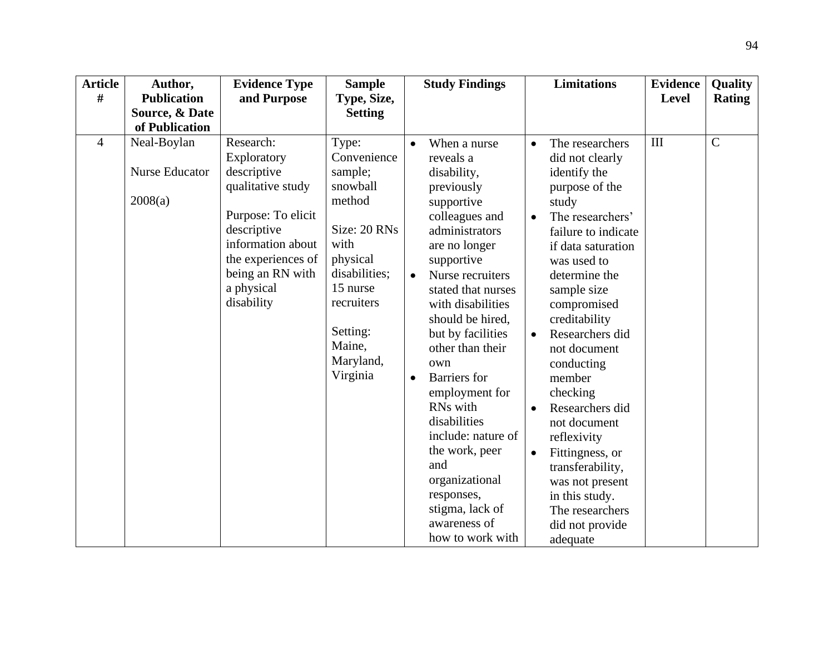| <b>Article</b> | Author,                                  | <b>Evidence Type</b>                                                                                                                                                                         | <b>Sample</b>                                                                                                                                                                       |                                     | <b>Study Findings</b>                                                                                                                                                                                                                                                                                                                                                                                                                                                                 |                                                               | <b>Limitations</b>                                                                                                                                                                                                                                                                                                                                                                                                                                                                   | <b>Evidence</b> | Quality       |
|----------------|------------------------------------------|----------------------------------------------------------------------------------------------------------------------------------------------------------------------------------------------|-------------------------------------------------------------------------------------------------------------------------------------------------------------------------------------|-------------------------------------|---------------------------------------------------------------------------------------------------------------------------------------------------------------------------------------------------------------------------------------------------------------------------------------------------------------------------------------------------------------------------------------------------------------------------------------------------------------------------------------|---------------------------------------------------------------|--------------------------------------------------------------------------------------------------------------------------------------------------------------------------------------------------------------------------------------------------------------------------------------------------------------------------------------------------------------------------------------------------------------------------------------------------------------------------------------|-----------------|---------------|
| #              | <b>Publication</b>                       | and Purpose                                                                                                                                                                                  | Type, Size,                                                                                                                                                                         |                                     |                                                                                                                                                                                                                                                                                                                                                                                                                                                                                       |                                                               |                                                                                                                                                                                                                                                                                                                                                                                                                                                                                      | <b>Level</b>    | <b>Rating</b> |
|                | Source, & Date                           |                                                                                                                                                                                              | <b>Setting</b>                                                                                                                                                                      |                                     |                                                                                                                                                                                                                                                                                                                                                                                                                                                                                       |                                                               |                                                                                                                                                                                                                                                                                                                                                                                                                                                                                      |                 |               |
|                | of Publication                           |                                                                                                                                                                                              |                                                                                                                                                                                     |                                     |                                                                                                                                                                                                                                                                                                                                                                                                                                                                                       |                                                               |                                                                                                                                                                                                                                                                                                                                                                                                                                                                                      |                 |               |
| $\overline{4}$ | Neal-Boylan<br>Nurse Educator<br>2008(a) | Research:<br>Exploratory<br>descriptive<br>qualitative study<br>Purpose: To elicit<br>descriptive<br>information about<br>the experiences of<br>being an RN with<br>a physical<br>disability | Type:<br>Convenience<br>sample;<br>snowball<br>method<br>Size: 20 RNs<br>with<br>physical<br>disabilities;<br>15 nurse<br>recruiters<br>Setting:<br>Maine,<br>Maryland,<br>Virginia | $\bullet$<br>$\bullet$<br>$\bullet$ | When a nurse<br>reveals a<br>disability,<br>previously<br>supportive<br>colleagues and<br>administrators<br>are no longer<br>supportive<br>Nurse recruiters<br>stated that nurses<br>with disabilities<br>should be hired,<br>but by facilities<br>other than their<br>own<br><b>Barriers</b> for<br>employment for<br>RNs with<br>disabilities<br>include: nature of<br>the work, peer<br>and<br>organizational<br>responses,<br>stigma, lack of<br>awareness of<br>how to work with | $\bullet$<br>$\bullet$<br>$\bullet$<br>$\bullet$<br>$\bullet$ | The researchers<br>did not clearly<br>identify the<br>purpose of the<br>study<br>The researchers'<br>failure to indicate<br>if data saturation<br>was used to<br>determine the<br>sample size<br>compromised<br>creditability<br>Researchers did<br>not document<br>conducting<br>member<br>checking<br>Researchers did<br>not document<br>reflexivity<br>Fittingness, or<br>transferability,<br>was not present<br>in this study.<br>The researchers<br>did not provide<br>adequate | III             | $\mathbf C$   |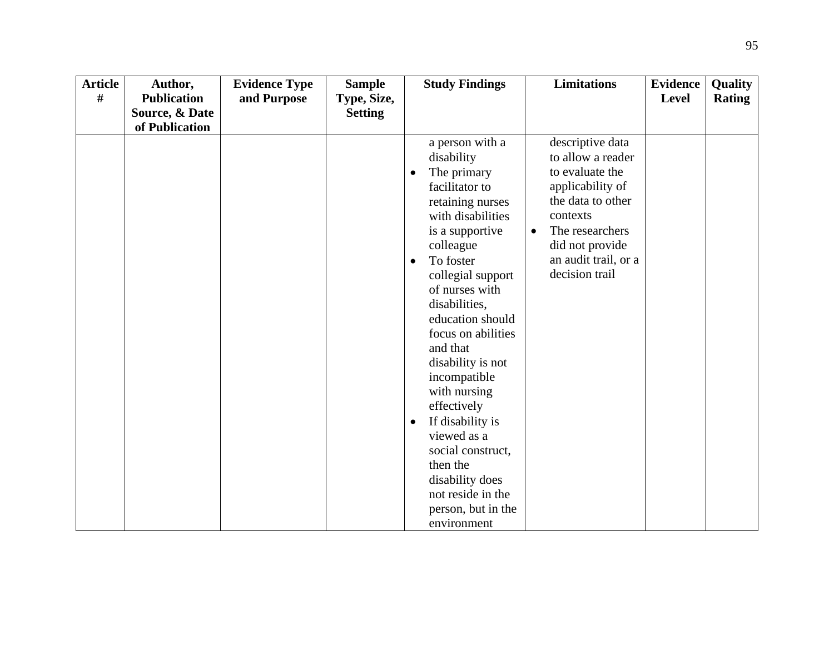| <b>Article</b> | Author,            | <b>Evidence Type</b> | <b>Sample</b>  | <b>Study Findings</b>               | <b>Limitations</b>                      | <b>Evidence</b> | <b>Quality</b> |
|----------------|--------------------|----------------------|----------------|-------------------------------------|-----------------------------------------|-----------------|----------------|
| #              | <b>Publication</b> | and Purpose          | Type, Size,    |                                     |                                         | <b>Level</b>    | <b>Rating</b>  |
|                | Source, & Date     |                      | <b>Setting</b> |                                     |                                         |                 |                |
|                | of Publication     |                      |                |                                     |                                         |                 |                |
|                |                    |                      |                | a person with a                     | descriptive data                        |                 |                |
|                |                    |                      |                | disability                          | to allow a reader                       |                 |                |
|                |                    |                      |                | The primary<br>٠                    | to evaluate the                         |                 |                |
|                |                    |                      |                | facilitator to                      | applicability of                        |                 |                |
|                |                    |                      |                | retaining nurses                    | the data to other                       |                 |                |
|                |                    |                      |                | with disabilities                   | contexts                                |                 |                |
|                |                    |                      |                | is a supportive                     | The researchers<br>$\bullet$            |                 |                |
|                |                    |                      |                | colleague                           | did not provide<br>an audit trail, or a |                 |                |
|                |                    |                      |                | To foster<br>$\bullet$              | decision trail                          |                 |                |
|                |                    |                      |                | collegial support<br>of nurses with |                                         |                 |                |
|                |                    |                      |                | disabilities,                       |                                         |                 |                |
|                |                    |                      |                | education should                    |                                         |                 |                |
|                |                    |                      |                | focus on abilities                  |                                         |                 |                |
|                |                    |                      |                | and that                            |                                         |                 |                |
|                |                    |                      |                | disability is not                   |                                         |                 |                |
|                |                    |                      |                | incompatible                        |                                         |                 |                |
|                |                    |                      |                | with nursing                        |                                         |                 |                |
|                |                    |                      |                | effectively                         |                                         |                 |                |
|                |                    |                      |                | If disability is<br>$\bullet$       |                                         |                 |                |
|                |                    |                      |                | viewed as a                         |                                         |                 |                |
|                |                    |                      |                | social construct,                   |                                         |                 |                |
|                |                    |                      |                | then the                            |                                         |                 |                |
|                |                    |                      |                | disability does                     |                                         |                 |                |
|                |                    |                      |                | not reside in the                   |                                         |                 |                |
|                |                    |                      |                | person, but in the                  |                                         |                 |                |
|                |                    |                      |                | environment                         |                                         |                 |                |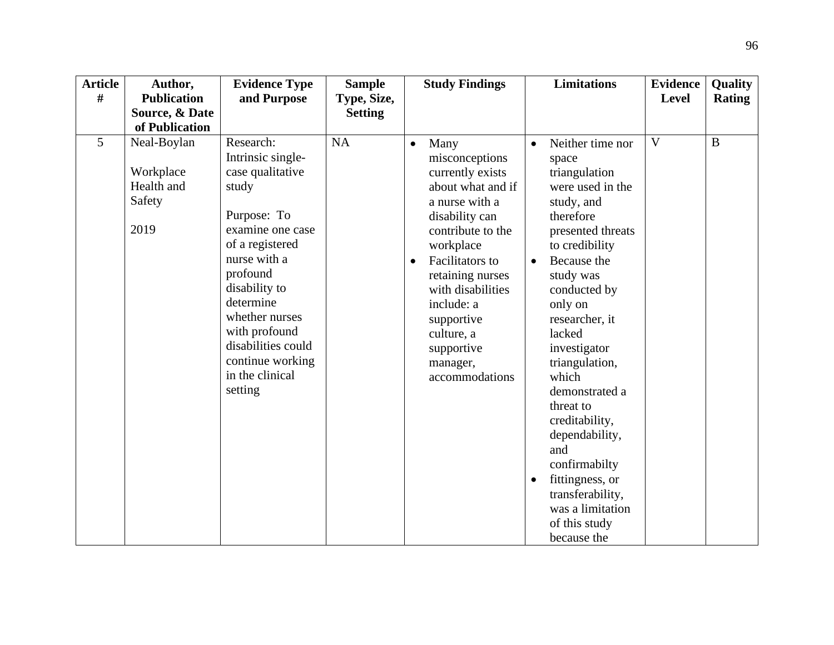| <b>Article</b> | Author,                                                  | <b>Evidence Type</b>                                                                                                                                                                                                                                                                   | <b>Sample</b>  | <b>Study Findings</b>                                                                                                                                                                                                                                                                                                    | <b>Limitations</b>                                                                                                                                                                                                                                                                                                                                                                                                                                                             | <b>Evidence</b> | Quality       |
|----------------|----------------------------------------------------------|----------------------------------------------------------------------------------------------------------------------------------------------------------------------------------------------------------------------------------------------------------------------------------------|----------------|--------------------------------------------------------------------------------------------------------------------------------------------------------------------------------------------------------------------------------------------------------------------------------------------------------------------------|--------------------------------------------------------------------------------------------------------------------------------------------------------------------------------------------------------------------------------------------------------------------------------------------------------------------------------------------------------------------------------------------------------------------------------------------------------------------------------|-----------------|---------------|
| #              | <b>Publication</b>                                       | and Purpose                                                                                                                                                                                                                                                                            | Type, Size,    |                                                                                                                                                                                                                                                                                                                          |                                                                                                                                                                                                                                                                                                                                                                                                                                                                                | <b>Level</b>    | <b>Rating</b> |
|                | Source, & Date                                           |                                                                                                                                                                                                                                                                                        | <b>Setting</b> |                                                                                                                                                                                                                                                                                                                          |                                                                                                                                                                                                                                                                                                                                                                                                                                                                                |                 |               |
|                | of Publication                                           |                                                                                                                                                                                                                                                                                        |                |                                                                                                                                                                                                                                                                                                                          |                                                                                                                                                                                                                                                                                                                                                                                                                                                                                |                 |               |
| 5 <sup>5</sup> | Neal-Boylan<br>Workplace<br>Health and<br>Safety<br>2019 | Research:<br>Intrinsic single-<br>case qualitative<br>study<br>Purpose: To<br>examine one case<br>of a registered<br>nurse with a<br>profound<br>disability to<br>determine<br>whether nurses<br>with profound<br>disabilities could<br>continue working<br>in the clinical<br>setting | <b>NA</b>      | Many<br>$\bullet$<br>misconceptions<br>currently exists<br>about what and if<br>a nurse with a<br>disability can<br>contribute to the<br>workplace<br><b>Facilitators</b> to<br>$\bullet$<br>retaining nurses<br>with disabilities<br>include: a<br>supportive<br>culture, a<br>supportive<br>manager,<br>accommodations | Neither time nor<br>$\bullet$<br>space<br>triangulation<br>were used in the<br>study, and<br>therefore<br>presented threats<br>to credibility<br>Because the<br>$\bullet$<br>study was<br>conducted by<br>only on<br>researcher, it<br>lacked<br>investigator<br>triangulation,<br>which<br>demonstrated a<br>threat to<br>creditability,<br>dependability,<br>and<br>confirmabilty<br>fittingness, or<br>transferability,<br>was a limitation<br>of this study<br>because the | $\mathbf{V}$    | $\mathbf{B}$  |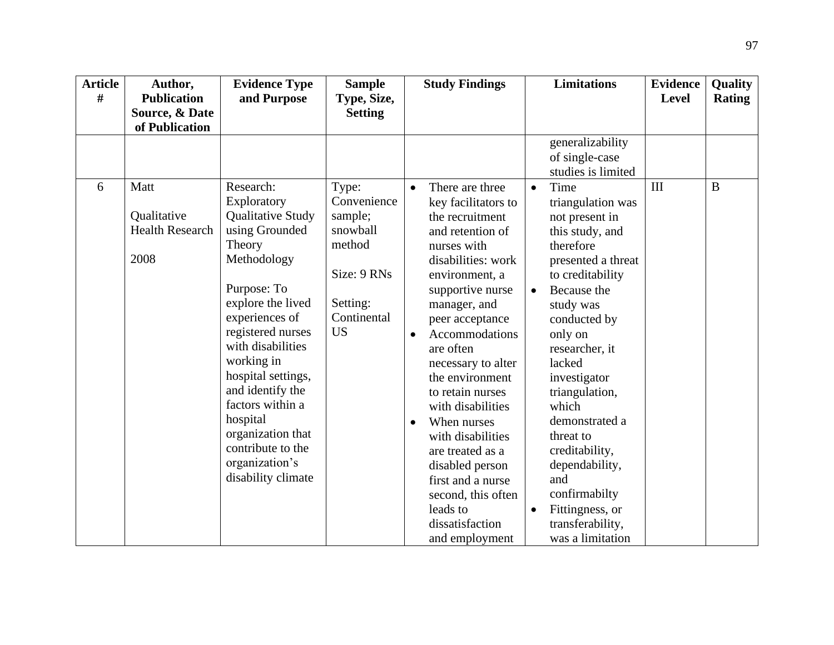| <b>Article</b><br># | Author,<br><b>Publication</b>                         | <b>Evidence Type</b><br>and Purpose                                                                                                                                                                                                                                                                                                                                | <b>Sample</b><br>Type, Size,                                                                                 |           | <b>Study Findings</b>                                                                                                                                                                                                                                                                                                                                                                                                                                                               |                                     | <b>Limitations</b>                                                                                                                                                                                                                                                                                                                                                                                        | <b>Evidence</b><br><b>Level</b> | Quality<br><b>Rating</b> |
|---------------------|-------------------------------------------------------|--------------------------------------------------------------------------------------------------------------------------------------------------------------------------------------------------------------------------------------------------------------------------------------------------------------------------------------------------------------------|--------------------------------------------------------------------------------------------------------------|-----------|-------------------------------------------------------------------------------------------------------------------------------------------------------------------------------------------------------------------------------------------------------------------------------------------------------------------------------------------------------------------------------------------------------------------------------------------------------------------------------------|-------------------------------------|-----------------------------------------------------------------------------------------------------------------------------------------------------------------------------------------------------------------------------------------------------------------------------------------------------------------------------------------------------------------------------------------------------------|---------------------------------|--------------------------|
|                     | Source, & Date<br>of Publication                      |                                                                                                                                                                                                                                                                                                                                                                    | <b>Setting</b>                                                                                               |           |                                                                                                                                                                                                                                                                                                                                                                                                                                                                                     |                                     |                                                                                                                                                                                                                                                                                                                                                                                                           |                                 |                          |
|                     |                                                       |                                                                                                                                                                                                                                                                                                                                                                    |                                                                                                              |           |                                                                                                                                                                                                                                                                                                                                                                                                                                                                                     |                                     | generalizability<br>of single-case<br>studies is limited                                                                                                                                                                                                                                                                                                                                                  |                                 |                          |
| 6                   | Matt<br>Qualitative<br><b>Health Research</b><br>2008 | Research:<br>Exploratory<br>Qualitative Study<br>using Grounded<br>Theory<br>Methodology<br>Purpose: To<br>explore the lived<br>experiences of<br>registered nurses<br>with disabilities<br>working in<br>hospital settings,<br>and identify the<br>factors within a<br>hospital<br>organization that<br>contribute to the<br>organization's<br>disability climate | Type:<br>Convenience<br>sample;<br>snowball<br>method<br>Size: 9 RNs<br>Setting:<br>Continental<br><b>US</b> | $\bullet$ | There are three<br>key facilitators to<br>the recruitment<br>and retention of<br>nurses with<br>disabilities: work<br>environment, a<br>supportive nurse<br>manager, and<br>peer acceptance<br>Accommodations<br>are often<br>necessary to alter<br>the environment<br>to retain nurses<br>with disabilities<br>When nurses<br>with disabilities<br>are treated as a<br>disabled person<br>first and a nurse<br>second, this often<br>leads to<br>dissatisfaction<br>and employment | $\bullet$<br>$\bullet$<br>$\bullet$ | Time<br>triangulation was<br>not present in<br>this study, and<br>therefore<br>presented a threat<br>to creditability<br>Because the<br>study was<br>conducted by<br>only on<br>researcher, it<br>lacked<br>investigator<br>triangulation,<br>which<br>demonstrated a<br>threat to<br>creditability,<br>dependability,<br>and<br>confirmabilty<br>Fittingness, or<br>transferability,<br>was a limitation | III                             | $\bf{B}$                 |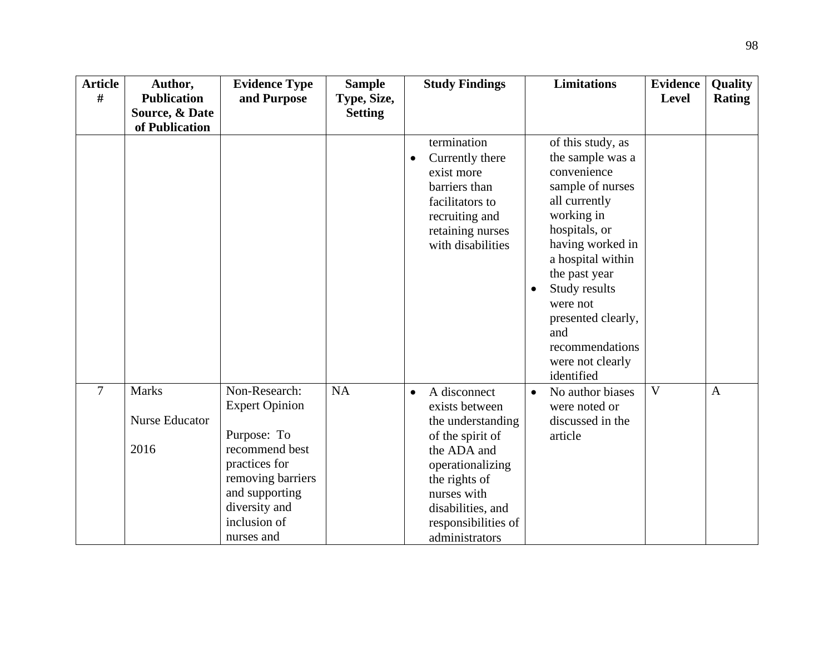| <b>Article</b> | Author,               | <b>Evidence Type</b>               | <b>Sample</b>  | <b>Study Findings</b>                                                                                                                       | <b>Limitations</b>                                                                                                                                                                                                                                                                  | <b>Evidence</b> | Quality       |
|----------------|-----------------------|------------------------------------|----------------|---------------------------------------------------------------------------------------------------------------------------------------------|-------------------------------------------------------------------------------------------------------------------------------------------------------------------------------------------------------------------------------------------------------------------------------------|-----------------|---------------|
| #              | <b>Publication</b>    | and Purpose                        | Type, Size,    |                                                                                                                                             |                                                                                                                                                                                                                                                                                     | <b>Level</b>    | <b>Rating</b> |
|                | Source, & Date        |                                    | <b>Setting</b> |                                                                                                                                             |                                                                                                                                                                                                                                                                                     |                 |               |
|                | of Publication        |                                    |                |                                                                                                                                             |                                                                                                                                                                                                                                                                                     |                 |               |
|                |                       |                                    |                | termination<br>Currently there<br>exist more<br>barriers than<br>facilitators to<br>recruiting and<br>retaining nurses<br>with disabilities | of this study, as<br>the sample was a<br>convenience<br>sample of nurses<br>all currently<br>working in<br>hospitals, or<br>having worked in<br>a hospital within<br>the past year<br>Study results<br>were not<br>presented clearly,<br>and<br>recommendations<br>were not clearly |                 |               |
| $\overline{7}$ | <b>Marks</b>          | Non-Research:                      | <b>NA</b>      | A disconnect<br>$\bullet$                                                                                                                   | identified<br>No author biases                                                                                                                                                                                                                                                      | $\overline{V}$  | $\mathbf{A}$  |
|                |                       | <b>Expert Opinion</b>              |                | exists between                                                                                                                              | $\bullet$<br>were noted or                                                                                                                                                                                                                                                          |                 |               |
|                | <b>Nurse Educator</b> |                                    |                | the understanding                                                                                                                           | discussed in the                                                                                                                                                                                                                                                                    |                 |               |
|                |                       | Purpose: To                        |                | of the spirit of                                                                                                                            | article                                                                                                                                                                                                                                                                             |                 |               |
|                | 2016                  | recommend best                     |                | the ADA and                                                                                                                                 |                                                                                                                                                                                                                                                                                     |                 |               |
|                |                       | practices for<br>removing barriers |                | operationalizing                                                                                                                            |                                                                                                                                                                                                                                                                                     |                 |               |
|                |                       | and supporting                     |                | the rights of<br>nurses with                                                                                                                |                                                                                                                                                                                                                                                                                     |                 |               |
|                |                       | diversity and                      |                | disabilities, and                                                                                                                           |                                                                                                                                                                                                                                                                                     |                 |               |
|                |                       | inclusion of                       |                | responsibilities of                                                                                                                         |                                                                                                                                                                                                                                                                                     |                 |               |
|                |                       | nurses and                         |                | administrators                                                                                                                              |                                                                                                                                                                                                                                                                                     |                 |               |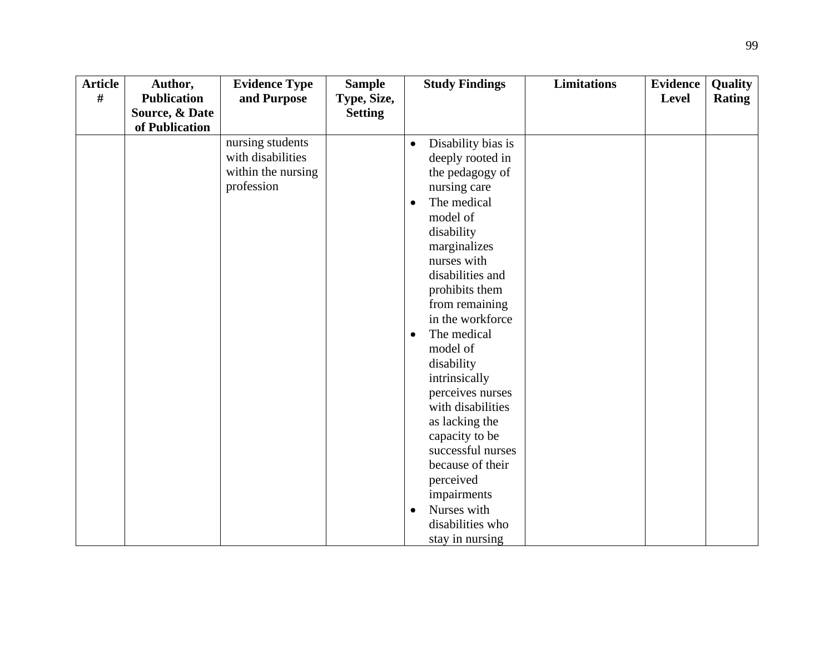| <b>Article</b> | Author,            | <b>Evidence Type</b> | <b>Sample</b>  |           | <b>Study Findings</b> | <b>Limitations</b> | <b>Evidence</b> | <b>Quality</b> |
|----------------|--------------------|----------------------|----------------|-----------|-----------------------|--------------------|-----------------|----------------|
| #              | <b>Publication</b> | and Purpose          | Type, Size,    |           |                       |                    | Level           | <b>Rating</b>  |
|                | Source, & Date     |                      | <b>Setting</b> |           |                       |                    |                 |                |
|                | of Publication     |                      |                |           |                       |                    |                 |                |
|                |                    | nursing students     |                | $\bullet$ | Disability bias is    |                    |                 |                |
|                |                    | with disabilities    |                |           | deeply rooted in      |                    |                 |                |
|                |                    | within the nursing   |                |           | the pedagogy of       |                    |                 |                |
|                |                    | profession           |                |           | nursing care          |                    |                 |                |
|                |                    |                      |                |           | The medical           |                    |                 |                |
|                |                    |                      |                |           | model of              |                    |                 |                |
|                |                    |                      |                |           | disability            |                    |                 |                |
|                |                    |                      |                |           | marginalizes          |                    |                 |                |
|                |                    |                      |                |           | nurses with           |                    |                 |                |
|                |                    |                      |                |           | disabilities and      |                    |                 |                |
|                |                    |                      |                |           | prohibits them        |                    |                 |                |
|                |                    |                      |                |           | from remaining        |                    |                 |                |
|                |                    |                      |                |           | in the workforce      |                    |                 |                |
|                |                    |                      |                | $\bullet$ | The medical           |                    |                 |                |
|                |                    |                      |                |           | model of              |                    |                 |                |
|                |                    |                      |                |           | disability            |                    |                 |                |
|                |                    |                      |                |           | intrinsically         |                    |                 |                |
|                |                    |                      |                |           | perceives nurses      |                    |                 |                |
|                |                    |                      |                |           | with disabilities     |                    |                 |                |
|                |                    |                      |                |           | as lacking the        |                    |                 |                |
|                |                    |                      |                |           | capacity to be        |                    |                 |                |
|                |                    |                      |                |           | successful nurses     |                    |                 |                |
|                |                    |                      |                |           | because of their      |                    |                 |                |
|                |                    |                      |                |           | perceived             |                    |                 |                |
|                |                    |                      |                |           | impairments           |                    |                 |                |
|                |                    |                      |                | $\bullet$ | Nurses with           |                    |                 |                |
|                |                    |                      |                |           | disabilities who      |                    |                 |                |
|                |                    |                      |                |           | stay in nursing       |                    |                 |                |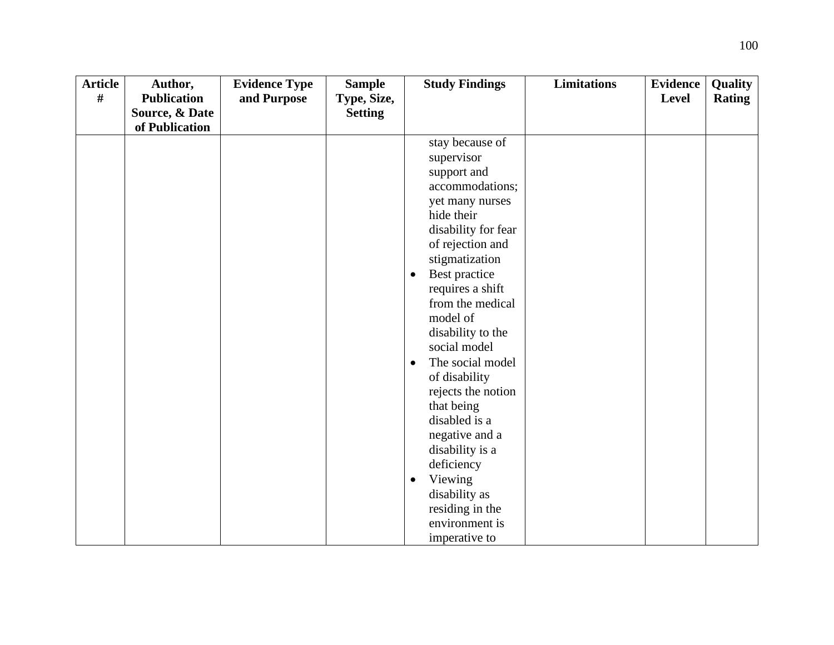| <b>Article</b> | Author,            | <b>Evidence Type</b> | <b>Sample</b>  | <b>Study Findings</b>         | <b>Limitations</b> | <b>Evidence</b> | Quality       |
|----------------|--------------------|----------------------|----------------|-------------------------------|--------------------|-----------------|---------------|
| #              | <b>Publication</b> | and Purpose          | Type, Size,    |                               |                    | <b>Level</b>    | <b>Rating</b> |
|                | Source, & Date     |                      | <b>Setting</b> |                               |                    |                 |               |
|                | of Publication     |                      |                |                               |                    |                 |               |
|                |                    |                      |                | stay because of               |                    |                 |               |
|                |                    |                      |                | supervisor                    |                    |                 |               |
|                |                    |                      |                | support and                   |                    |                 |               |
|                |                    |                      |                | accommodations;               |                    |                 |               |
|                |                    |                      |                | yet many nurses               |                    |                 |               |
|                |                    |                      |                | hide their                    |                    |                 |               |
|                |                    |                      |                | disability for fear           |                    |                 |               |
|                |                    |                      |                | of rejection and              |                    |                 |               |
|                |                    |                      |                | stigmatization                |                    |                 |               |
|                |                    |                      |                | Best practice<br>$\bullet$    |                    |                 |               |
|                |                    |                      |                | requires a shift              |                    |                 |               |
|                |                    |                      |                | from the medical              |                    |                 |               |
|                |                    |                      |                | model of                      |                    |                 |               |
|                |                    |                      |                | disability to the             |                    |                 |               |
|                |                    |                      |                | social model                  |                    |                 |               |
|                |                    |                      |                | The social model<br>$\bullet$ |                    |                 |               |
|                |                    |                      |                | of disability                 |                    |                 |               |
|                |                    |                      |                | rejects the notion            |                    |                 |               |
|                |                    |                      |                | that being                    |                    |                 |               |
|                |                    |                      |                | disabled is a                 |                    |                 |               |
|                |                    |                      |                | negative and a                |                    |                 |               |
|                |                    |                      |                | disability is a               |                    |                 |               |
|                |                    |                      |                | deficiency                    |                    |                 |               |
|                |                    |                      |                | Viewing<br>$\bullet$          |                    |                 |               |
|                |                    |                      |                | disability as                 |                    |                 |               |
|                |                    |                      |                | residing in the               |                    |                 |               |
|                |                    |                      |                | environment is                |                    |                 |               |
|                |                    |                      |                | imperative to                 |                    |                 |               |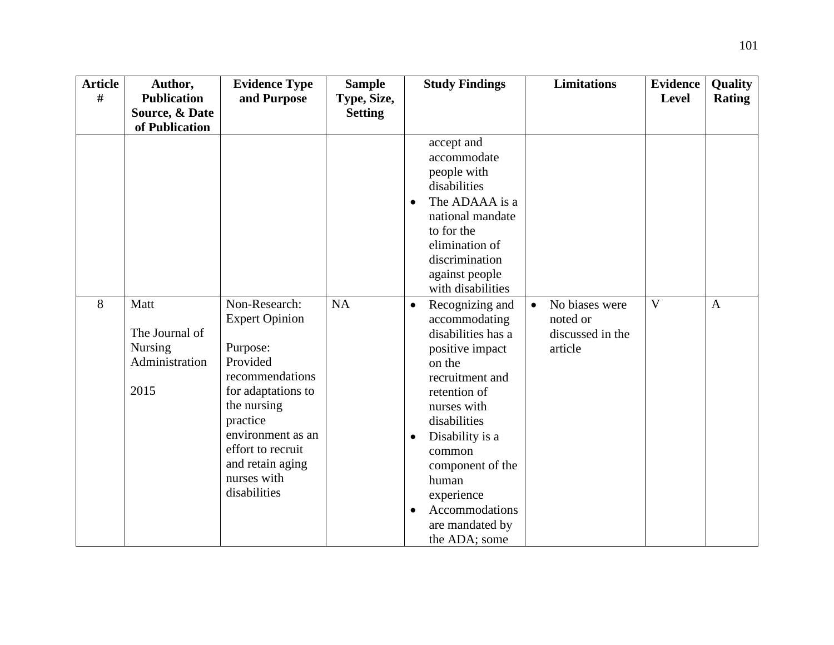| <b>Article</b> | Author,                                                     | <b>Evidence Type</b>                                                                                                                                                                                                            | <b>Sample</b>  | <b>Study Findings</b>                                                                                                                                                                                                                                                                                 | <b>Limitations</b>                                                     | Evidence     | Quality       |
|----------------|-------------------------------------------------------------|---------------------------------------------------------------------------------------------------------------------------------------------------------------------------------------------------------------------------------|----------------|-------------------------------------------------------------------------------------------------------------------------------------------------------------------------------------------------------------------------------------------------------------------------------------------------------|------------------------------------------------------------------------|--------------|---------------|
| #              | <b>Publication</b>                                          | and Purpose                                                                                                                                                                                                                     | Type, Size,    |                                                                                                                                                                                                                                                                                                       |                                                                        | <b>Level</b> | <b>Rating</b> |
|                | Source, & Date                                              |                                                                                                                                                                                                                                 | <b>Setting</b> |                                                                                                                                                                                                                                                                                                       |                                                                        |              |               |
|                | of Publication                                              |                                                                                                                                                                                                                                 |                |                                                                                                                                                                                                                                                                                                       |                                                                        |              |               |
|                |                                                             |                                                                                                                                                                                                                                 |                | accept and<br>accommodate<br>people with<br>disabilities<br>The ADAAA is a<br>national mandate<br>to for the<br>elimination of<br>discrimination<br>against people<br>with disabilities                                                                                                               |                                                                        |              |               |
| 8              | Matt<br>The Journal of<br>Nursing<br>Administration<br>2015 | Non-Research:<br><b>Expert Opinion</b><br>Purpose:<br>Provided<br>recommendations<br>for adaptations to<br>the nursing<br>practice<br>environment as an<br>effort to recruit<br>and retain aging<br>nurses with<br>disabilities | <b>NA</b>      | Recognizing and<br>$\bullet$<br>accommodating<br>disabilities has a<br>positive impact<br>on the<br>recruitment and<br>retention of<br>nurses with<br>disabilities<br>Disability is a<br>٠<br>common<br>component of the<br>human<br>experience<br>Accommodations<br>are mandated by<br>the ADA; some | No biases were<br>$\bullet$<br>noted or<br>discussed in the<br>article | V            | $\mathbf{A}$  |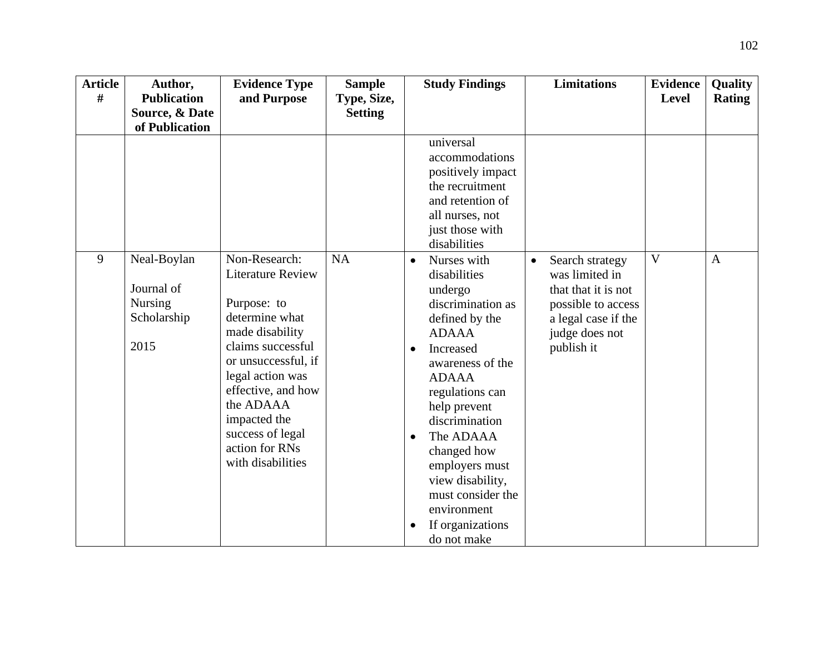| <b>Article</b> | Author,                                                     | <b>Evidence Type</b>                                                                                                                                                                                                                                                        | <b>Sample</b>  | <b>Study Findings</b>                                                                                                                                                                                                                                                                                                                                                               | <b>Limitations</b>                                                                                                                                 | <b>Evidence</b> | Quality       |
|----------------|-------------------------------------------------------------|-----------------------------------------------------------------------------------------------------------------------------------------------------------------------------------------------------------------------------------------------------------------------------|----------------|-------------------------------------------------------------------------------------------------------------------------------------------------------------------------------------------------------------------------------------------------------------------------------------------------------------------------------------------------------------------------------------|----------------------------------------------------------------------------------------------------------------------------------------------------|-----------------|---------------|
| #              | <b>Publication</b>                                          | and Purpose                                                                                                                                                                                                                                                                 | Type, Size,    |                                                                                                                                                                                                                                                                                                                                                                                     |                                                                                                                                                    | <b>Level</b>    | <b>Rating</b> |
|                | Source, & Date<br>of Publication                            |                                                                                                                                                                                                                                                                             | <b>Setting</b> |                                                                                                                                                                                                                                                                                                                                                                                     |                                                                                                                                                    |                 |               |
|                |                                                             |                                                                                                                                                                                                                                                                             |                | universal<br>accommodations<br>positively impact<br>the recruitment<br>and retention of<br>all nurses, not<br>just those with<br>disabilities                                                                                                                                                                                                                                       |                                                                                                                                                    |                 |               |
| 9              | Neal-Boylan<br>Journal of<br>Nursing<br>Scholarship<br>2015 | Non-Research:<br><b>Literature Review</b><br>Purpose: to<br>determine what<br>made disability<br>claims successful<br>or unsuccessful, if<br>legal action was<br>effective, and how<br>the ADAAA<br>impacted the<br>success of legal<br>action for RNs<br>with disabilities | <b>NA</b>      | Nurses with<br>$\bullet$<br>disabilities<br>undergo<br>discrimination as<br>defined by the<br><b>ADAAA</b><br>Increased<br>$\bullet$<br>awareness of the<br><b>ADAAA</b><br>regulations can<br>help prevent<br>discrimination<br>The ADAAA<br>$\bullet$<br>changed how<br>employers must<br>view disability,<br>must consider the<br>environment<br>If organizations<br>do not make | Search strategy<br>$\bullet$<br>was limited in<br>that that it is not<br>possible to access<br>a legal case if the<br>judge does not<br>publish it | $\overline{V}$  | $\mathbf{A}$  |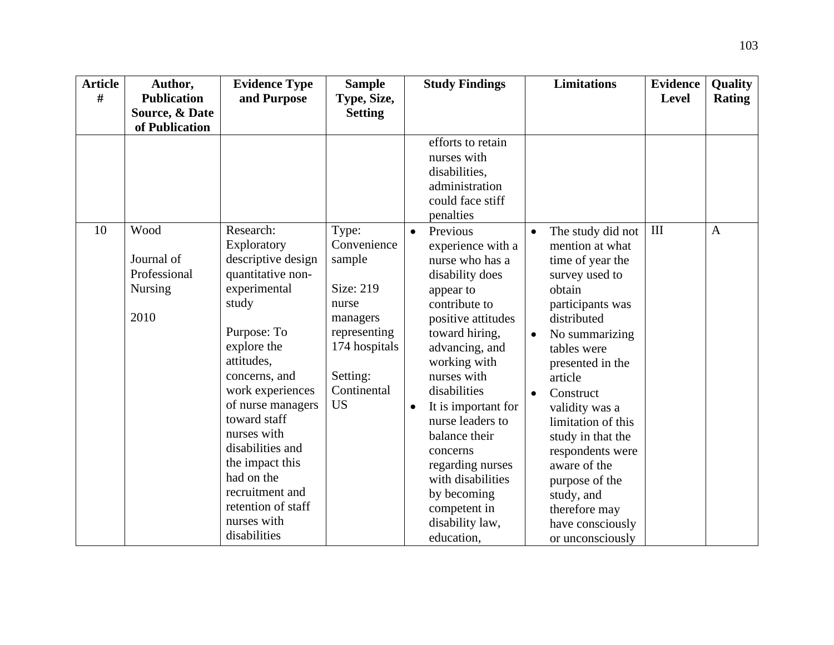| <b>Article</b> | Author,            | <b>Evidence Type</b> | <b>Sample</b>  | <b>Study Findings</b>            | <b>Limitations</b>          | <b>Evidence</b> | Quality       |
|----------------|--------------------|----------------------|----------------|----------------------------------|-----------------------------|-----------------|---------------|
| #              | <b>Publication</b> | and Purpose          | Type, Size,    |                                  |                             | <b>Level</b>    | <b>Rating</b> |
|                | Source, & Date     |                      | <b>Setting</b> |                                  |                             |                 |               |
|                | of Publication     |                      |                |                                  |                             |                 |               |
|                |                    |                      |                | efforts to retain<br>nurses with |                             |                 |               |
|                |                    |                      |                | disabilities,                    |                             |                 |               |
|                |                    |                      |                | administration                   |                             |                 |               |
|                |                    |                      |                | could face stiff                 |                             |                 |               |
|                |                    |                      |                | penalties                        |                             |                 |               |
| 10             | Wood               | Research:            | Type:          | Previous<br>$\bullet$            | The study did not           | III             | $\mathbf{A}$  |
|                |                    | Exploratory          | Convenience    | experience with a                | mention at what             |                 |               |
|                | Journal of         | descriptive design   | sample         | nurse who has a                  | time of year the            |                 |               |
|                | Professional       | quantitative non-    |                | disability does                  | survey used to              |                 |               |
|                | <b>Nursing</b>     | experimental         | Size: 219      | appear to                        | obtain                      |                 |               |
|                |                    | study                | nurse          | contribute to                    | participants was            |                 |               |
|                | 2010               |                      | managers       | positive attitudes               | distributed                 |                 |               |
|                |                    | Purpose: To          | representing   | toward hiring,                   | No summarizing<br>$\bullet$ |                 |               |
|                |                    | explore the          | 174 hospitals  | advancing, and                   | tables were                 |                 |               |
|                |                    | attitudes,           |                | working with                     | presented in the            |                 |               |
|                |                    | concerns, and        | Setting:       | nurses with                      | article                     |                 |               |
|                |                    | work experiences     | Continental    | disabilities                     | Construct<br>$\bullet$      |                 |               |
|                |                    | of nurse managers    | <b>US</b>      | It is important for              | validity was a              |                 |               |
|                |                    | toward staff         |                | nurse leaders to                 | limitation of this          |                 |               |
|                |                    | nurses with          |                | balance their                    | study in that the           |                 |               |
|                |                    | disabilities and     |                | concerns                         | respondents were            |                 |               |
|                |                    | the impact this      |                | regarding nurses                 | aware of the                |                 |               |
|                |                    | had on the           |                | with disabilities                | purpose of the              |                 |               |
|                |                    | recruitment and      |                | by becoming                      | study, and                  |                 |               |
|                |                    | retention of staff   |                | competent in                     | therefore may               |                 |               |
|                |                    | nurses with          |                | disability law,                  | have consciously            |                 |               |
|                |                    | disabilities         |                | education,                       | or unconsciously            |                 |               |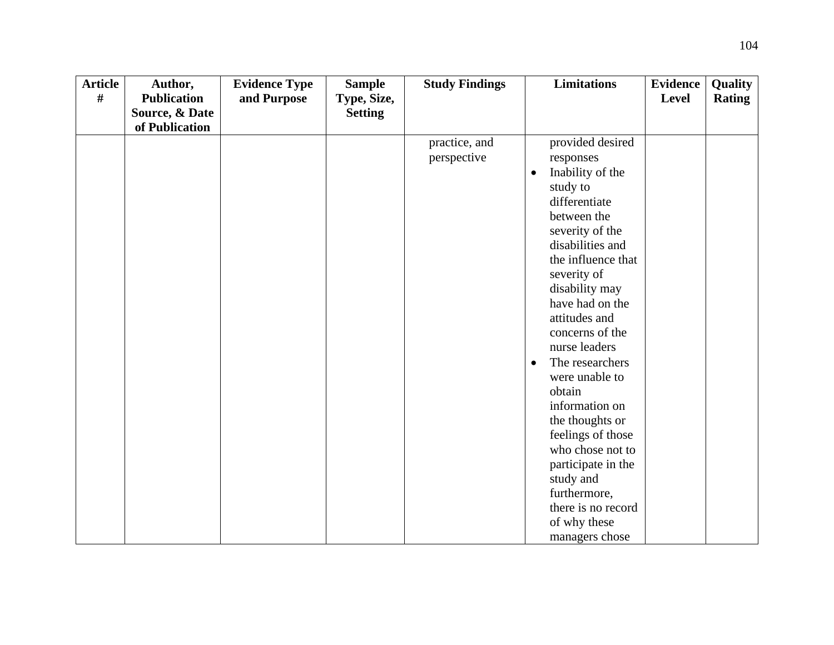| <b>Article</b> | Author,            | <b>Evidence Type</b> | <b>Sample</b>  | <b>Study Findings</b>        | <b>Limitations</b>                                                                                                                                                                                                                                                                                                                                                                                                                                                                                  | <b>Evidence</b> | Quality       |
|----------------|--------------------|----------------------|----------------|------------------------------|-----------------------------------------------------------------------------------------------------------------------------------------------------------------------------------------------------------------------------------------------------------------------------------------------------------------------------------------------------------------------------------------------------------------------------------------------------------------------------------------------------|-----------------|---------------|
| #              | <b>Publication</b> | and Purpose          | Type, Size,    |                              |                                                                                                                                                                                                                                                                                                                                                                                                                                                                                                     | Level           | <b>Rating</b> |
|                | Source, & Date     |                      | <b>Setting</b> |                              |                                                                                                                                                                                                                                                                                                                                                                                                                                                                                                     |                 |               |
|                |                    |                      |                |                              |                                                                                                                                                                                                                                                                                                                                                                                                                                                                                                     |                 |               |
|                | of Publication     |                      |                | practice, and<br>perspective | provided desired<br>responses<br>Inability of the<br>$\bullet$<br>study to<br>differentiate<br>between the<br>severity of the<br>disabilities and<br>the influence that<br>severity of<br>disability may<br>have had on the<br>attitudes and<br>concerns of the<br>nurse leaders<br>The researchers<br>$\bullet$<br>were unable to<br>obtain<br>information on<br>the thoughts or<br>feelings of those<br>who chose not to<br>participate in the<br>study and<br>furthermore,<br>there is no record |                 |               |
|                |                    |                      |                |                              | of why these                                                                                                                                                                                                                                                                                                                                                                                                                                                                                        |                 |               |
|                |                    |                      |                |                              | managers chose                                                                                                                                                                                                                                                                                                                                                                                                                                                                                      |                 |               |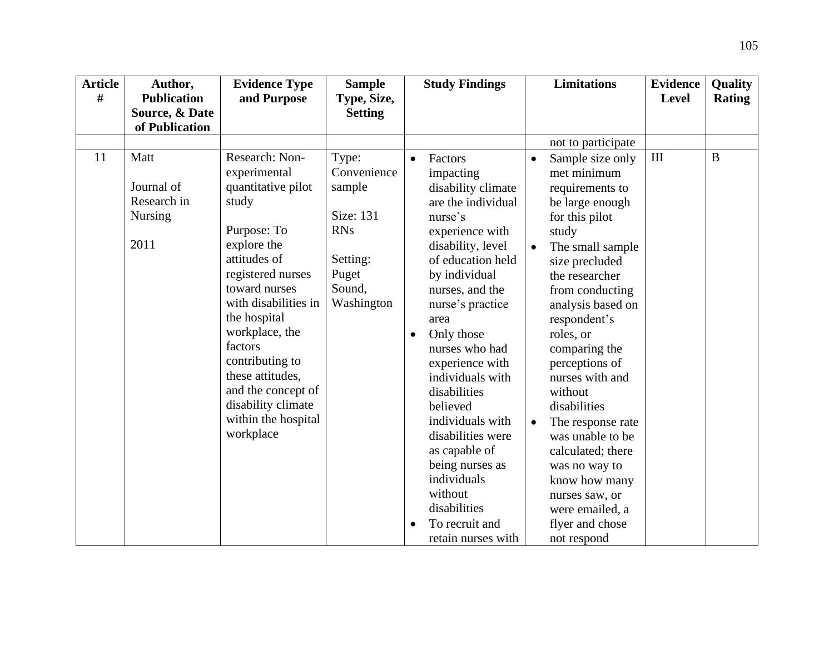| <b>Article</b><br># | Author,<br><b>Publication</b>                               | <b>Evidence Type</b><br>and Purpose                                                                                                                                                                                                                                                                                                           | <b>Sample</b><br>Type, Size,                                                                           |           | <b>Study Findings</b>                                                                                                                                                                                                                                                                                                                                                                                                                                                      |                                     | <b>Limitations</b>                                                                                                                                                                                                                                                                                                                                                                                                                                                                    | <b>Evidence</b><br><b>Level</b> | Quality<br><b>Rating</b> |
|---------------------|-------------------------------------------------------------|-----------------------------------------------------------------------------------------------------------------------------------------------------------------------------------------------------------------------------------------------------------------------------------------------------------------------------------------------|--------------------------------------------------------------------------------------------------------|-----------|----------------------------------------------------------------------------------------------------------------------------------------------------------------------------------------------------------------------------------------------------------------------------------------------------------------------------------------------------------------------------------------------------------------------------------------------------------------------------|-------------------------------------|---------------------------------------------------------------------------------------------------------------------------------------------------------------------------------------------------------------------------------------------------------------------------------------------------------------------------------------------------------------------------------------------------------------------------------------------------------------------------------------|---------------------------------|--------------------------|
|                     | Source, & Date<br>of Publication                            |                                                                                                                                                                                                                                                                                                                                               | <b>Setting</b>                                                                                         |           |                                                                                                                                                                                                                                                                                                                                                                                                                                                                            |                                     |                                                                                                                                                                                                                                                                                                                                                                                                                                                                                       |                                 |                          |
|                     |                                                             |                                                                                                                                                                                                                                                                                                                                               |                                                                                                        |           |                                                                                                                                                                                                                                                                                                                                                                                                                                                                            |                                     | not to participate                                                                                                                                                                                                                                                                                                                                                                                                                                                                    |                                 |                          |
| 11                  | Matt<br>Journal of<br>Research in<br><b>Nursing</b><br>2011 | Research: Non-<br>experimental<br>quantitative pilot<br>study<br>Purpose: To<br>explore the<br>attitudes of<br>registered nurses<br>toward nurses<br>with disabilities in<br>the hospital<br>workplace, the<br>factors<br>contributing to<br>these attitudes,<br>and the concept of<br>disability climate<br>within the hospital<br>workplace | Type:<br>Convenience<br>sample<br>Size: 131<br><b>RNs</b><br>Setting:<br>Puget<br>Sound,<br>Washington | $\bullet$ | Factors<br>impacting<br>disability climate<br>are the individual<br>nurse's<br>experience with<br>disability, level<br>of education held<br>by individual<br>nurses, and the<br>nurse's practice<br>area<br>Only those<br>nurses who had<br>experience with<br>individuals with<br>disabilities<br>believed<br>individuals with<br>disabilities were<br>as capable of<br>being nurses as<br>individuals<br>without<br>disabilities<br>To recruit and<br>retain nurses with | $\bullet$<br>$\bullet$<br>$\bullet$ | Sample size only<br>met minimum<br>requirements to<br>be large enough<br>for this pilot<br>study<br>The small sample<br>size precluded<br>the researcher<br>from conducting<br>analysis based on<br>respondent's<br>roles, or<br>comparing the<br>perceptions of<br>nurses with and<br>without<br>disabilities<br>The response rate<br>was unable to be<br>calculated; there<br>was no way to<br>know how many<br>nurses saw, or<br>were emailed, a<br>flyer and chose<br>not respond | III                             | B                        |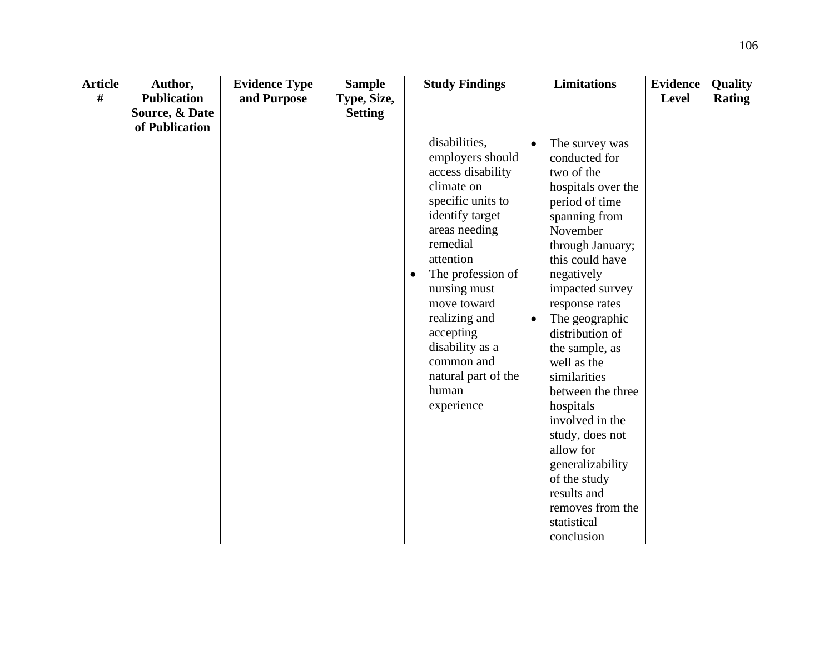| <b>Article</b> | Author,            | <b>Evidence Type</b> | <b>Sample</b>  | <b>Study Findings</b>                                                                                                                                                                                                                                                                                                   | <b>Limitations</b>                                                                                                                                                                                                                                                                                                                                                                                                                                                                                                    | <b>Evidence</b> | <b>Quality</b> |
|----------------|--------------------|----------------------|----------------|-------------------------------------------------------------------------------------------------------------------------------------------------------------------------------------------------------------------------------------------------------------------------------------------------------------------------|-----------------------------------------------------------------------------------------------------------------------------------------------------------------------------------------------------------------------------------------------------------------------------------------------------------------------------------------------------------------------------------------------------------------------------------------------------------------------------------------------------------------------|-----------------|----------------|
| #              | <b>Publication</b> | and Purpose          | Type, Size,    |                                                                                                                                                                                                                                                                                                                         |                                                                                                                                                                                                                                                                                                                                                                                                                                                                                                                       | <b>Level</b>    | <b>Rating</b>  |
|                | Source, & Date     |                      | <b>Setting</b> |                                                                                                                                                                                                                                                                                                                         |                                                                                                                                                                                                                                                                                                                                                                                                                                                                                                                       |                 |                |
|                | of Publication     |                      |                |                                                                                                                                                                                                                                                                                                                         |                                                                                                                                                                                                                                                                                                                                                                                                                                                                                                                       |                 |                |
|                |                    |                      |                | disabilities,<br>employers should<br>access disability<br>climate on<br>specific units to<br>identify target<br>areas needing<br>remedial<br>attention<br>The profession of<br>nursing must<br>move toward<br>realizing and<br>accepting<br>disability as a<br>common and<br>natural part of the<br>human<br>experience | The survey was<br>$\bullet$<br>conducted for<br>two of the<br>hospitals over the<br>period of time<br>spanning from<br>November<br>through January;<br>this could have<br>negatively<br>impacted survey<br>response rates<br>The geographic<br>$\bullet$<br>distribution of<br>the sample, as<br>well as the<br>similarities<br>between the three<br>hospitals<br>involved in the<br>study, does not<br>allow for<br>generalizability<br>of the study<br>results and<br>removes from the<br>statistical<br>conclusion |                 |                |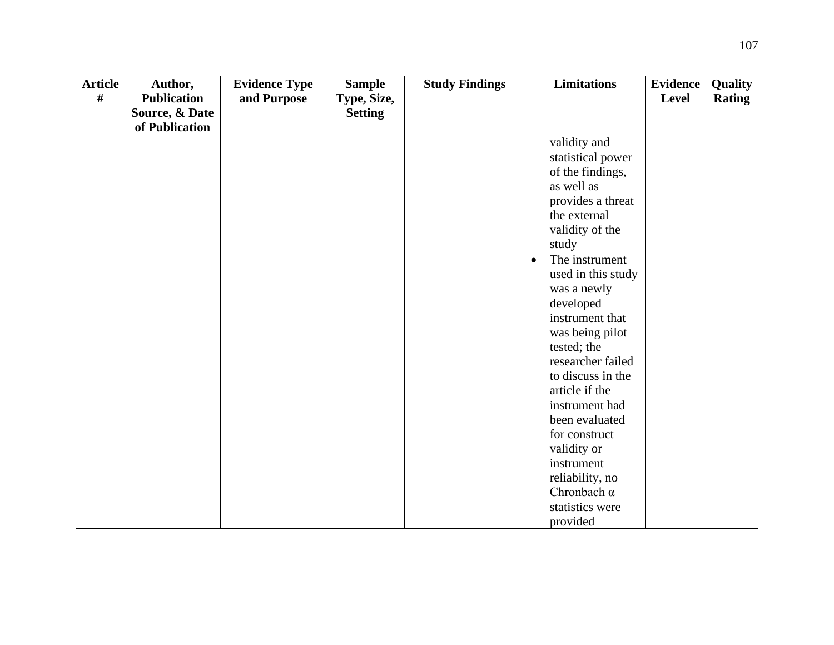| <b>Article</b> | Author,            | <b>Evidence Type</b> | <b>Sample</b>  | <b>Study Findings</b> | <b>Limitations</b>               | <b>Evidence</b> | Quality       |
|----------------|--------------------|----------------------|----------------|-----------------------|----------------------------------|-----------------|---------------|
| $\#$           | <b>Publication</b> | and Purpose          | Type, Size,    |                       |                                  | Level           | <b>Rating</b> |
|                | Source, & Date     |                      | <b>Setting</b> |                       |                                  |                 |               |
|                | of Publication     |                      |                |                       |                                  |                 |               |
|                |                    |                      |                |                       | validity and                     |                 |               |
|                |                    |                      |                |                       | statistical power                |                 |               |
|                |                    |                      |                |                       | of the findings,                 |                 |               |
|                |                    |                      |                |                       | as well as                       |                 |               |
|                |                    |                      |                |                       | provides a threat                |                 |               |
|                |                    |                      |                |                       | the external                     |                 |               |
|                |                    |                      |                |                       | validity of the                  |                 |               |
|                |                    |                      |                |                       | study                            |                 |               |
|                |                    |                      |                |                       | The instrument<br>$\bullet$      |                 |               |
|                |                    |                      |                |                       | used in this study               |                 |               |
|                |                    |                      |                |                       | was a newly                      |                 |               |
|                |                    |                      |                |                       | developed                        |                 |               |
|                |                    |                      |                |                       | instrument that                  |                 |               |
|                |                    |                      |                |                       | was being pilot                  |                 |               |
|                |                    |                      |                |                       | tested; the<br>researcher failed |                 |               |
|                |                    |                      |                |                       | to discuss in the                |                 |               |
|                |                    |                      |                |                       | article if the                   |                 |               |
|                |                    |                      |                |                       | instrument had                   |                 |               |
|                |                    |                      |                |                       | been evaluated                   |                 |               |
|                |                    |                      |                |                       | for construct                    |                 |               |
|                |                    |                      |                |                       | validity or                      |                 |               |
|                |                    |                      |                |                       | instrument                       |                 |               |
|                |                    |                      |                |                       | reliability, no                  |                 |               |
|                |                    |                      |                |                       | Chronbach $\alpha$               |                 |               |
|                |                    |                      |                |                       | statistics were                  |                 |               |
|                |                    |                      |                |                       | provided                         |                 |               |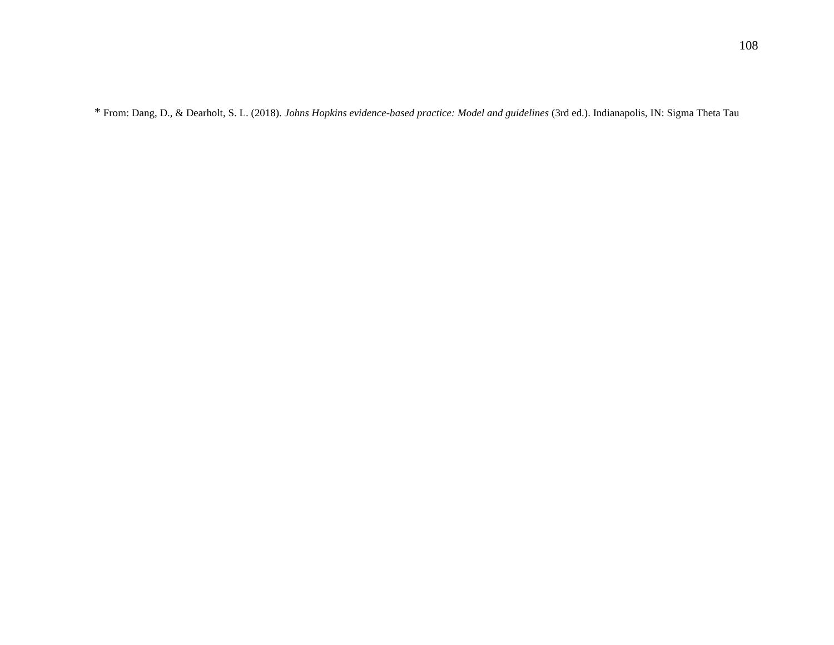\* From: Dang, D., & Dearholt, S. L. (2018). *Johns Hopkins evidence-based practice: Model and guidelines* (3rd ed.). Indianapolis, IN: Sigma Theta Tau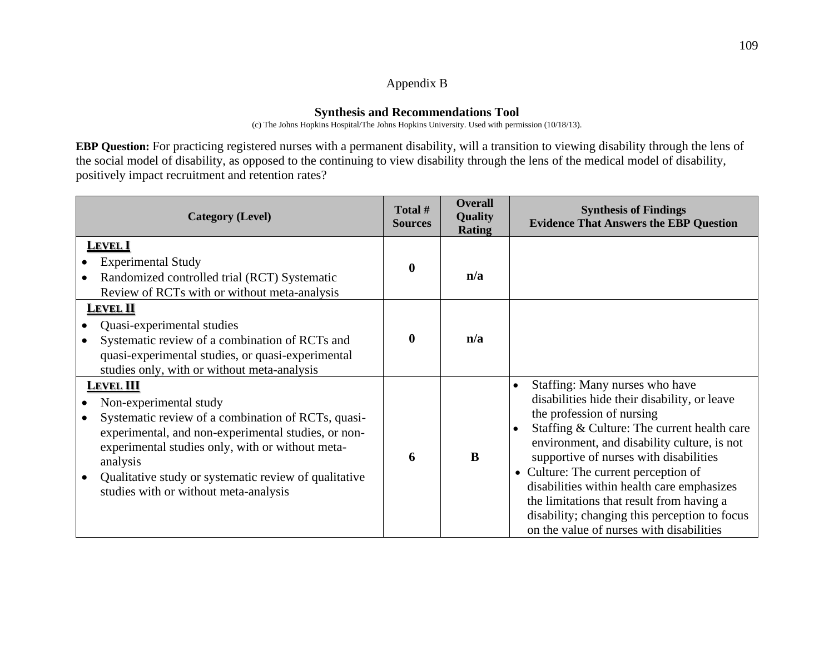## Appendix B

## **Synthesis and Recommendations Tool**

(c) The Johns Hopkins Hospital/The Johns Hopkins University. Used with permission (10/18/13).

**EBP Question:** For practicing registered nurses with a permanent disability, will a transition to viewing disability through the lens of the social model of disability, as opposed to the continuing to view disability through the lens of the medical model of disability, positively impact recruitment and retention rates?

| <b>Category (Level)</b>                                                                                                                                                                                                                                                                                                                            | Total #<br><b>Sources</b> | <b>Overall</b><br>Quality<br><b>Rating</b> | <b>Synthesis of Findings</b><br><b>Evidence That Answers the EBP Question</b>                                                                                                                                                                                                                                                                                                                                                                                                                    |
|----------------------------------------------------------------------------------------------------------------------------------------------------------------------------------------------------------------------------------------------------------------------------------------------------------------------------------------------------|---------------------------|--------------------------------------------|--------------------------------------------------------------------------------------------------------------------------------------------------------------------------------------------------------------------------------------------------------------------------------------------------------------------------------------------------------------------------------------------------------------------------------------------------------------------------------------------------|
| <b>LEVEL I</b><br><b>Experimental Study</b><br>Randomized controlled trial (RCT) Systematic<br>Review of RCTs with or without meta-analysis<br><b>LEVEL II</b><br>Quasi-experimental studies<br>Systematic review of a combination of RCTs and<br>quasi-experimental studies, or quasi-experimental<br>studies only, with or without meta-analysis | $\bf{0}$<br>$\mathbf{0}$  | n/a<br>n/a                                 |                                                                                                                                                                                                                                                                                                                                                                                                                                                                                                  |
| <b>LEVEL III</b><br>Non-experimental study<br>Systematic review of a combination of RCTs, quasi-<br>experimental, and non-experimental studies, or non-<br>experimental studies only, with or without meta-<br>analysis<br>Qualitative study or systematic review of qualitative<br>studies with or without meta-analysis                          | 6                         | B                                          | Staffing: Many nurses who have<br>$\bullet$<br>disabilities hide their disability, or leave<br>the profession of nursing<br>Staffing & Culture: The current health care<br>environment, and disability culture, is not<br>supportive of nurses with disabilities<br>• Culture: The current perception of<br>disabilities within health care emphasizes<br>the limitations that result from having a<br>disability; changing this perception to focus<br>on the value of nurses with disabilities |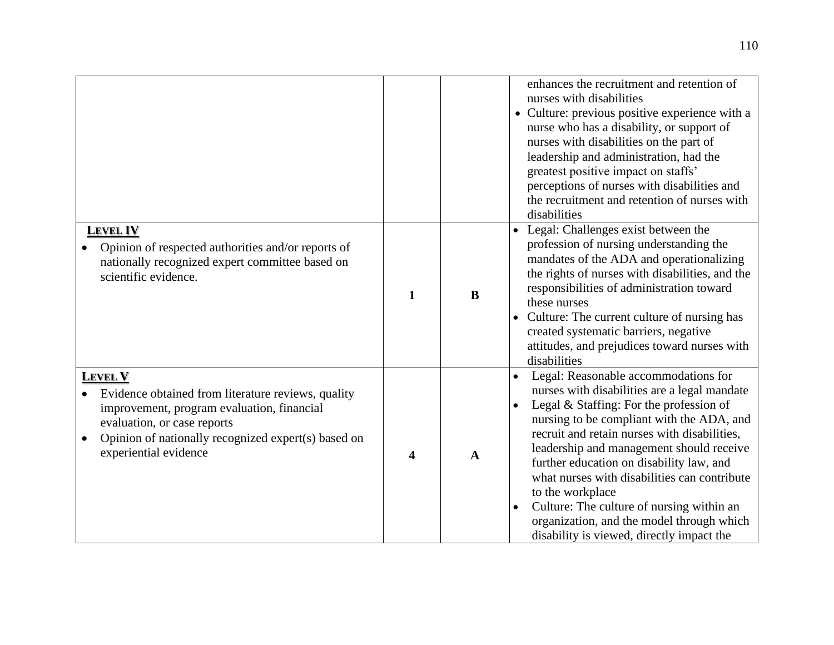|                                                                                                                                                                                                                                   |              |              | enhances the recruitment and retention of<br>nurses with disabilities<br>• Culture: previous positive experience with a<br>nurse who has a disability, or support of<br>nurses with disabilities on the part of<br>leadership and administration, had the<br>greatest positive impact on staffs'<br>perceptions of nurses with disabilities and<br>the recruitment and retention of nurses with<br>disabilities                                                                                                                                                        |
|-----------------------------------------------------------------------------------------------------------------------------------------------------------------------------------------------------------------------------------|--------------|--------------|------------------------------------------------------------------------------------------------------------------------------------------------------------------------------------------------------------------------------------------------------------------------------------------------------------------------------------------------------------------------------------------------------------------------------------------------------------------------------------------------------------------------------------------------------------------------|
| <b>LEVEL IV</b><br>Opinion of respected authorities and/or reports of<br>nationally recognized expert committee based on<br>scientific evidence.                                                                                  | $\mathbf{1}$ | B            | • Legal: Challenges exist between the<br>profession of nursing understanding the<br>mandates of the ADA and operationalizing<br>the rights of nurses with disabilities, and the<br>responsibilities of administration toward<br>these nurses<br>Culture: The current culture of nursing has<br>created systematic barriers, negative<br>attitudes, and prejudices toward nurses with<br>disabilities                                                                                                                                                                   |
| <b>LEVEL V</b><br>Evidence obtained from literature reviews, quality<br>improvement, program evaluation, financial<br>evaluation, or case reports<br>Opinion of nationally recognized expert(s) based on<br>experiential evidence | 4            | $\mathbf{A}$ | Legal: Reasonable accommodations for<br>$\bullet$<br>nurses with disabilities are a legal mandate<br>Legal & Staffing: For the profession of<br>$\bullet$<br>nursing to be compliant with the ADA, and<br>recruit and retain nurses with disabilities,<br>leadership and management should receive<br>further education on disability law, and<br>what nurses with disabilities can contribute<br>to the workplace<br>Culture: The culture of nursing within an<br>$\bullet$<br>organization, and the model through which<br>disability is viewed, directly impact the |